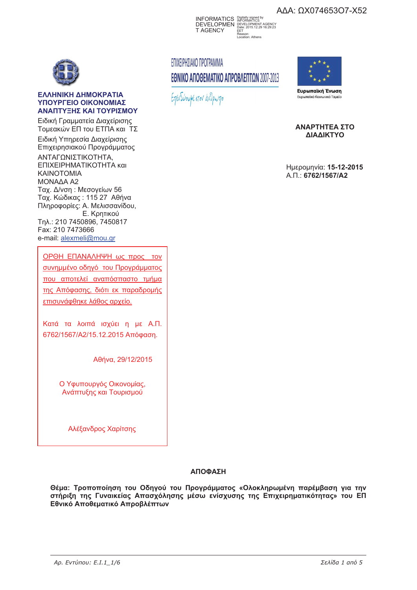AΔA: ΩX074653O7-X52

INFORMATICS DEVELOPMEN T AGENCY Digitally signed by INFORMATICS DEVELOPMENT AGENCY Date: 2015.12.29 16:29:23 EET Reason: Location: Athens

# ΕΠΙΧΕΙΡΗΣΙΑΚΟ ΠΡΟΓΡΑΜΜΑ ΕΘΝΙΚΟ ΑΠΟΘΕΜΑΤΙΚΟ ΑΠΡΟΒΛΕΠΤΩΝ 2007-2013

Επενδύουμε στον άνθρωπο



Ευρωπαϊκό Κοινωνικό Ταμείο

**ANAPTHTEA ΣΤΟ** ΔΙΑΔΙΚΤΥΟ

 : **15-12-2015** ..: **6762/1567/A2** 



#### **ΕΛΛΗΝΙΚΗ ΔΗΜΟΚΡΑΤΙΑ**  $Y$ ΠΟΥΡΓΕΙΟ ΟΙΚΟΝΟΜΙΑΣ ΔΝΑΠΤΥΞΗΣ ΚΑΙ ΤΟΥΡΙΣΜΟΥ

Ειδική Γραμματεία Διαχείρισης Τομεακών ΕΠ του ΕΤΠΑ και ΤΣ

Ειδική Υπηρεσία Διαχείρισης Επιχειρησιακού Προγράμματος ΑΝΤΑΓΩΝΙΣΤΙΚΟΤΗΤΑ, ΕΠΙΧΕΙΡΗΜΑΤΙΚΟΤΗΤΑ και KAINOTOMIA ΜΟΝΑΔΑ Α2 Ταχ. Δ/νση: Μεσογείων 56 Ταχ. Κώδικας: 115 27 Αθήνα Πληροφορίες: Α. Μελισσανίδου, Ε. Κρητικού Tn A.: 210 7450896, 7450817 Fax: 210 7473666 e-mail: alexmeli@mou.gr

ΟΡΘΗ ΕΠΑΝΑΛΗΨΗ ως προς τον συνημμένο οδηγό του Προγράμματος που αποτελεί αναπόσπαστο τμήμα της Απόφασης, διότι εκ παραδρομής επισυνάφθηκε λάθος αρχείο.

Κατά τα λοιπά ισχύει η με Α.Π. 6762/1567/Α2/15.12.2015 Απόφαση.

Αθήνα, 29/12/2015

Ο Υφυπουργός Οικονομίας, Ανάπτυξης και Τουρισμού

Αλέξανδρος Χαρίτσης

## <u>ΑΠΟΦΑΣΗ</u>

Θέμα: Τροποποίηση του Οδηγού του Προγράμματος «Ολοκληρωμένη παρέμβαση για την στήριξη της Γυναικείας Απασχόλησης μέσω ενίσχυσης της Επιχειρηματικότητας» του ΕΠ Εθνικό Αποθεματικό Απροβλέπτων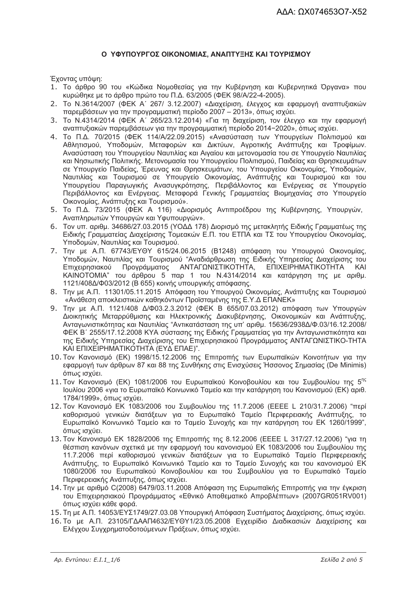#### Ο ΥΦΥΠΟΥΡΓΟΣ ΟΙΚΟΝΟΜΙΑΣ, ΑΝΑΠΤΥΞΗΣ ΚΑΙ ΤΟΥΡΙΣΜΟΥ

Έχοντας υπόψη:

- 1. Το άρθρο 90 του «Κώδικα Νομοθεσίας για την Κυβέρνηση και Κυβερνητικά Όργανα» που κυρώθηκε με το άρθρο πρώτο του Π.Δ. 63/2005 (ΦΕΚ 98/Α/22-4-2005).
- 2. Το N.3614/2007 (ΦΕΚ Α' 267/ 3.12.2007) «Διαχείριση, έλεγχος και εφαρμογή αναπτυξιακών παρεμβάσεων για την προγραμματική περίοδο 2007 - 2013», όπως ισχύει.
- 3. Το N.4314/2014 (ΦΕΚ Α΄ 265/23.12.2014) «Για τη διαχείριση, τον έλενχο και την εφαρμονή αναπτυξιακών παρεμβάσεων για την προγραμματική περίοδο 2014-2020», όπως ισχύει.
- 4. Το Π.Δ. 70/2015 (ΦΕΚ 114/Α/22.09.2015) «Ανασύσταση των Υπουργείων Πολιτισμού και Αθλητισμού, Υποδομών, Μεταφορών και Δικτύων, Αγροτικής Ανάπτυξης και Τροφίμων. Ανασύσταση του Υπουργείου Ναυτιλίας και Αιγαίου και μετονομασία του σε Υπουργείο Ναυτιλίας και Νησιωτικής Πολιτικής. Μετονομασία του Υπουργείου Πολιτισμού, Παιδείας και Θρησκευμάτων σε Υπουργείο Παιδείας, Έρευνας και Θρησκευμάτων, του Υπουργείου Οικονομίας, Υποδομών, Ναυτιλίας και Τουρισμού σε Υπουργείο Οικονομίας, Ανάπτυξης και Τουρισμού και του Υπουργείου Παραγωγικής Ανασυγκρότησης, Περιβάλλοντος και Ενέργειας σε Υπουργείο Περιβάλλοντος και Ενέργειας. Μεταφορά Γενικής Γραμματείας Βιομηχανίας στο Υπουργείο Οικονομίας, Ανάπτυξης και Τουρισμού».
- 5. Το Π.Δ. 73/2015 (ΦΕΚ Α 116) «Διορισμός Αντιπροέδρου της Κυβέρνησης, Υπουργών, Αναπληρωτών Υπουργών και Υφυπουργών».
- 6. Τον υπ. αριθμ. 34686/27.03.2015 (ΥΟΔΔ 178) Διορισμό της μετακλητής Ειδικής Γραμματέως της Ειδικής Γραμματείας Διαχείρισης Τομεακών Ε.Π. του ΕΤΠΑ και ΤΣ του Υπουργείου Οικονομίας, Υποδομών, Ναυτιλίας και Τουρισμού.
- 7. Την με Α.Π. 67743/ΕΥΘΥ 615/24.06.2015 (Β1248) απόφαση του Υπουργού Οικονομίας, Υποδομών, Ναυτιλίας και Τουρισμού "Αναδιάρθρωση της Ειδικής Υπηρεσίας Διαχείρισης του Προγράμματος ΑΝΤΑΓΩΝΙΣΤΙΚΟΤΗΤΑ, ΕΠΙΧΕΙΡΗΜΑΤΙΚΟΤΗΤΑ Επιχειρησιακού **KAI** ΚΑΙΝΟΤΟΜΙΑ" του άρθρου 5 παρ 1 του Ν.4314/2014 και κατάργηση της με αριθμ. 1121/408Δ/Φ03/2012 (Β 655) κοινής υπουργικής απόφασης.
- 8. Την με Α.Π. 11301/05.11.2015 Απόφαση του Υπουργού Οικονομίας, Ανάπτυξης και Τουρισμού «Ανάθεση αποκλειστικών καθηκόντων Προϊσταμένης της Ε.Υ.Δ ΕΠΑΝΕΚ»
- 9. Την με Α.Π. 1121/408 Δ/Φ03.2.3.2012 (ΦΕΚ Β 655/07.03.2012) απόφαση των Υπουργών Διοικητικής Μεταρρύθμισης και Ηλεκτρονικής Διακυβέρνησης, Οικονομικών και Ανάπτυξης, Αντανωνιστικότητας και Ναυτιλίας "Αντικατάσταση της υπ' αριθμ. 15636/2938Δ/Φ.03/16.12.2008/ ΦΕΚ Β΄ 2555/17.12.2008 ΚΥΑ σύστασης της Ειδικής Γραμματείας για την Ανταγωνιστικότητα και της Ειδικής Υπηρεσίας Διαχείρισης του Επιχειρησιακού Προγράμματος ΑΝΤΑΓΩΝΙΣΤΙΚΟ-ΤΗΤΑ KAI EΠΙΧΕΙΡΗΜΑΤΙΚΟΤΗΤΑ (ΕΥΔ ΕΠΑΕ)".
- 10. Τον Κανονισμό (ΕΚ) 1998/15.12.2006 της Επιτροπής των Ευρωπαϊκών Κοινοτήτων για την εφαρμογή των άρθρων 87 και 88 της Συνθήκης στις Ενισχύσεις Ήσσονος Σημασίας (De Minimis) όπως ισχύει.
- 11. Τον Κανονισμό (ΕΚ) 1081/2006 του Ευρωπαϊκού Κοινοβουλίου και του Συμβουλίου της 5<sup>ης</sup> Ιουλίου 2006 «νια το Ευρωπαϊκό Κοινωνικό Ταμείο και την κατάργηση του Κανονισμού (ΕΚ) αριθ. 1784/1999», όπως ισχύει.
- 12. Τον Κανονισμό ΕΚ 1083/2006 του Συμβουλίου της 11.7.2006 (ΕΕΕΕ L 210/31.7.2006) "περί καθορισμού γενικών διατάξεων για το Ευρωπαϊκό Ταμείο Περιφερειακής Ανάπτυξης, το Ευρωπαϊκό Κοινωνικό Ταμείο και το Ταμείο Συνοχής και την κατάργηση του ΕΚ 1260/1999", όπως ισχύει.
- 13. Τον Κανονισμό ΕΚ 1828/2006 της Επιτροπής της 8.12.2006 (ΕΕΕΕ L 317/27.12.2006) "για τη θέσπιση κανόνων σχετικά με την εφαρμογή του κανονισμού ΕΚ 1083/2006 του Συμβουλίου της 11.7.2006 περί καθορισμού γενικών διατάξεων για το Ευρωπαϊκό Ταμείο Περιφερειακής Ανάπτυξης, το Ευρωπαϊκό Κοινωνικό Ταμείο και το Ταμείο Συνοχής και του κανονισμού ΕΚ 1080/2006 του Ευρωπαϊκού Κοινοβουλίου και του Συμβουλίου για το Ευρωπαϊκό Ταμείο Περιφερειακής Ανάπτυξης, όπως ισχύει.
- 14. Την με αριθμό C(2008) 6479/03.11.2008 Απόφαση της Ευρωπαϊκής Επιτροπής για την έγκριση του Επιχειρησιακού Προγράμματος «Εθνικό Αποθεματικό Απροβλέπτων» (2007GR051RV001) όπως ισχύει κάθε φορά.
- 15. Τη με Α.Π. 14053/ΕΥΣ1749/27.03.08 Υπουργική Απόφαση Συστήματος Διαχείρισης, όπως ισχύει.
- 16. Το με Α.Π. 23105/ΓΔΑΑΠ4632/ΕΥΘΥ1/23.05.2008 Εγχειρίδιο Διαδικασιών Διαχείρισης και Ελέγχου Συγχρηματοδοτούμενων Πράξεων, όπως ισχύει.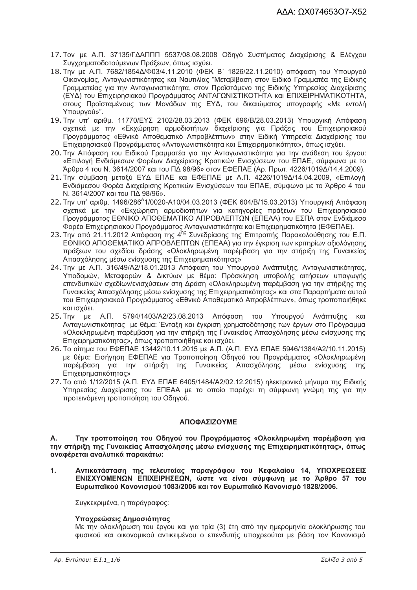- 17. Τον με Α.Π. 37135/ΓΔΑΠΠΠ 5537/08.08.2008 Οδηγό Συστήματος Διαχείρισης & Ελέγχου Συνχρηματοδοτούμενων Πράξεων, όπως ισχύει,
- 18. Την με Α.Π. 7682/1854Δ/Φ03/4.11.2010 (ΦΕΚ Β' 1826/22.11.2010) απόφαση του Υπουργού Οικονομίας, Ανταγωνιστικότητας και Ναυτιλίας "Μεταβίβαση στον Ειδικό Γραμματέα της Ειδικής Γραμματείας για την Ανταγωνιστικότητα, στον Προϊστάμενο της Ειδικής Υπηρεσίας Διαχείρισης (ΕΥΔ) του Επιχειρησιακού Προγράμματος ΑΝΤΑΓΩΝΙΣΤΙΚΟΤΗΤΑ και ΕΠΙΧΕΙΡΗΜΑΤΙΚΟΤΗΤΑ, στους Προϊσταμένους των Μονάδων της ΕΥΔ, του δικαιώματος υπογραφής «Με εντολή Υπουργού»".
- 19. Την υπ' αριθμ. 11770/ΕΥΣ 2102/28.03.2013 (ΦΕΚ 696/Β/28.03.2013) Υπουργική Απόφαση σχετικά με την «Εκχώρηση αρμοδιοτήτων διαχείρισης για Πράξεις του Επιχειρησιακού Προγράμματος «Εθνικό Αποθεματικό Απροβλέπτων» στην Ειδική Υπηρεσία Διαχείρισης του Επιχειρησιακού Προγράμματος «Ανταγωνιστικότητα και Επιχειρηματικότητα», όπως ισχύει.
- 20. Την Απόφαση του Ειδικού Γραμματέα για την Ανταγωνιστικότητα για την ανάθεση του έργου: «Επιλογή Ενδιάμεσων Φορέων Διαχείρισης Κρατικών Ενισχύσεων του ΕΠΑΕ, σύμφωνα με το Άρθρο 4 του Ν. 3614/2007 και του ΠΔ 98/96» στον ΕΦΕΠΑΕ (Αρ. Πρωτ. 4226/1019Δ/14.4.2009).
- 21. Την σύμβαση μεταξύ ΕΥΔ ΕΠΑΕ και ΕΦΕΠΑΕ με Α.Π. 4226/1019Δ/14.04.2009, «Επιλογή Ενδιάμεσου Φορέα Διαχείρισης Κρατικών Ενισχύσεων του ΕΠΑΕ, σύμφωνα με το Άρθρο 4 του Ν. 3614/2007 και του ΠΔ 98/96».
- 22. Την υπ' αριθμ. 1496/286<sup>^</sup>1/0020-A10/04.03.2013 (ΦΕΚ 604/Β/15.03.2013) Υπουργική Απόφαση σχετικά με την «Εκχώρηση αρμοδιοτήτων για κατηγορίες πράξεων του Επιχειρησιακού Προνράμματος ΕΘΝΙΚΟ ΑΠΟΘΕΜΑΤΙΚΟ ΑΠΡΟΒΛΕΠΤΩΝ (ΕΠΕΑΑ) του ΕΣΠΑ στον Ενδιάμεσο Φορέα Επιχειρησιακού Προγράμματος Ανταγωνιστικότητα και Επιχειρηματικότητα (ΕΦΕΠΑΕ).
- 23. Την από 21.11.2012 Απόφαση της 4<sup>ης</sup> Συνεδρίασης της Επιτροπής Παρακολούθησης του Ε.Π. ΕΘΝΙΚΟ ΑΠΟΘΕΜΑΤΙΚΟ ΑΠΡΟΒΛΕΠΤΩΝ (ΕΠΕΑΑ) για την έγκριση των κριτηρίων αξιολόγησης πράξεων του σχεδίου δράσης «Ολοκληρωμένη παρέμβαση για την στήριξη της Γυναικείας Απασχόλησης μέσω ενίσχυσης της Επιχειρηματικότητας»
- 24. Την με Α.Π. 316/49/Α2/18.01.2013 Απόφαση του Υπουργού Ανάπτυξης, Ανταγωνιστικότητας, Υποδομών, Μεταφορών & Δικτύων με θέμα: Πρόσκληση υποβολής αιτήσεων υπαγωγής επενδυτικών σχεδίων/ενισχύσεων στη Δράση «Ολοκληρωμένη παρέμβαση για την στήριξης της Γυναικείας Απασχόλησης μέσω ενίσχυσης της Επιχειρηματικότητας» και στα Παραρτήματα αυτού του Επιχειρησιακού Προγράμματος «Εθνικό Αποθεματικό Απροβλέπτων», όπως τροποποιήθηκε και ισχύει.
- 25. Την με Α.Π. 5794/1403/Α2/23.08.2013 Απόφαση του Υπουργού Ανάπτυξης  $K$  $\alpha$ Αντανωνιστικότητας με θέμα: Ένταξη και ένκριση χρηματοδότησης των έργων στο Πρόνραμμα «Ολοκληρωμένη παρέμβαση για την στήριξη της Γυναικείας Απασχόλησης μέσω ενίσχυσης της Επιχειρηματικότητας», όπως τροποποιήθηκε και ισχύει.
- 26. Το αίτημα του ΕΦΕΠΑΕ 13442/10.11.2015 με Α.Π. (Α.Π. ΕΥΔ ΕΠΑΕ 5946/1384/Α2/10.11.2015) με θέμα: Εισήγηση ΕΦΕΠΑΕ για Τροποποίηση Οδηγού του Προγράμματος «Ολοκληρωμένη παρέμβαση για την στήριξη της Γυναικείας Απασχόλησης μέσω ενίσχυσης της **Επιχειρηματικότητας»**
- 27. Το από 1/12/2015 (Α.Π. ΕΥΔ ΕΠΑΕ 6405/1484/Α2/02.12.2015) ηλεκτρονικό μήνυμα της Ειδικής Υπηρεσίας Διαχείρισης του ΕΠΕΑΑ με το οποίο παρέχει τη σύμφωνη γνώμη της για την προτεινόμενη τροποποίηση του Οδηγού.

#### ΑΠΟΦΑΣΙΖΟΥΜΕ

**A.** Την τροποποίηση του Οδηγού του Προγράμματος «Ολοκληρωμένη παρέμβαση για την στήριξη της Γυναικείας Απασχόλησης μέσω ενίσχυσης της Επιχειρηματικότητας», όπως αναφέρεται αναλυτικά παρακάτω:

 $1<sub>1</sub>$ Αντικατάσταση της τελευταίας παραγράφου του Κεφαλαίου 14, ΥΠΟΧΡΕΩΣΕΙΣ ΕΝΙΣΧΥΟΜΕΝΩΝ ΕΠΙΧΕΙΡΗΣΕΩΝ, ώστε να είναι σύμφωνη με το Άρθρο 57 του Ευρωπαϊκού Κανονισμού 1083/2006 και τον Ευρωπαϊκό Κανονισμό 1828/2006.

Συνκεκριμένα, η παράνραφος:

#### Υπογρεώσεις Δημοσιότητας

Με την ολοκλήρωση του έργου και για τρία (3) έτη από την ημερομηνία ολοκλήρωσης του φυσικού και οικονομικού αντικειμένου ο επενδυτής υποχρεούται με βάση τον Κανονισμό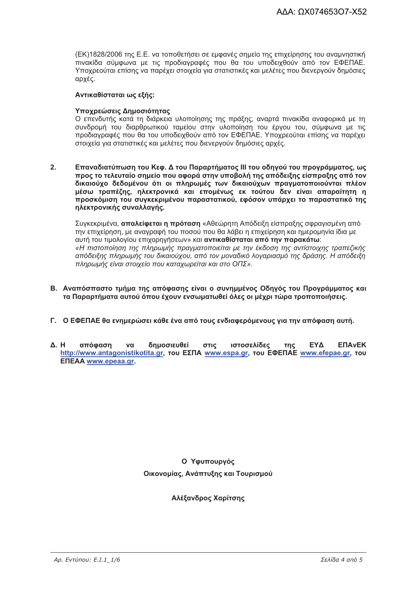(ΕΚ)1828/2006 της Ε.Ε. να τοποθετήσει σε εμφανές σημείο της επιχείρησης του αναμνηστική πινακίδα σύμφωνα με τις προδιαγραφές που θα του υποδειχθούν από τον ΕΦΕΠΑΕ. Υποχρεούται επίσης να παρέχει στοιχεία για στατιστικές και μελέτες που διενεργούν δημόσιες αρχές.

#### Αντικαθίσταται ως εξής:

#### Υποχρεώσεις Δημοσιότητας

Ο επενδυτής κατά τη διάρκεια υλοποίησης της πράξης, αναρτά πινακίδα αναφορικά με τη συνδρομή του διαρθρωτικού ταμείου στην υλοποίηση του έρνου του, σύμφωνα με τις προδιαγραφές που θα του υποδειχθούν από τον ΕΦΕΠΑΕ. Υποχρεούται επίσης να παρέχει στοιχεία για στατιστικές και μελέτες που διενεργούν δημόσιες αρχές.

 $2<sub>1</sub>$ Επαναδιατύπωση του Κεφ. Δ του Παραρτήματος ΙΙΙ του οδηγού του προγράμματος, ως προς το τελευταίο σημείο που αφορά στην υποβολή της απόδειξης είσπραξης από τον δικαιούχο δεδομένου ότι οι πληρωμές των δικαιούχων πραγματοποιούνται πλέον μέσω τραπέζης, ηλεκτρονικά και επομένως εκ τούτου δεν είναι απαραίτητη η προσκόμιση του συγκεκριμένου παραστατικού, εφόσον υπάρχει το παραστατικό της ηλεκτρονικής συναλλαγής.

Συγκεκριμένα, απαλείφεται η πρόταση «Αθεώρητη Απόδειξη είσπραξης σφραγισμένη από την επιχείρηση, με αναγραφή του ποσού που θα λάβει η επιχείρηση και ημερομηνία ίδια με αυτή του τιμολογίου επιχορηγήσεων» και **αντικαθίσταται από την παρακάτω**: «Η πιστοποίηση της πληρωμής πρανματοποιείται με την έκδοση της αντίστοιχης τραπεζικής απόδειξης πληρωμής του δικαιούχου, από τον μοναδικό λογαριασμό της δράσης. Η απόδειξη πληρωμής είναι στοιχείο που καταχωρείται και στο ΟΠΣ».

- Β. Αναπόσπαστο τμήμα της απόφασης είναι ο συνημμένος Οδηγός του Προγράμματος και τα Παραρτήματα αυτού όπου έχουν ενσωματωθεί όλες οι μέχρι τώρα τροποποιήσεις.
- Γ. Ο ΕΦΕΠΑΕ θα ενημερώσει κάθε ένα από τους ενδιαφερόμενους νια την απόφαση αυτή.
- $\Lambda$  H απόφαση δημοσιευθεί ιστοσελίδες **FYA FNA<sub>V</sub>FK**  $\mathbf{v}$ στις  $inc$ http://www.antagonistikotita.gr, TOU EXTIA www.espa.gr, TOU EQETIAE www.efepae.gr, TOU **ENEAA** www.epeaa.gr.

Ο Υφυπουργός Οικονομίας, Ανάπτυξης και Τουρισμού

#### Αλέξανδρος Χαρίτσης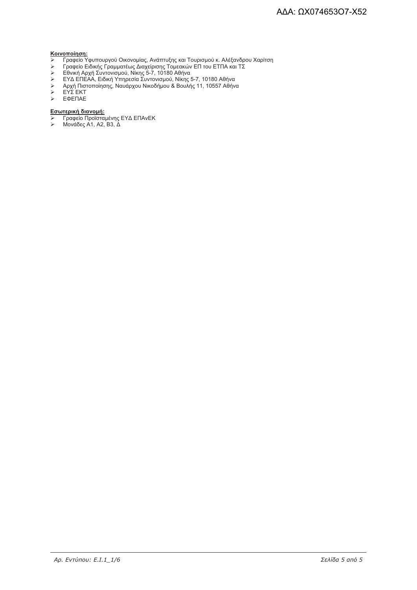- <mark>Κοινοποίηση:</mark><br>> Γραφείο Υφυπουργού Οικονομίας, Ανάπτυξης και Τουρισμού κ. Αλέξανδρου Χαρίτση<br>> Γραφείο Ειδικής Γραμματέως Διαχείρισης Τομεακών ΕΠ του ΕΤΠΑ και ΤΣ
- 
- $\blacktriangleright$
- Γραφείο Εισικής Γραμματεώς Διαχειρισής Τυμεακών ΕΓΓΙου ΕΤΓΙΑ και Τ<br>Εθνική Αρχή Συντονισμού, Νίκης 5-7, 10180 Αθήνα<br>ΕΥΔ ΕΠΕΑΑ, Ειδική Υπηρεσία Συντονισμού, Νίκης 5-7, 10180 Αθήνα<br>Αρχή Πιστοποίησης, Ναυάρχου Νικοδήμου & Βου  $\blacktriangleright$
- $\blacktriangleright$
- $\checkmark$ EYΣ EKT
- ЕФЕПАЕ

- <u>Εσωτερική διανομή:</u><br>> Γραφείο Προϊσταμένης ΕΥΔ ΕΠΑνΕΚ<br>> Μονάδες Α1, Α2, Β3, Δ
-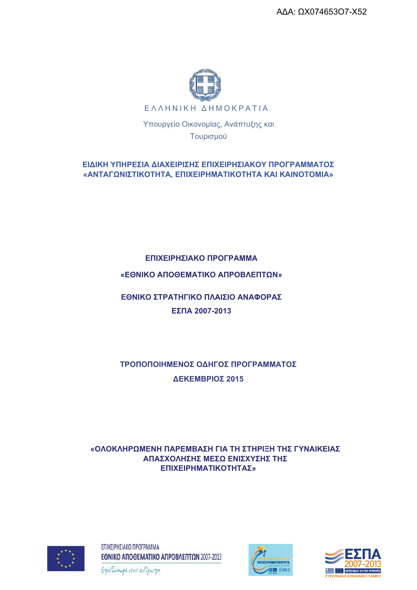ΑΔΑ: ΩΧ074653Ο7-Χ52



ΕΙΔΙΚΗ ΥΠΗΡΕΣΙΑ ΔΙΑΧΕΙΡΙΣΗΣ ΕΠΙΧΕΙΡΗΣΙΑΚΟΥ ΠΡΟΓΡΑΜΜΑΤΟΣ «ΑΝΤΑΓΩΝΙΣΤΙΚΟΤΗΤΑ, ΕΠΙΧΕΙΡΗΜΑΤΙΚΟΤΗΤΑ ΚΑΙ ΚΑΙΝΟΤΟΜΙΑ»

Τουρισμού

## ΕΠΙΧΕΙΡΗΣΙΑΚΟ ΠΡΟΓΡΑΜΜΑ

### «ΕΘΝΙΚΟ ΑΠΟΘΕΜΑΤΙΚΟ ΑΠΡΟΒΛΕΠΤΩΝ»

ΕΘΝΙΚΟ ΣΤΡΑΤΗΓΙΚΟ ΠΛΑΙΣΙΟ ΑΝΑΦΟΡΑΣ ΕΣΠΑ 2007-2013

ΤΡΟΠΟΠΟΙΗΜΕΝΟΣ ΟΔΗΓΟΣ ΠΡΟΓΡΑΜΜΑΤΟΣ ΔΕΚΕΜΒΡΙΟΣ 2015

«ΟΛΟΚΛΗΡΩΜΕΝΗ ΠΑΡΕΜΒΑΣΗ ΓΙΑ ΤΗ ΣΤΗΡΙΞΗ ΤΗΣ ΓΥΝΑΙΚΕΙΑΣ ΑΠΑΣΧΟΛΗΣΗΣ ΜΕΣΩ ΕΝΙΣΧΥΣΗΣ ΤΗΣ ΕΠΙΧΕΙΡΗΜΑΤΙΚΟΤΗΤΑΣ»



ΕΠΙΧΕΙΡΗΣΙΑΚΟ ΠΡΟΓΡΑΜΜΑ ΕΘΝΙΚΟ ΑΠΟΘΕΜΑΤΙΚΟ ΑΠΡΟΒΛΕΠΤΩΝ 2007-2013





Επενδύουμε στον άνθρωπο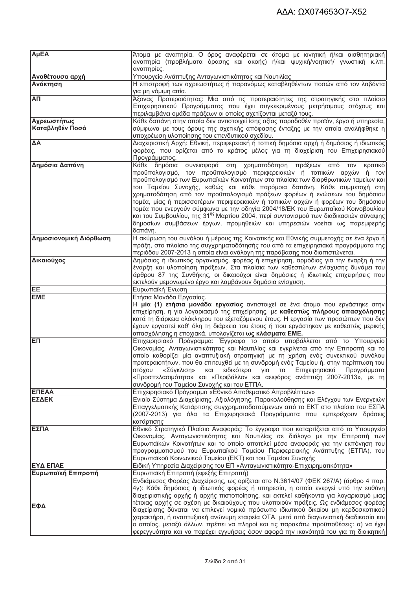| AµEA                   | Άτομα με αναπηρία. Ο όρος αναφέρεται σε άτομα με κινητική ή/και αισθητηριακή                                                                                               |  |
|------------------------|----------------------------------------------------------------------------------------------------------------------------------------------------------------------------|--|
|                        | αναπηρία (προβλήματα όρασης και ακοής) ή/και ψυχική/νοητική/ γνωστική κ.λπ.                                                                                                |  |
|                        | αναπηρίες.                                                                                                                                                                 |  |
| Αναθέτουσα αρχή        | Υπουργείο Ανάπτυξης Ανταγωνιστικότητας και Ναυτιλίας                                                                                                                       |  |
| Ανάκτηση               | Η επιστροφή των αχρεωστήτως ή παρανόμως καταβληθέντων ποσών από τον λαβόντα<br>για μη νόμιμη αιτία.                                                                        |  |
| ΑП                     | Άξονας Προτεραιότητας: Μια από τις προτεραιότητες της στρατηγικής στο πλαίσιο                                                                                              |  |
|                        | Επιχειρησιακού Προγράμματος που έχει συγκεκριμένους μετρήσιμους στόχους και                                                                                                |  |
|                        | περιλαμβάνει ομάδα πράξεων οι οποίες σχετίζονται μεταξύ τους.                                                                                                              |  |
| Αχρεωστήτως            | Κάθε δαπάνη στην οποία δεν αντιστοιχεί ίσης αξίας παραδοθέν προϊόν, έργο ή υπηρεσία,                                                                                       |  |
| Καταβληθέν Ποσό        | σύμφωνα με τους όρους της σχετικής απόφασης ένταξης με την οποία αναλήφθηκε η                                                                                              |  |
|                        | υποχρέωση υλοποίησης του επενδυτικού σχεδίου.                                                                                                                              |  |
| ΔA                     | Διαχειριστική Αρχή: Εθνική, περιφερειακή ή τοπική δημόσια αρχή ή δημόσιος ή ιδιωτικός                                                                                      |  |
|                        | φορέας, που ορίζεται από το κράτος μέλος για τη διαχείριση του Επιχειρησιακού                                                                                              |  |
|                        | Προγράμματος.                                                                                                                                                              |  |
| Δημόσια Δαπάνη         | Κάθε δημόσια<br>συνεισφορά<br>χρηματοδότηση πράξεων<br>στη<br>από<br><b>TOV</b><br>κρατικό<br>προϋπολογισμό, τον προϋπολογισμό περιφερειακών ή τοπικών αρχών ή τον         |  |
|                        | προϋπολογισμό των Ευρωπαϊκών Κοινοτήτων στα πλαίσια των διαρθρωτικών ταμείων και                                                                                           |  |
|                        | του Ταμείου Συνοχής, καθώς και κάθε παρόμοια δαπάνη. Κάθε συμμετοχή στη                                                                                                    |  |
|                        | χρηματοδότηση από τον προϋπολογισμό πράξεων φορέων ή ενώσεων του δημόσιου                                                                                                  |  |
|                        | τομέα, μίας ή περισσοτέρων περιφερειακών ή τοπικών αρχών ή φορέων του δημόσιου                                                                                             |  |
|                        | τομέα που ενεργούν σύμφωνα με την οδηγία 2004/18/ΕΚ του Ευρωπαϊκού Κοινοβουλίου                                                                                            |  |
|                        | και του Συμβουλίου, της 31 <sup>ης</sup> Μαρτίου 2004, περί συντονισμού των διαδικασιών σύναψης                                                                            |  |
|                        | δημοσίων συμβάσεων έργων, προμηθειών και υπηρεσιών νοείται ως παρεμφερής                                                                                                   |  |
|                        | δαπάνη.                                                                                                                                                                    |  |
| Δημοσιονομική Διόρθωση | Η ακύρωση του συνόλου ή μέρους της Κοινοτικής και Εθνικής συμμετοχής σε ένα έργο ή                                                                                         |  |
|                        | πράξη, στο πλαίσιο της συγχρηματοδότησής του από τα επιχειρησιακά προγράμματα της                                                                                          |  |
|                        | περιόδου 2007-2013 η οποία είναι ανάλογη της παράβασης που διαπιστώνεται.                                                                                                  |  |
| Δικαιούχος             | Δημόσιος ή ιδιωτικός οργανισμός, φορέας ή επιχείρηση, αρμόδιος για την έναρξη ή την                                                                                        |  |
|                        | έναρξη και υλοποίηση πράξεων. Στα πλαίσια των καθεστώτων ενίσχυσης δυνάμει του                                                                                             |  |
|                        | άρθρου 87 της Συνθήκης, οι δικαιούχοι είναι δημόσιες ή ιδιωτικές επιχειρήσεις που                                                                                          |  |
|                        | εκτελούν μεμονωμένο έργο και λαμβάνουν δημόσια ενίσχυση.                                                                                                                   |  |
| EE<br><b>EME</b>       | Ευρωπαϊκή Ένωση<br>Ετήσια Μονάδα Εργασίας.                                                                                                                                 |  |
|                        |                                                                                                                                                                            |  |
|                        |                                                                                                                                                                            |  |
|                        | Η <b>μία (1) ετήσια μονάδα εργασίας</b> αντιστοιχεί σε ένα άτομο που εργάστηκε στην                                                                                        |  |
|                        | επιχείρηση, η για λογαριασμό της επιχείρησης, με καθεστώς πλήρους απασχόλησης                                                                                              |  |
|                        | κατά τη διάρκεια ολόκληρου του εξεταζόμενου έτους. Η εργασία των προσώπων που δεν                                                                                          |  |
|                        | έχουν εργαστεί καθ' όλη τη διάρκεια του έτους ή που εργάστηκαν με καθεστώς μερικής                                                                                         |  |
| ЕП                     | απασχόλησης η εποχιακά, υπολογίζεται ως κλάσματα ΕΜΕ.                                                                                                                      |  |
|                        | Επιχειρησιακό Πρόγραμμα: Έγγραφο το οποίο υποβάλλεται από το Υπουργείο<br>Οικονομίας, Ανταγωνιστικότητας και Ναυτιλίας και εγκρίνεται από την Επιτροπή και το              |  |
|                        | οποίο καθορίζει μία αναπτυξιακή στρατηγική με τη χρήση ενός συνεκτικού συνόλου                                                                                             |  |
|                        | προτεραιοτήτων, που θα επιτευχθεί με τη συνδρομή ενός Ταμείου ή, στην περίπτωση του                                                                                        |  |
|                        | στόχου<br>«Σύγκλιση»<br>ειδικότερα<br>Επιχειρησιακά<br>Προγράμματα<br>και<br>για<br>тα                                                                                     |  |
|                        | «Προσπελασιμότητα» και «Περιβάλλον και αειφόρος ανάπτυξη 2007-2013», με τη                                                                                                 |  |
|                        | συνδρομή του Ταμείου Συνοχής και του ΕΤΠΑ.                                                                                                                                 |  |
| ΕΠΕΑΑ                  | Επιχειρησιακό Πρόγραμμα «Εθνικό Αποθεματικό Απροβλέπτων»                                                                                                                   |  |
| ΕΣΔΕΚ                  | Ενιαίο Σύστημα Διαχείρισης, Αξιολόγησης, Παρακολούθησης και Ελέγχου των Ενεργειών                                                                                          |  |
|                        | Επαγγελματικής Κατάρτισης συγχρηματοδοτούμενων από το ΕΚΤ στο πλαίσιο του ΕΣΠΑ                                                                                             |  |
|                        | (2007-2013) για όλα τα Επιχειρησιακά Προγράμματα που εμπεριέχουν δράσεις                                                                                                   |  |
|                        | κατάρτισης                                                                                                                                                                 |  |
| ΕΣΠΑ                   | Εθνικό Στρατηγικό Πλαίσιο Αναφοράς: Το έγγραφο που καταρτίζεται από το Υπουργείο                                                                                           |  |
|                        | Οικονομίας, Ανταγωνιστικότητας και Ναυτιλίας σε διάλογο με την Επιτροπή των<br>Ευρωπαϊκών Κοινοτήτων και το οποίο αποτελεί μέσο αναφοράς για την εκπόνηση του              |  |
|                        | προγραμματισμού του Ευρωπαϊκού Ταμείου Περιφερειακής Ανάπτυξης (ΕΤΠΑ), του                                                                                                 |  |
|                        | Ευρωπαϊκού Κοινωνικού Ταμείου (ΕΚΤ) και του Ταμείου Συνοχής                                                                                                                |  |
| ΕΥΔ ΕΠΑΕ               | Ειδική Υπηρεσία Διαχείρισης του ΕΠ «Ανταγωνιστικότητα-Επιχειρηματικότητα»                                                                                                  |  |
| Ευρωπαϊκή Επιτροπή     | Ευρωπαϊκή Επιτροπή (εφεξής Επιτροπή)                                                                                                                                       |  |
|                        | Ενδιάμεσος Φορέας Διαχείρισης, ως ορίζεται στο Ν.3614/07 (ΦΕΚ 267/Α) (άρθρο 4 παρ.                                                                                         |  |
|                        | 4γ): Κάθε δημόσιος ή ιδιωτικός φορέας ή υπηρεσία, η οποία ενεργεί υπό την ευθύνη                                                                                           |  |
|                        | διαχειριστικής αρχής ή αρχής πιστοποίησης, και εκτελεί καθήκοντα για λογαριασμό μιας                                                                                       |  |
| ΕΦΔ                    | τέτοιας αρχής σε σχέση με δικαιούχους που υλοποιούν πράξεις. Ως ενδιάμεσος φορέας                                                                                          |  |
|                        | διαχείρισης δύναται να επιλεγεί νομικό πρόσωπο ιδιωτικού δικαίου μη κερδοσκοπικού                                                                                          |  |
|                        | χαρακτήρα, ή αναπτυξιακή ανώνυμη εταιρεία ΟΤΑ, μετά από διαγωνιστική διαδικασία και                                                                                        |  |
|                        | ο οποίος, μεταξύ άλλων, πρέπει να πληροί και τις παρακάτω προϋποθέσεις: α) να έχει<br>φερεγγυότητα και να παρέχει εγγυήσεις όσον αφορά την ικανότητά του για τη διοικητική |  |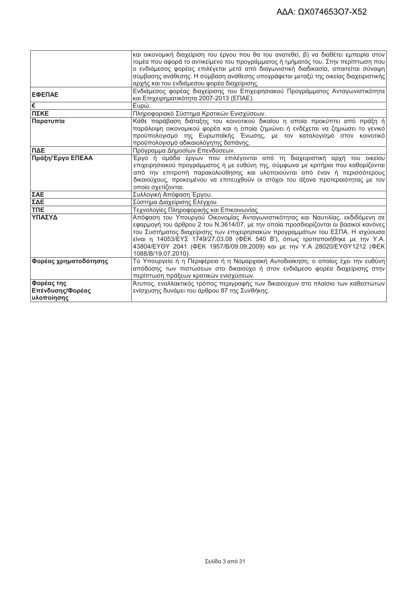|                       | και οικονομική διαχείριση του έργου που θα του ανατεθεί, β) να διαθέτει εμπειρία στον |  |  |  |
|-----------------------|---------------------------------------------------------------------------------------|--|--|--|
|                       | τομέα που αφορά το αντικείμενο του προγράμματος ή τμήματός του. Στην περίπτωση που    |  |  |  |
|                       | ο ενδιάμεσος φορέας επιλέγεται μετά από διαγωνιστική διαδικασία, απαιτείται σύναψη    |  |  |  |
|                       | σύμβασης ανάθεσης. Η σύμβαση ανάθεσης υπογράφεται μεταξύ της οικείας διαχειριστικής   |  |  |  |
|                       | αρχής και του ενδιάμεσου φορέα διαχείρισης.                                           |  |  |  |
| ΕΦΕΠΑΕ                | Ενδιάμεσος φορέας διαχείρισης του Επιχειρησιακού Προγράμματος Ανταγωνιστικότητα       |  |  |  |
|                       | και Επιχειρηματικότητα 2007-2013 (ΕΠΑΕ).                                              |  |  |  |
| l€                    | Ευρώ.                                                                                 |  |  |  |
| ΠΣΚΕ                  | Πληροφοριακό Σύστημα Κρατικών Ενισχύσεων.                                             |  |  |  |
| Παρατυπία             | Κάθε παράβαση διάταξης του κοινοτικού δικαίου η οποία προκύπτει από πράξη ή           |  |  |  |
|                       | παράλειψη οικονομικού φορέα και η οποία ζημιώνει ή ενδέχεται να ζημιώσει το γενικό    |  |  |  |
|                       | προϋπολογισμό της Ευρωπαϊκής Ένωσης, με τον καταλογισμό στον κοινοτικό                |  |  |  |
|                       | προϋπολογισμό αδικαιολόγητης δαπάνης.                                                 |  |  |  |
| ПДЕ                   | Πρόγραμμα Δημοσίων Επενδύσεων.                                                        |  |  |  |
| Πράξη/Έργο ΕΠΕΑΑ      | Έργο ή ομάδα έργων που επιλέγονται από τη διαχειριστική αρχή του οικείου              |  |  |  |
|                       | επιχειρησιακού προγράμματος ή με ευθύνη της, σύμφωνα με κριτήρια που καθορίζονται     |  |  |  |
|                       | από την επιτροπή παρακολούθησης και υλοποιούνται από έναν ή περισσότερους             |  |  |  |
|                       | δικαιούχους, προκειμένου να επιτευχθούν οι στόχοι του άξονα προτεραιότητας με τον     |  |  |  |
|                       | οποίο σχετίζονται.                                                                    |  |  |  |
| ΣΑΕ                   | Συλλογική Απόφαση Έργου.                                                              |  |  |  |
| ΣΔΕ                   | Σύστημα Διαχείρισης Ελέγχου.                                                          |  |  |  |
| <b>TNE</b>            | Τεχνολογίες Πληροφορικής και Επικοινωνίας                                             |  |  |  |
| ΥΠΑΣΥΔ                | Απόφαση του Υπουργού Οικονομίας Ανταγωνιστικότητας και Ναυτιλίας, εκδιδόμενη σε       |  |  |  |
|                       | εφαρμογή του άρθρου 2 του Ν.3614/07, με την οποία προσδιορίζονται οι βασικοί κανόνες  |  |  |  |
|                       | του Συστήματος διαχείρισης των επιχειρησιακών προγραμμάτων του ΕΣΠΑ. Η ισχύουσα       |  |  |  |
|                       | είναι η 14053/ΕΥΣ 1749/27.03.08 (ΦΕΚ 540 Β'), όπως τροποποιήθηκε με την Υ.Α.          |  |  |  |
|                       | 43804/ΕΥΘΥ 2041 (ΦΕΚ 1957/Β/09.09.2009) και με την Υ.Α 28020/ΕΥΘΥ1212 (ΦΕΚ            |  |  |  |
|                       | 1088/B/19.07.2010).                                                                   |  |  |  |
| Φορέας χρηματοδότησης | Το Υπουργείο ή η Περιφέρεια ή η Νομαρχιακή Αυτοδιοίκηση, ο οποίος έχει την ευθύνη     |  |  |  |
|                       | απόδοσης των πιστώσεων στο δικαιούχο ή στον ενδιάμεσο φορέα διαχείρισης στην          |  |  |  |
|                       | περίπτωση πράξεων κρατικών ενισχύσεων.                                                |  |  |  |
| Φορέας της            | Άτυπος, εναλλακτικός τρόπος περιγραφής των δικαιούχων στο πλαίσιο των καθεστώτων      |  |  |  |
| Επένδυσης/Φορέας      | ενίσχυσης δυνάμει του άρθρου 87 της Συνθήκης.                                         |  |  |  |
| υλοποίησης            |                                                                                       |  |  |  |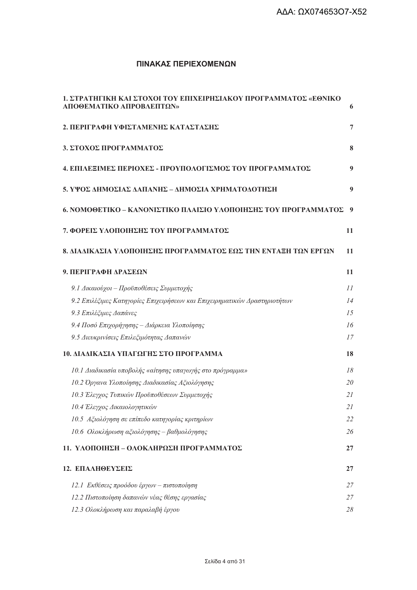### ΠΙΝΑΚΑΣ ΠΕΡΙΕΧΟΜΕΝΩΝ

| 1. ΣΤΡΑΤΗΓΙΚΗ ΚΑΙ ΣΤΟΧΟΙ ΤΟΥ ΕΠΙΧΕΙΡΗΣΙΑΚΟΥ ΠΡΟΓΡΑΜΜΑΤΟΣ «ΕΘΝΙΚΟ<br>ΑΠΟΘΕΜΑΤΙΚΟ ΑΠΡΟΒΛΕΠΤΩΝ» | 6  |
|----------------------------------------------------------------------------------------------|----|
| 2. ΠΕΡΙΓΡΑΦΗ ΥΦΙΣΤΑΜΕΝΗΣ ΚΑΤΑΣΤΑΣΗΣ                                                          | 7  |
| 3. ΣΤΟΧΟΣ ΠΡΟΓΡΑΜΜΑΤΟΣ                                                                       | 8  |
| 4. ΕΠΙΛΕΞΙΜΕΣ ΠΕΡΙΟΧΕΣ - ΠΡΟΥΠΟΛΟΓΙΣΜΟΣ ΤΟΥ ΠΡΟΓΡΑΜΜΑΤΟΣ                                     | 9  |
| 5. ΥΨΟΣ ΔΗΜΟΣΙΑΣ ΔΑΠΑΝΗΣ - ΔΗΜΟΣΙΑ ΧΡΗΜΑΤΟΔΟΤΗΣΗ                                             | 9  |
| 6. ΝΟΜΟΘΕΤΙΚΟ – ΚΑΝΟΝΙΣΤΙΚΟ ΠΛΑΙΣΙΟ ΥΛΟΠΟΙΗΣΗΣ ΤΟΥ ΠΡΟΓΡΑΜΜΑΤΟΣ                              | -9 |
| 7. ΦΟΡΕΙΣ ΥΛΟΠΟΙΗΣΗΣ ΤΟΥ ΠΡΟΓΡΑΜΜΑΤΟΣ                                                        | 11 |
| 8. ΔΙΑΔΙΚΑΣΙΑ ΥΛΟΠΟΙΗΣΗΣ ΠΡΟΓΡΑΜΜΑΤΟΣ ΕΩΣ ΤΗΝ ΕΝΤΑΞΗ ΤΩΝ ΕΡΓΩΝ                               | 11 |
| 9. ΠΕΡΙΓΡΑΦΗ ΔΡΑΣΕΩΝ                                                                         | 11 |
| 9.1 Δικαιούχοι - Προϋποθέσεις Συμμετοχής                                                     | 11 |
| 9.2 Επιλέζιμες Κατηγορίες Επιχειρήσεων και Επιχειρηματικών Δραστηριοτήτων                    | 14 |
| 9.3 Επιλέξιμες Δαπάνες                                                                       | 15 |
| 9.4 Ποσό Επιχορήγησης - Διάρκεια Υλοποίησης                                                  | 16 |
| 9.5 Διευκρινίσεις Επιλεξιμότητας Δαπανών                                                     | 17 |
| 10. ΔΙΑΔΙΚΑΣΙΑ ΥΠΑΓΩΓΗΣ ΣΤΟ ΠΡΟΓΡΑΜΜΑ                                                        | 18 |
| 10.1 Διαδικασία υποβολής «αίτησης υπαγωγής στο πρόγραμμα»                                    | 18 |
| 10.2 Οργανα Υλοποίησης Διαδικασίας Αξιολόγησης                                               | 20 |
| 10.3 Έλεγχος Τυπικών Προϋποθέσεων Συμμετοχής                                                 | 21 |
| 10.4 Έλεγχος Δικαιολογητικών                                                                 | 21 |
| 10.5 Αξιολόγηση σε επίπεδο κατηγορίας κριτηρίων                                              | 22 |
| 10.6 Ολοκλήρωση αξιολόγησης – βαθμολόγησης                                                   | 26 |
| 11. ΥΛΟΠΟΙΗΣΗ – ΟΛΟΚΛΗΡΩΣΗ ΠΡΟΓΡΑΜΜΑΤΟΣ                                                      | 27 |
| 12. ΕΠΑΛΗΘΕΥΣΕΙΣ                                                                             | 27 |
| 12.1 Εκθέσεις προόδου έργων – πιστοποίηση                                                    | 27 |
| 12.2 Πιστοποίηση δαπανών νέας θέσης εργασίας                                                 | 27 |
| 12.3 Ολοκλήρωση και παραλαβή έργου                                                           | 28 |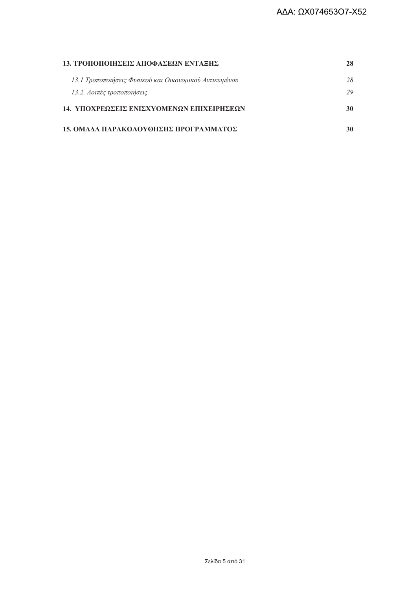| 13. ΤΡΟΠΟΠΟΙΗΣΕΙΣ ΑΠΟΦΑΣΕΩΝ ΕΝΤΑΞΗΣ                     |    |
|---------------------------------------------------------|----|
| 13.1 Τροποποιήσεις Φυσικού και Οικονομικού Αντικειμένου | 28 |
| 13.2. Λοιπές τροποποιήσεις                              | 29 |
| 14. ΥΠΟΧΡΕΩΣΕΙΣ ΕΝΙΣΧΥΟΜΕΝΩΝ ΕΠΙΧΕΙΡΗΣΕΩΝ               | 30 |
| 15. ΟΜΑΔΑ ΠΑΡΑΚΟΛΟΥΘΗΣΗΣ ΠΡΟΓΡΑΜΜΑΤΟΣ                   |    |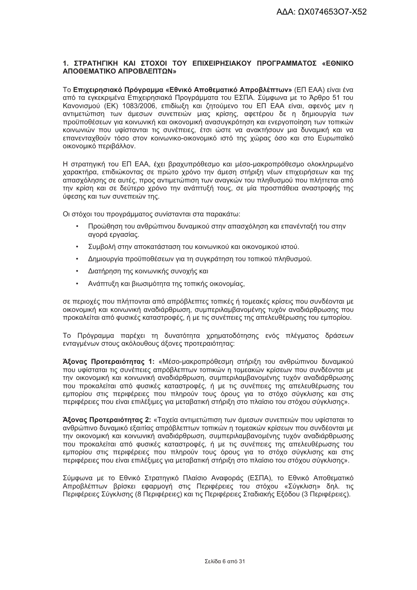#### 1. ΣΤΡΑΤΗΓΙΚΗ ΚΑΙ ΣΤΟΧΟΙ ΤΟΥ ΕΠΙΧΕΙΡΗΣΙΑΚΟΥ ΠΡΟΓΡΑΜΜΑΤΟΣ «ΕΘΝΙΚΟ ΑΠΟΘΕΜΑΤΙΚΟ ΑΠΡΟΒΛΕΠΤΩΝ»

Το Επιχειρησιακό Πρόνραμμα «Εθνικό Αποθεματικό Απροβλέπτων» (ΕΠ ΕΑΑ) είναι ένα από τα εγκεκριμένα Επιχειρησιακά Προγράμματα του ΕΣΠΑ. Σύμφωνα με το Άρθρο 51 του Κανονισμού (ΕΚ) 1083/2006, επιδίωξη και ζητούμενο του ΕΠ ΕΑΑ είναι, αφενός μεν η αντιμετώπιση των άμεσων συνεπειών μιας κρίσης, αφετέρου δε η δημιουργία των προϋποθέσεων νια κοινωνική και οικονομική ανασυνκρότηση και ενερνοποίηση των τοπικών κοινωνιών που υφίστανται τις συνέπειες, έτσι ώστε να ανακτήσουν μια δυναμική και να επανενταχθούν τόσο στον κοινωνικο-οικονομικό ιστό της χώρας όσο και στο Ευρωπαϊκό οικονομικό περιβάλλον.

Η στρατηγική του ΕΠ ΕΑΑ, έχει βραχυπρόθεσμο και μέσο-μακροπρόθεσμο ολοκληρωμένο χαρακτήρα, επιδιώκοντας σε πρώτο χρόνο την άμεση στήριξη νέων επιχειρήσεων και της απασχόλησης σε αυτές, προς αντιμετώπιση των αναγκών του πληθυσμού που πλήττεται από την κρίση και σε δεύτερο χρόνο την ανάπτυξή τους, σε μία προσπάθεια αναστροφής της ύφεσης και των συνεπειών της.

Οι στόχοι του προγράμματος συνίστανται στα παρακάτω:

- Προώθηση του ανθρώπινου δυναμικού στην απασχόληση και επανένταξή του στην αγορά εργασίας.
- Συμβολή στην αποκατάσταση του κοινωνικού και οικονομικού ιστού.
- Δημιουργία προϋποθέσεων για τη συγκράτηση του τοπικού πληθυσμού.
- Διατήρηση της κοινωνικής συνοχής και  $\bullet$
- Ανάπτυξη και βιωσιμότητα της τοπικής οικονομίας,

σε περιοχές που πλήττονται από απρόβλεπτες τοπικές ή τομεακές κρίσεις που συνδέονται με οικονομική και κοινωνική αναδιάρθρωση, συμπεριλαμβανομένης τυχόν αναδιάρθρωσης που προκαλείται από φυσικές καταστροφές, ή με τις συνέπειες της απελευθέρωσης του εμπορίου.

Το Πρόγραμμα παρέχει τη δυνατότητα χρηματοδότησης ενός πλέγματος δράσεων ενταγμένων στους ακόλουθους άξονες προτεραιότητας:

Άξονας Προτεραιότητας 1: «Μέσο-μακροπρόθεσμη στήριξη του ανθρώπινου δυναμικού που υφίσταται τις συνέπειες απρόβλεπτων τοπικών η τομεακών κρίσεων που συνδέονται με την οικονομική και κοινωνική αναδιάρθρωση, συμπεριλαμβανομένης τυχόν αναδιάρθρωσης που προκαλείται από φυσικές καταστροφές, ή με τις συνέπειες της απελευθέρωσης του εμπορίου στις περιφέρειες που πληρούν τους όρους για το στόχο σύγκλισης και στις περιφέρειες που είναι επιλέξιμες για μεταβατική στήριξη στο πλαίσιο του στόχου σύγκλισης».

Άξονας Προτεραιότητας 2: «Ταχεία αντιμετώπιση των άμεσων συνεπειών που υφίσταται το ανθρώπινο δυναμικό εξαιτίας απρόβλεπτων τοπικών η τομεακών κρίσεων που συνδέονται με την οικονομική και κοινωνική αναδιάρθοωση, συμπεριλαμβανομένης τυχόν αναδιάρθοωσης που προκαλείται από φυσικές καταστροφές, ή με τις συνέπειες της απελευθέρωσης του εμπορίου στις περιφέρειες που πληρούν τους όρους για το στόχο σύγκλισης και στις περιφέρειες που είναι επιλέξιμες νια μεταβατική στήριξη στο πλαίσιο του στόχου σύνκλισης».

Σύμφωνα με το Εθνικό Στρατηγικό Πλαίσιο Αναφοράς (ΕΣΠΑ), το Εθνικό Αποθεματικό Απροβλέπτων βρίσκει εφαρμονή στις Περιφέρειες του στόχου «Σύγκλιση» δηλ. τις Περιφέρειες Σύγκλισης (8 Περιφέρειες) και τις Περιφέρειες Σταδιακής Εξόδου (3 Περιφέρειες).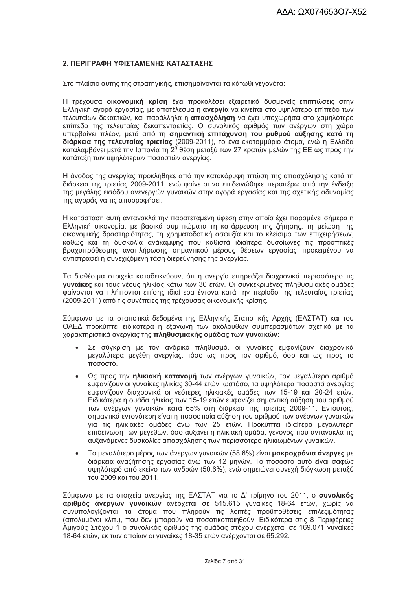#### 2. ΠΕΡΙΓΡΑΦΗ ΥΦΙΣΤΑΜΕΝΗΣ ΚΑΤΑΣΤΑΣΗΣ

Στο πλαίσιο αυτής της στρατηγικής, επισημαίνονται τα κάτωθι γεγονότα:

Η τρέχουσα οικονομική κρίση έχει προκαλέσει εξαιρετικά δυσμενείς επιπτώσεις στην Ελληνική αγορά εργασίας, με αποτέλεσμα η ανεργία να κινείται στο υψηλότερο επίπεδο των τελευταίων δεκαετιών, και παράλληλα η απασχόληση να έχει υποχωρήσει στο χαμηλότερο επίπεδο της τελευταίας δεκαπενταετίας. Ο συνολικός αριθμός των ανέργων στη χώρα υπερβαίνει πλέον, μετά από τη σημαντική επιτάχυνση του ρυθμού αύξησης κατά τη διάρκεια της τελευταίας τριετίας (2009-2011), το ένα εκατομμύριο άτομα, ενώ η Ελλάδα καταλαμβάνει μετά την Ισπανία τη 2<sup>η</sup> θέση μεταξύ των 27 κρατών μελών της ΕΕ ως προς την κατάταξη των υψηλότερων ποσοστών ανεργίας.

Η άνοδος της ανεργίας προκλήθηκε από την κατακόρυφη πτώση της απασχόλησης κατά τη διάρκεια της τριετίας 2009-2011, ενώ φαίνεται να επιδεινώθηκε περαιτέρω από την ένδειξη της μεγάλης εισόδου ανενεργών γυναικών στην αγορά εργασίας και της σχετικής αδυναμίας της αγοράς να τις απορροφήσει.

Η κατάσταση αυτή αντανακλά την παρατεταμένη ύφεση στην οποία έχει παραμένει σήμερα η Ελληνική οικονομία, με βασικά συμπτώματα τη κατάρρευση της ζήτησης, τη μείωση της οικονομικής δραστηριότητας, τη χρηματοδοτική ασφυξία και το κλείσιμο των επιχειρήσεων, καθώς και τη δυσκολία ανάκαμψης που καθιστά ιδιαίτερα δυσοίωνες τις προοπτικές βραχυπρόθεσμης αναπλήρωσης σημαντικού μέρους θέσεων εργασίας προκειμένου να αντιστραφεί η συνεχιζόμενη τάση διερεύνησης της ανερνίας.

Τα διαθέσιμα στοιχεία καταδεικνύουν, ότι η ανεργία επηρεάζει διαχρονικά περισσότερο τις γυναίκες και τους νέους ηλικίας κάτω των 30 ετών. Οι συγκεκριμένες πληθυσμιακές ομάδες φαίνονται να πλήττονται επίσης ιδιαίτερα έντονα κατά την περίοδο της τελευταίας τριετίας (2009-2011) από τις συνέπειες της τρέχουσας οικονομικής κρίσης.

Σύμφωνα με τα στατιστικά δεδομένα της Ελληνικής Στατιστικής Αρχής (ΕΛΣΤΑΤ) και του ΟΑΕΔ προκύπτει ειδικότερα η εξαγωγή των ακόλουθων συμπερασμάτων σχετικά με τα χαρακτηριστικά ανεργίας της πληθυσμιακής ομάδας των γυναικών:

- Σε σύγκριση με τον ανδρικό πληθυσμό, οι γυναίκες εμφανίζουν διαχρονικά μεγαλύτερα μεγέθη ανεργίας, τόσο ως προς τον αριθμό, όσο και ως προς το ποσοστό.
- Ως προς την ηλικιακή κατανομή των ανέργων γυναικών, τον μεγαλύτερο αριθμό  $\bullet$ εμφανίζουν οι γυναίκες ηλικίας 30-44 ετών, ωστόσο, τα υψηλότερα ποσοστά ανεργίας εμφανίζουν διαχρονικά οι νεότερες ηλικιακές ομάδες των 15-19 και 20-24 ετών. Ειδικότερα η ομάδα ηλικίας των 15-19 ετών εμφανίζει σημαντική αύξηση του αριθμού των ανέργων γυναικών κατά 65% στη διάρκεια της τριετίας 2009-11. Εντούτοις, σημαντικά εντονότερη είναι η ποσοστιαία αύξηση του αριθμού των ανέργων γυναικών για τις ηλικιακές ομάδες άνω των 25 ετών. Προκύπτει ιδιαίτερα μεγαλύτερη επιδείνωση των μεγεθών, όσο αυξάνει η ηλικιακή ομάδα, γεγονός που αντανακλά τις αυξανόμενες δυσκολίες απασχόλησης των περισσότερο ηλικιωμένων νυναικών.
- Το μεγαλύτερο μέρος των άνεργων γυναικών (58,6%) είναι μακροχρόνια άνεργες με  $\bullet$ διάρκεια αναζήτησης εργασίας άνω των 12 μηνών. Το ποσοστό αυτό είναι σαφώς υψηλότερό από εκείνο των ανδρών (50,6%), ενώ σημειώνει συνεχή διόγκωση μεταξύ του 2009 και του 2011.

Σύμφωνα με τα στοιχεία ανερνίας της ΕΛΣΤΑΤ νια το Δ' τρίμηνο του 2011, ο συνολικός αριθμός άνεργων γυναικών ανέρχεται σε 515.615 γυναίκες 18-64 ετών, χωρίς να συνυπολογίζονται τα άτομα που πληρούν τις λοιπές προϋποθέσεις επιλεξιμότητας (απολυμένοι κλπ.), που δεν μπορούν να ποσοτικοποιηθούν. Ειδικότερα στις 8 Περιφέρειες Αμιγούς Στόχου 1 ο συνολικός αριθμός της ομάδας στόχου ανέρχεται σε 169.071 γυναίκες 18-64 ετών, εκ των οποίων οι γυναίκες 18-35 ετών ανέρχονται σε 65.292.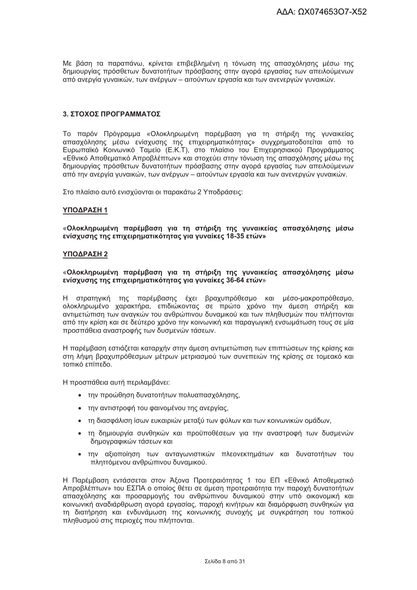Με βάση τα παραπάνω, κρίνεται επιβεβλημένη η τόνωση της απασχόλησης μέσω της δημιουργίας πρόσθετων δυνατοτήτων πρόσβασης στην αγορά εργασίας των απειλούμενων από ανεργία γυναικών, των ανέργων – αιτούντων εργασία και των ανενεργών γυναικών.

#### 3. ΣΤΟΧΟΣ ΠΡΟΓΡΑΜΜΑΤΟΣ

Το παρόν Πρόγραμμα «Ολοκληρωμένη παρέμβαση για τη στήριξη της γυναικείας απασχόλησης μέσω ενίσχυσης της επιχειρηματικότητας» συγχρηματοδοτείται από το Ευρωπαϊκό Κοινωνικό Ταμείο (Ε.Κ.Τ), στο πλαίσιο του Επιχειρησιακού Προγράμματος «Εθνικό Αποθεματικό Απροβλέπτων» και στοχεύει στην τόνωση της απασχόλησης μέσω της δημιουργίας πρόσθετων δυνατοτήτων πρόσβασης στην αγορά εργασίας των απειλούμενων από την ανεργία γυναικών, των ανέργων – αιτούντων εργασία και των ανενεργών γυναικών.

Στο πλαίσιο αυτό ενισχύονται οι παρακάτω 2 Υποδράσεις:

#### ΥΠΟΔΡΑΣΗ 1

«Ολοκληρωμένη παρέμβαση για τη στήριξη της γυναικείας απασχόλησης μέσω ενίσχυσης της επιχειρηματικότητας για γυναίκες 18-35 ετών»

#### ΥΠΟΔΡΑΣΗ 2

#### «Ολοκληρωμένη παρέμβαση για τη στήριξη της γυναικείας απασχόλησης μέσω ενίσχυσης της επιχειρηματικότητας για γυναίκες 36-64 ετών»

Η στρατηγική της παρέμβασης έχει βραχυπρόθεσμο και μέσο-μακροπρόθεσμο, ολοκληρωμένο χαρακτήρα, επιδιώκοντας σε πρώτο χρόνο την άμεση στήριξη και αντιμετώπιση των αναγκών του ανθρώπινου δυναμικού και των πληθυσμών που πλήττονται από την κρίση και σε δεύτερο χρόνο την κοινωνική και παραγωγική ενσωμάτωση τους σε μία προσπάθεια αναστροφής των δυσμενών τάσεων.

Η παρέμβαση εστιάζεται καταρχήν στην άμεση αντιμετώπιση των επιπτώσεων της κρίσης και στη λήψη βραχυπρόθεσμων μέτρων μετριασμού των συνεπειών της κρίσης σε τομεακό και τοπικό επίπεδο.

Η προσπάθεια αυτή περιλαμβάνει:

- την προώθηση δυνατοτήτων πολυαπασχόλησης,
- την αντιστροφή του φαινομένου της ανεργίας,
- τη διασφάλιση ίσων ευκαιριών μεταξύ των φύλων και των κοινωνικών ομάδων.
- τη δημιουργία συνθηκών και προϋποθέσεων για την αναστροφή των δυσμενών δημογραφικών τάσεων και
- την αξιοποίηση των ανταγωνιστικών πλεονεκτημάτων και δυνατοτήτων του πληττόμενου ανθρώπινου δυναμικού.

Η Παρέμβαση εντάσσεται στον Άξονα Προτεραιότητας 1 του ΕΠ «Εθνικό Αποθεματικό Απροβλέπτων» του ΕΣΠΑ ο οποίος θέτει σε άμεση προτεραιότητα την παροχή δυνατοτήτων απασχόλησης και προσαρμογής του ανθρώπινου δυναμικού στην υπό οικονομική και κοινωνική αναδιάρθρωση αγορά εργασίας, παροχή κινήτρων και διαμόρφωση συνθηκών για τη διατήρηση και ενδυνάμωση της κοινωνικής συνοχής με συγκράτηση του τοπικού πληθυσμού στις περιοχές που πλήττονται.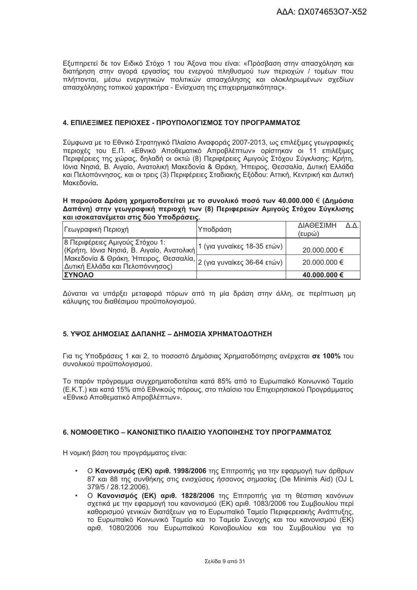Εξυπηρετεί δε τον Ειδικό Στόχο 1 του Άξονα που είναι: «Πρόσβαση στην απασχόληση και διατήρηση στην αγορά εργασίας του ενεργού πληθυσμού των περιοχών / τομέων που πλήττονται, μέσω ενεργητικών πολιτικών απασχόλησης και ολοκληρωμένων σχεδίων απασχόλησης τοπικού χαρακτήρα - Ενίσχυση της επιχειρηματικότητας».

#### 4. ΕΠΙΛΕΞΙΜΕΣ ΠΕΡΙΟΧΕΣ - ΠΡΟΥΠΟΛΟΓΙΣΜΟΣ ΤΟΥ ΠΡΟΓΡΑΜΜΑΤΟΣ

Σύμφωνα με το Εθνικό Στρατηγικό Πλαίσιο Αναφοράς 2007-2013, ως επιλέξιμες γεωγραφικές περιοχές του Ε.Π. «Εθνικό Αποθεματικό Απροβλέπτων» ορίστηκαν οι 11 επιλέξιμες Περιφέρειες της χώρας, δηλαδή οι οκτώ (8) Περιφέρειες Αμιγούς Στόχου Σύγκλισης: Κρήτη, Ιόνια Νησιά, Β. Αιγαίο, Ανατολική Μακεδονία & Θράκη, Ήπειρος, Θεσσαλία, Δυτική Ελλάδα και Πελοπόννησος, και οι τρεις (3) Περιφέρειες Σταδιακής Εξόδου; Αττική, Κεντρική και Δυτική Μακεδονία.

#### Η παρούσα Δράση χρηματοδοτείται με το συνολικό ποσό των 40.000.000 € (Δημόσια Δαπάνη) στην γεωγραφική περιοχή των (8) Περιφερειών Αμιγούς Στόχου Σύγκλισης και ισοκατανέμεται στις δύο Υποδράσεις.

| Γεωγραφική Περιοχή                                                                                         | Υποδράση                    | ΔΙΑΘΕΣΙΜΗ<br>ΔΛ<br>(ευρώ) |
|------------------------------------------------------------------------------------------------------------|-----------------------------|---------------------------|
| 8 Περιφέρειες Αμιγούς Στόχου 1:<br>(Κρήτη, Ιόνια Νησιά, Β. Αιγαίο, Ανατολική)                              | 1 (για γυναίκες 18-35 ετών) | 20.000.000 €              |
| ι κρητή, το τα του απειρος, Θεσσαλία, $ _2$ (για γυναίκες 36-64 ετών)  <br>Δυτική Ελλάδα και Πελοπόννησος) |                             | 20.000.000 €              |
| ΙΣΥΝΟΛΟ                                                                                                    |                             | 40.000.000 €              |

Δύναται να υπάρξει μεταφορά πόρων από τη μία δράση στην άλλη, σε περίπτωση μη κάλυψης του διαθέσιμου προϋπολογισμού.

#### 5. ΥΨΟΣ ΔΗΜΟΣΙΑΣ ΔΑΠΑΝΗΣ – ΔΗΜΟΣΙΑ ΧΡΗΜΑΤΟΔΟΤΗΣΗ

Για τις Υποδράσεις 1 και 2, το ποσοστό Δημόσιας Χρηματοδότησης ανέρχεται σε 100% του συνολικού προϋπολογισμού.

Το παρόν πρόνραμμα συνχρηματοδοτείται κατά 85% από το Ευρωπαϊκό Κοινωνικό Ταμείο (Ε.Κ.Τ.) και κατά 15% από Εθνικούς πόρους, στο πλαίσιο του Επιχειρησιακού Προγράμματος «Εθνικό Αποθεματικό Απροβλέπτων».

#### 6. ΝΟΜΟΘΕΤΙΚΟ – ΚΑΝΟΝΙΣΤΙΚΟ ΠΛΑΙΣΙΟ ΥΛΟΠΟΙΗΣΗΣ ΤΟΥ ΠΡΟΓΡΑΜΜΑΤΟΣ

Η νομική βάση του προγράμματος είναι:

- Ο Κανονισμός (ΕΚ) αριθ. 1998/2006 της Επιτροπής για την εφαρμογή των άρθρων 87 και 88 της συνθήκης στις ενισχύσεις ήσσονος σημασίας (De Minimis Aid) (OJ L 379/5 / 28.12.2006).
- Ο Κανονισμός (ΕΚ) αριθ. 1828/2006 της Επιτροπής για τη θέσπιση κανόνων σχετικά με την εφαρμονή του κανονισμού (ΕΚ) αριθ. 1083/2006 του Συμβουλίου περί καθορισμού νενικών διατάξεων για το Ευρωπαϊκό Ταμείο Περιφερειακής Ανάπτυξης, το Ευρωπαϊκό Κοινωνικό Ταμείο και το Ταμείο Συνοχής και του κανονισμού (ΕΚ) αριθ. 1080/2006 του Ευρωπαϊκού Κοινοβουλίου και του Συμβουλίου για το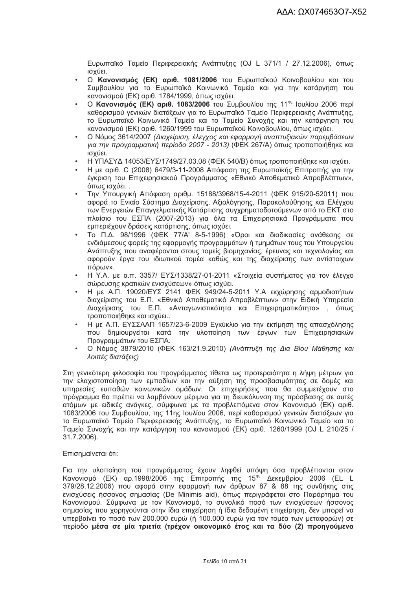Ευρωπαϊκό Ταμείο Περιφερειακής Ανάπτυξης (OJ L 371/1 / 27.12.2006), όπως ισχύει.

- Ο Κανονισμός (ΕΚ) αριθ. 1081/2006 του Ευρωπαϊκού Κοινοβουλίου και του Συμβουλίου για το Ευρωπαϊκό Κοινωνικό Ταμείο και για την κατάργηση του κανονισμού (ΕΚ) αριθ. 1784/1999, όπως ισχύει.
- Ο Κανονισμός (ΕΚ) αριθ. 1083/2006 του Συμβουλίου της 11<sup>ης</sup> Ιουλίου 2006 περί καθορισμού γενικών διατάξεων για το Ευρωπαϊκό Ταμείο Περιφερειακής Ανάπτυξης, το Ευρωπαϊκό Κοινωνικό Ταμείο και το Ταμείο Συνοχής και την κατάργηση του κανονισμού (ΕΚ) αριθ. 1260/1999 του Ευρωπαϊκού Κοινοβουλίου, όπως ισχύει.
- Ο Νόμος 3614/2007 (Διαχείριση, έλεγχος και εφαρμογή αναπτυξιακών παρεμβάσεων  $\ddot{\phantom{a}}$ για την προγραμματική περίοδο 2007 - 2013) (ΦΕΚ 267/Α) όπως τροποποιήθηκε και ισχύει.
- Η ΥΠΑΣΥΔ 14053/ΕΥΣ/1749/27.03.08 (ΦΕΚ 540/Β) όπως τροποποιήθηκε και ισχύει.
- Η με αριθ. C (2008) 6479/3-11-2008 Απόφαση της Ευρωπαϊκής Επιτροπής για την έγκριση του Επιχειρησιακού Προγράμματος «Εθνικό Αποθεματικό Απροβλέπτων», όπως ισχύει...
- Την Υπουργική Απόφαση αριθμ. 15188/3968/15-4-2011 (ΦΕΚ 915/20-52011) που αφορά το Ενιαίο Σύστημα Διαχείρισης, Αξιολόγησης, Παρακολούθησης και Ελέγχου των Ενεργειών Επαγγελματικής Κατάρτισης συγχρηματοδοτούμενων από το ΕΚΤ στο πλαίσιο του ΕΣΠΑ (2007-2013) για όλα τα Επιχειρησιακά Προγράμματα που εμπεριέχουν δράσεις κατάρτισης, όπως ισχύει.
- Το Π.Δ. 98/1996 (ΦΕΚ 77/Α' 8-5-1996) «Όροι και διαδικασίες ανάθεσης σε ενδιάμεσους φορείς της εφαρμογής προγραμμάτων ή τμημάτων τους του Υπουργείου Ανάπτυξης που αναφέρονται στους τομείς βιομηχανίας, έρευνας και τεχνολογίας και αφορούν έργα του ιδιωτικού τομέα καθώς και της διαχείρισης των αντίστοιχων πόρων».
- Η Υ.Α. με α.π. 3357/ ΕΥΣ/1338/27-01-2011 «Στοιχεία συστήματος για τον έλενχο σώρευσης κρατικών ενισχύσεων» όπως ισχύει.
- Η με Α.Π. 19020/ΕΥΣ 2141 ΦΕΚ 949/24-5-2011 Υ.Α εκχώρησης αρμοδιοτήτων διαχείρισης του Ε.Π. «Εθνικό Αποθεματικό Απροβλέπτων» στην Ειδική Υπηρεσία Διαχείρισης του Ε.Π. «Ανταγωνιστικότητα και Επιχειρηματικότητα», όπως τροποποιήθηκε και ισχύει..
- Η με Α.Π. ΕΥΣΣΑΑΠ 1657/23-6-2009 Εγκύκλιο για την εκτίμηση της απασχόλησης που δημιουργείται κατά την υλοποίηση των έργων των Επιχειρησιακών Προγραμμάτων του ΕΣΠΑ.
- Ο Νόμος 3879/2010 (ΦΕΚ 163/21.9.2010) (Ανάπτυξη της Δια Βίου Μάθησης και λοιπές διατάξεις)

Στη γενικότερη φιλοσοφία του προνράμματος τίθεται ως προτεραιότητα η λήψη μέτρων για την ελαχιστοποίηση των εμποδίων και την αύξηση της προσβασιμότητας σε δομές και υπηρεσίες ευπαθών κοινωνικών ομάδων. Οι επιχειρήσεις που θα συμμετέχουν στο πρόγραμμα θα πρέπει να λαμβάνουν μέριμνα για τη διευκόλυνση της πρόσβασης σε αυτές ατόμων με ειδικές ανάγκες, σύμφωνα με τα προβλεπόμενα στον Κανονισμό (ΕΚ) αριθ. 1083/2006 του Συμβουλίου, της 11ης Ιουλίου 2006, περί καθορισμού γενικών διατάξεων για το Ευρωπαϊκό Ταμείο Περιφερειακής Ανάπτυξης, το Ευρωπαϊκό Κοινωνικό Ταμείο και το Ταμείο Συνοχής και την κατάργηση του κανονισμού (ΕΚ) αριθ. 1260/1999 (OJ L 210/25 / 31.7.2006).

#### Επισημαίνεται ότι:

Για την υλοποίηση του προγράμματος έχουν ληφθεί υπόψη όσα προβλέπονται στον Κανονισμό (ΕΚ) αρ.1998/2006 της Επιτροπής της 15<sup>ης</sup> Δεκεμβρίου 2006 (EL L 379/28.12.2006) που αφορά στην εφαρμογή των άρθρων 87 & 88 της συνθήκης στις ενισχύσεις ήσσονος σημασίας (De Minimis aid), όπως περιγράφεται στο Παράρτημα του Κανονισμού. Σύμφωνα με τον Κανονισμό, το συνολικό ποσό των ενισχύσεων ήσσονος σημασίας που χορηγούνται στην ίδια επιχείρηση ή ίδια δεδομένη επιχείρηση, δεν μπορεί να υπερβαίνει το ποσό των 200.000 ευρώ (ή 100.000 ευρώ για τον τομέα των μεταφορών) σε περίοδο μέσα σε μία τριετία (τρέχον οικονομικό έτος και τα δύο (2) προηγούμενα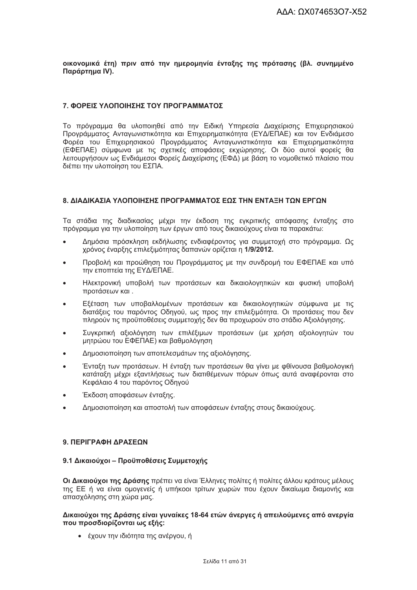οικονομικά έτη) πριν από την ημερομηνία ένταξης της πρότασης (βλ. συνημμένο Παράρτημα IV).

#### 7. ΦΟΡΕΙΣ ΥΛΟΠΟΙΗΣΗΣ ΤΟΥ ΠΡΟΓΡΑΜΜΑΤΟΣ

Το πρόνραμμα θα υλοποιηθεί από την Ειδική Υπηρεσία Διαχείρισης Επιχειρησιακού Προγράμματος Ανταγωνιστικότητα και Επιχειρηματικότητα (ΕΥΔ/ΕΠΑΕ) και τον Ενδιάμεσο Φορέα του Επιχειρησιακού Προγράμματος Ανταγωνιστικότητα και Επιχειρηματικότητα (ΕΦΕΠΑΕ) σύμφωνα με τις σχετικές αποφάσεις εκχώρησης. Οι δύο αυτοί φορείς θα λειτουργήσουν ως Ενδιάμεσοι Φορείς Διαχείρισης (ΕΦΔ) με βάση το νομοθετικό πλαίσιο που διέπει την υλοποίηση του ΕΣΠΑ.

#### 8. ΔΙΑΔΙΚΑΣΙΑ ΥΛΟΠΟΙΗΣΗΣ ΠΡΟΓΡΑΜΜΑΤΟΣ ΕΩΣ ΤΗΝ ΕΝΤΑΞΗ ΤΩΝ ΕΡΓΩΝ

Τα στάδια της διαδικασίας μέχρι την έκδοση της εγκριτικής απόφασης ένταξης στο πρόγραμμα για την υλοποίηση των έργων από τους δικαιούχους είναι τα παρακάτω:

- Δημόσια πρόσκληση εκδήλωσης ενδιαφέροντος για συμμετοχή στο πρόγραμμα. Ως  $\bullet$ χρόνος έναρξης επιλεξιμότητας δαπανών ορίζεται η 1/9/2012.
- Προβολή και προώθηση του Προγράμματος με την συνδρομή του ΕΦΕΠΑΕ και υπό την εποπτεία της ΕΥΔ/ΕΠΑΕ.
- Ηλεκτρονική υποβολή των προτάσεων και δικαιολονητικών και φυσική υποβολή προτάσεων και.
- Εξέταση των υποβαλλομένων προτάσεων και δικαιολογητικών σύμφωνα με τις διατάξεις του παρόντος Οδηγού, ως προς την επιλεξιμότητα. Οι προτάσεις που δεν πληρούν τις προϋποθέσεις συμμετοχής δεν θα προχωρούν στο στάδιο Αξιολόγησης.
- Συγκριτική αξιολόγηση των επιλέξιμων προτάσεων (με χρήση αξιολογητών του μητρώου του ΕΦΕΠΑΕ) και βαθμολόγηση
- Δημοσιοποίηση των αποτελεσμάτων της αξιολόνησης.
- Ένταξη των προτάσεων. Η ένταξη των προτάσεων θα γίνει με φθίνουσα βαθμολογική κατάταξη μέχρι εξαντλήσεως των διατιθέμενων πόρων όπως αυτά αναφέρονται στο Κεφάλαιο 4 του παρόντος Οδηνού
- Έκδοση αποφάσεων ένταξης.
- Δημοσιοποίηση και αποστολή των αποφάσεων ένταξης στους δικαιούχους.

#### 9 ΠΕΡΙΓΡΑΦΗ ΛΡΑΣΕΩΝ

#### 9.1 Δικαιούχοι - Προϋποθέσεις Συμμετοχής

Οι Δικαιούχοι της Δράσης πρέπει να είναι Έλληνες πολίτες ή πολίτες άλλου κράτους μέλους της ΕΕ ή να είναι ομογενείς ή υπήκοοι τρίτων χωρών που έχουν δικαίωμα διαμονής και απασχόλησης στη χώρα μας.

#### Δικαιούχοι της Δράσης είναι γυναίκες 18-64 ετών άνεργες ή απειλούμενες από ανεργία που προσδιορίζονται ως εξής:

• έχουν την ιδιότητα της ανέργου, ή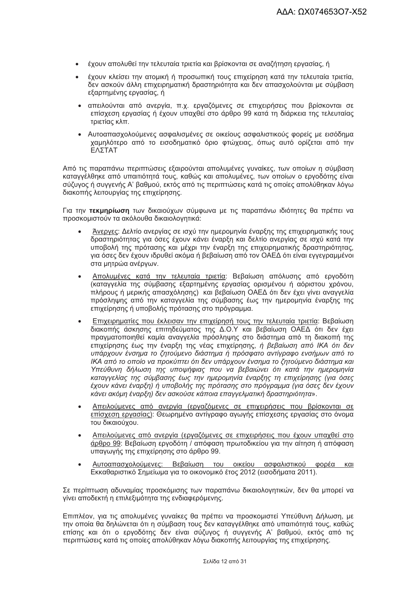- έχουν απολυθεί την τελευταία τριετία και βρίσκονται σε αναζήτηση εργασίας, ή
- έχουν κλείσει την ατομική ή προσωπική τους επιχείρηση κατά την τελευταία τριετία. δεν ασκούν άλλη επιχειρηματική δραστηριότητα και δεν απασχολούνται με σύμβαση εξαρτημένης εργασίας, ή
- απειλούνται από ανερνία. π.χ. ερναζόμενες σε επιχειρήσεις που βρίσκονται σε επίσχεση εργασίας ή έχουν υπαχθεί στο άρθρο 99 κατά τη διάρκεια της τελευταίας τοιετίας κλπ.
- · Αυτοαπασχολούμενες ασφαλισμένες σε οικείους ασφαλιστικούς φορείς με εισόδημα χαμηλότερο από το εισοδηματικό όριο φτώχειας, όπως αυτό ορίζεται από την ΕΛΣΤΑΤ

Από τις παραπάνω περιπτώσεις εξαιρούνται απολυμένες γυναίκες, των οποίων η σύμβαση καταγγέλθηκε από υπαιτιότητά τους, καθώς και απολυμένες, των οποίων ο εργοδότης είναι σύζυγος ή συγγενής Α' βαθμού, εκτός από τις περιπτώσεις κατά τις οποίες απολύθηκαν λόγω διακοπής λειτουργίας της επιχείρησης.

Για την τεκμηρίωση των δικαιούχων σύμφωνα με τις παραπάνω ιδιότητες θα πρέπει να προσκομιστούν τα ακόλουθα δικαιολογητικά:

- Άνεργες: Δελτίο ανεργίας σε ισχύ την ημερομηνία έναρξης της επιχειρηματικής τους δραστηριότητας για όσες έχουν κάνει έναρξη και δελτίο ανεργίας σε ισχύ κατά την υποβολή της πρότασης και μέχρι την έναρξη της επιχειρηματικής δραστηριότητας, για όσες δεν έχουν ιδρυθεί ακόμα ή βεβαίωση από τον ΟΑΕΔ ότι είναι εγγεγραμμένοι στα μητρώα ανέργων.
- Απολυμένες κατά την τελευταία τριετία: Βεβαίωση απόλυσης από εργοδότη (καταγγελία της σύμβασης εξαρτημένης εργασίας ορισμένου ή αόριστου χρόνου, πλήρους ή μερικής απασχόλησης) και βεβαίωση ΟΑΕΔ ότι δεν έχει γίνει αναγγελία πρόσληψης από την καταγγελία της σύμβασης έως την ημερομηνία έναρξης της επιχείρησης ή υποβολής πρότασης στο πρόγραμμα.
- Επιχειρηματίες που έκλεισαν την επιχείρησή τους την τελευταία τριετία: Βεβαίωση διακοπής άσκησης επιτηδεύματος της Δ.Ο.Υ και βεβαίωση ΟΑΕΔ ότι δεν έχει πραγματοποιηθεί καμία αναγγελία πρόσληψης στο διάστημα από τη διακοπή της επιχείρησης έως την έναρξη της νέας επιχείρησης, ή βεβαίωση από ΙΚΑ ότι δεν υπάρχουν ένσημα το ζητούμενο διάστημα ή πρόσφατο αντίγραφο ενσήμων από το ΙΚΑ από το οποίο να προκύπτει ότι δεν υπάρχουν ένσημα το ζητούμενο διάστημα και Υπεύθυνη δήλωση της υποψήφιας που να βεβαιώνει ότι κατά την ημερομηνία καταγγελίας της σύμβασης έως την ημερομηνία έναρξης τη επιχείρησης (για όσες έχουν κάνει έναρξη) ή υποβολής της πρότασης στο πρόγραμμα (για όσες δεν έχουν κάνει ακόμη έναρξη) δεν ασκούσε κάποια επαγγελματική δραστηριότητα».
- Απειλούμενες από ανεργία (εργαζόμενες σε επιχειρήσεις που βρίσκονται σε επίσχεση εργασίας): Θεωρημένο αντίγραφο αγωγής επίσχεσης εργασίας στο όνομα του δικαιούχου.
- Απειλούμενες από ανεργία (εργαζόμενες σε επιχειρήσεις που έχουν υπαχθεί στο άρθρο 99: Βεβαίωση εργοδότη / απόφαση πρωτοδικείου για την αίτηση ή απόφαση υπαγωγής της επιχείρησης στο άρθρο 99.
- Αυτοαπασχολούμενες: Βεβαίωση του οικείου ασφαλιστικού φορέα και Εκκαθαριστικό Σημείωμα για το οικονομικό έτος 2012 (εισοδήματα 2011).

Σε περίπτωση αδυναμίας προσκόμισης των παραπάνω δικαιολογητικών, δεν θα μπορεί να γίνει αποδεκτή η επιλεξιμότητα της ενδιαφερόμενης.

Επιπλέον, για τις απολυμένες γυναίκες θα πρέπει να προσκομιστεί Υπεύθυνη Δήλωση, με την οποία θα δηλώνεται ότι η σύμβαση τους δεν καταγγέλθηκε από υπαιτιότητά τους, καθώς επίσης και ότι ο εργοδότης δεν είναι σύζυγος ή συγγενής Α' βαθμού, εκτός από τις περιπτώσεις κατά τις οποίες απολύθηκαν λόγω διακοπής λειτουργίας της επιχείρησης.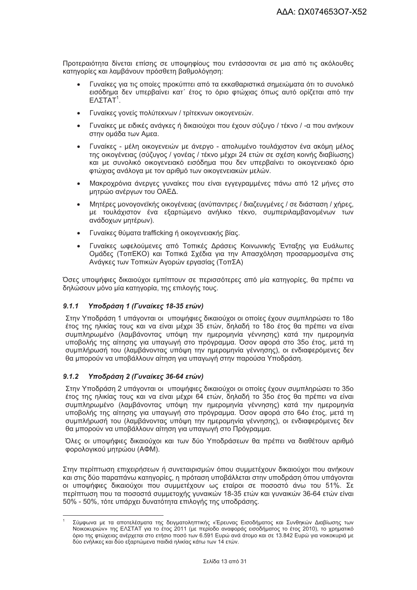Προτεραιότητα δίνεται επίσης σε υποψηφίους που εντάσσονται σε μια από τις ακόλουθες κατηγορίες και λαμβάνουν πρόσθετη βαθμολόγηση:

- Γυναίκες για τις οποίες προκύπτει από τα εκκαθαριστικά σημειώματα ότι το συνολικό εισόδημα δεν υπερβαίνει κατ΄ έτος το όριο φτώχιας όπως αυτό ορίζεται από την  $E$ ΛΣΤΑΤ<sup>1</sup>.
- · Γυναίκες γονείς πολύτεκνων / τρίτεκνων οικογενειών.
- Γυναίκες με ειδικές ανάγκες ή δικαιούχοι που έχουν σύζυγο / τέκνο / -α που ανήκουν στην ομάδα των Αμεα.
- Γυναίκες μέλη οικογενειών με άνεργο απολυμένο τουλάχιστον ένα ακόμη μέλος της οικογένειας (σύζυγος / γονέας / τέκνο μέχρι 24 ετών σε σχέση κοινής διαβίωσης) και με συνολικό οικογενειακό εισόδημα που δεν υπερβαίνει το οικογενειακό όριο φτώχιας ανάλογα με τον αριθμό των οικογενειακών μελών.
- Μακροχρόνια άνεργες γυναίκες που είναι εγγεγραμμένες πάνω από 12 μήνες στο μητρώο ανέργων του ΟΑΕΔ.
- Μητέρες μονογονεϊκής οικογένειας (ανύπαντρες / διαζευγμένες / σε διάσταση / χήρες, με τουλάχιστον ένα εξαρτώμενο ανήλικο τέκνο, συμπεριλαμβανομένων των ανάδοχων μητέρων).
- Γυναίκες θύματα trafficking ή οικογενειακής βίας.
- Γυναίκες ωφελούμενες από Τοπικές Δράσεις Κοινωνικής Ένταξης νια Ευάλωτες Ομάδες (ΤοπΕΚΟ) και Τοπικά Σχέδια για την Απασχόληση προσαρμοσμένα στις Ανάγκες των Τοπικών Αγορών εργασίας (ΤοπΣΑ)

Όσες υποψήφιες δικαιούχοι εμπίπτουν σε περισσότερες από μία κατηνορίες. θα πρέπει να δηλώσουν μόνο μία κατηγορία, της επιλογής τους.

#### $9.1.1$ Υποδράση 1 (Γυναίκες 18-35 ετών)

Στην Υποδράση 1 υπάγονται οι υποψήφιες δικαιούχοι οι οποίες έχουν συμπληρώσει το 18ο έτος της ηλικίας τους και να είναι μέχρι 35 ετών, δηλαδή το 18ο έτος θα πρέπει να είναι συμπληρωμένο (λαμβάνοντας υπόψη την ημερομηνία γέννησης) κατά την ημερομηνία υποβολής της αίτησης για υπαγωγή στο πρόγραμμα. Όσον αφορά στο 35ο έτος, μετά τη συμπλήρωσή του (λαμβάνοντας υπόψη την ημερομηνία γέννησης), οι ενδιαφερόμενες δεν θα μπορούν να υποβάλλουν αίτηση για υπαγωγή στην παρούσα Υποδράση.

#### Υποδράση 2 (Γυναίκες 36-64 ετών)  $9.1.2$

Στην Υποδράση 2 υπάνονται οι υποψήφιες δικαιούχοι οι οποίες έχουν συμπληρώσει το 35ο έτος της ηλικίας τους και να είναι μέχρι 64 ετών, δηλαδή το 35ο έτος θα πρέπει να είναι συμπληρωμένο (λαμβάνοντας υπόψη την ημερομηνία γέννησης) κατά την ημερομηνία υποβολής της αίτησης για υπανωνή στο πρόνραμμα. Όσον αφορά στο 64ο έτος, μετά τη συμπλήρωσή του (λαμβάνοντας υπόψη την ημερομηνία γέννησης), οι ενδιαφερόμενες δεν θα μπορούν να υποβάλλουν αίτηση για υπαγωγή στο Πρόγραμμα.

Όλες οι υποψήφιες δικαιούχοι και των δύο Υποδράσεων θα πρέπει να διαθέτουν αριθμό φορολογικού μητρώου (ΑΦΜ).

Στην περίπτωση επιχειρήσεων ή συνεταιρισμών όπου συμμετέχουν δικαιούχοι που ανήκουν και στις δύο παραπάνω κατηγορίες, η πρόταση υποβάλλεται στην υποδράση όπου υπάγονται οι υποψήφιες δικαιούχοι που συμμετέχουν ως εταίροι σε ποσοστό άνω του 51%. Σε περίπτωση που τα ποσοστά συμμετοχής γυναικών 18-35 ετών και γυναικών 36-64 ετών είναι 50% - 50%, τότε υπάρχει δυνατότητα επιλογής της υποδράσης.

Σύμφωνα με τα αποτελέσματα της δειγματοληπτικής «Έρευνας Εισοδήματος και Συνθηκών Διαβίωσης των Νοικοκυριών» της ΕΛΣΤΑΤ για το έτος 2011 (με περίοδο αναφοράς εισοδήματος το έτος 2010), το χρηματικό όριο της φτώχειας ανέρχεται στο ετήσιο ποσό των 6.591 Ευρώ ανά άτομο και σε 13.842 Ευρώ για νοικοκυριά με δύο ενήλικες και δύο εξαρτώμενα παιδιά ηλικίας κάτω των 14 ετών.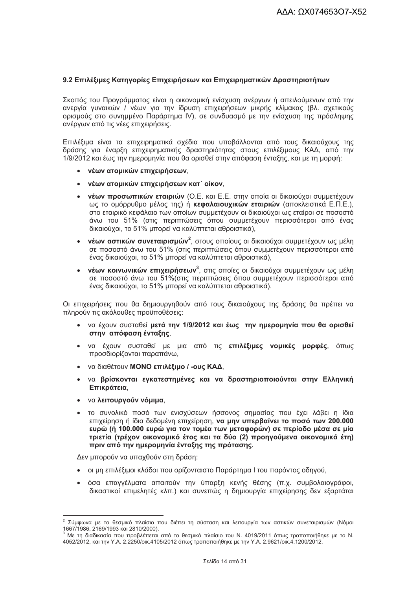#### 9.2 Επιλέξιμες Κατηγορίες Επιχειρήσεων και Επιχειρηματικών Δραστηριοτήτων

Σκοπός του Προγράμματος είναι η οικονομική ενίσχυση ανέργων ή απειλούμενων από την ανεργία γυναικών / νέων για την ίδρυση επιχειρήσεων μικρής κλίμακας (βλ. σχετικούς ορισμούς στο συνημμένο Παράρτημα IV), σε συνδυασμό με την ενίσχυση της πρόσληψης ανέργων από τις νέες επιχειρήσεις.

Επιλέξιμα είναι τα επιχειρηματικά σχέδια που υποβάλλονται από τους δικαιούχους της δράσης για έναρξη επιχειρηματικής δραστηριότητας στους επιλέξιμους ΚΑΔ, από την 1/9/2012 και έως την ημερομηνία που θα ορισθεί στην απόφαση ένταξης, και με τη μορφή:

- νέων ατομικών επιχειρήσεων.
- νέων ατομικών επιχειρήσεων κατ΄ οίκον.
- νέων προσωπικών εταιριών (Ο.Ε. και Ε.Ε. στην οποία οι δικαιούχοι συμμετέχουν ως το ομόρρυθμο μέλος της) ή κεφαλαιουχικών εταιριών (αποκλειστικά Ε.Π.Ε.). στο εταιρικό κεφάλαιο των οποίων συμμετέχουν οι δικαιούχοι ως εταίροι σε ποσοστό άνω του 51% (στις περιπτώσεις όπου συμμετέχουν περισσότεροι από ένας δικαιούχοι, το 51% μπορεί να καλύπτεται αθροιστικά).
- νέων αστικών συνεταιρισμών<sup>2</sup>, στους οποίους οι δικαιούχοι συμμετέχουν ως μέλη  $\bullet$ σε ποσοστό άνω του 51% (στις περιπτώσεις όπου συμμετέχουν περισσότεροι από ένας δικαιούχοι, το 51% μπορεί να καλύπτεται αθροιστικά).
- νέων κοινωνικών επιχειρήσεων<sup>3</sup>, στις οποίες οι δικαιούχοι συμμετέχουν ως μέλη σε ποσοστό άνω του 51% (στις περιπτώσεις όπου συμμετέχουν περισσότεροι από ένας δικαιούχοι, το 51% μπορεί να καλύπτεται αθροιστικά).

Οι επιχειρήσεις που θα δημιουργηθούν από τους δικαιούχους της δράσης θα πρέπει να πληρούν τις ακόλουθες προϋποθέσεις:

- να έχουν συσταθεί μετά την 1/9/2012 και έως την ημερομηνία που θα ορισθεί στην απόφαση ένταξης,
- · να έχουν συσταθεί με μια από τις επιλέξιμες νομικές μορφές, όπως προσδιορίζονται παραπάνω,
- να διαθέτουν ΜΟΝΟ επιλέξιμο / -ους ΚΑΔ.
- να βρίσκονται εγκατεστημένες και να δραστηριοποιούνται στην Ελληνική Επικράτεια.
- να λειτουργούν νόμιμα,
- το συνολικό ποσό των ενισχύσεων ήσσονος σημασίας που έχει λάβει η ίδια επιχείρηση ή ίδια δεδομένη επιχείρηση, να μην υπερβαίνει το ποσό των 200.000 ευρώ (ή 100.000 ευρώ για τον τομέα των μεταφορών) σε περίοδο μέσα σε μία τριετία (τρέχον οικονομικό έτος και τα δύο (2) προηνούμενα οικονομικά έτη) πριν από την ημερομηνία ένταξης της πρότασης.

Δεν μπορούν να υπαχθούν στη δράση:

- οι μη επιλέξιμοι κλάδοι που ορίζονταιστο Παράρτημα Ι του παρόντος οδηνού.
- · όσα επαγγέλματα απαιτούν την ύπαρξη κενής θέσης (π.χ. συμβολαιογράφοι, δικαστικοί επιμελητές κλπ.) και συνεπώς η δημιουργία επιχείρησης δεν εξαρτάται

<sup>&</sup>lt;sup>2</sup> Σύμφωνα με το θεσμικό πλαίσιο που διέπει τη σύσταση και λειτουργία των αστικών συνεταιρισμών (Νόμοι 1667/1986, 2169/1993 και 2810/2000).

Με τη διαδικασία που προβλέπεται από το θεσμικό πλαίσιο του Ν. 4019/2011 όπως τροποποιήθηκε με το Ν. 4052/2012, και την Υ.Α. 2.2250/οικ.4105/2012 όπως τροποποιήθηκε με την Υ.Α. 2.9621/οικ.4.1200/2012.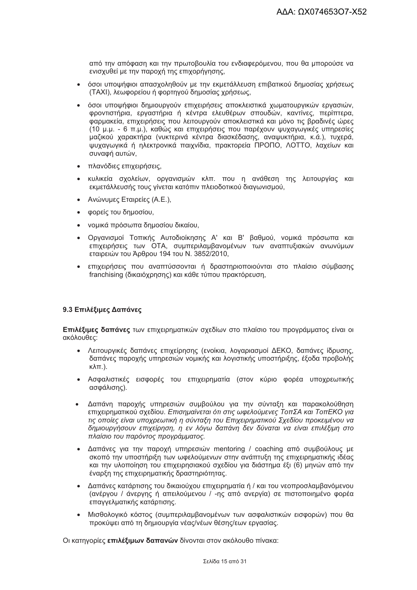από την απόφαση και την πρωτοβουλία του ενδιαφερόμενου, που θα μπορούσε να ενισχυθεί με την παροχή της επιχορήγησης,

- όσοι υποψήφιοι απασχοληθούν με την εκμετάλλευση επιβατικού δημοσίας χρήσεως (TAXI), λεωφορείου ή φορτηγού δημοσίας χρήσεως,
- όσοι υποψήφιοι δημιουργούν επιχειρήσεις αποκλειστικά χωματουργικών εργασιών. φροντιστήρια, εργαστήρια ή κέντρα ελευθέρων σπουδών, καντίνες, περίπτερα, φαρμακεία, επιχειρήσεις που λειτουργούν αποκλειστικά και μόνο τις βραδινές ώρες (10 μ.μ. - 6 π.μ.), καθώς και επιχειρήσεις που παρέχουν ψυχανωνικές υπηρεσίες μαζικού χαρακτήρα (νυκτερινά κέντρα διασκέδασης, αναψυκτήρια, κ.ά.), τυχερά, ψυχαγωγικά ή ηλεκτρονικά παιχνίδια, πρακτορεία ΠΡΟΠΟ, ΛΟΤΤΟ, λαχείων και συναφή αυτών.
- πλανόδιες επιχειρήσεις,
- κυλικεία σχολείων, οργανισμών κλπ. που η ανάθεση της λειτουργίας και εκμετάλλευσής τους γίνεται κατόπιν πλειοδοτικού διαγωνισμού,
- Ανώνυμες Εταιρείες (Α.Ε.).
- φορείς του δημοσίου,
- νομικά πρόσωπα δημοσίου δικαίου,
- Οργανισμοί Τοπικής Αυτοδιοίκησης Α' και Β' βαθμού, νομικά πρόσωπα και επιχειρήσεις των ΟΤΑ, συμπεριλαμβανομένων των αναπτυξιακών ανωνύμων εταιρειών του Άρθρου 194 του Ν. 3852/2010,
- επιχειρήσεις που αναπτύσσονται ή δραστηριοποιούνται στο πλαίσιο σύμβασης franchising (δικαιόχρησης) και κάθε τύπου πρακτόρευση,

#### 9.3 Επιλέξιμες Δαπάνες

Επιλέξιμες δαπάνες των επιχειρηματικών σχεδίων στο πλαίσιο του προγράμματος είναι οι ακόλουθες:

- Λειτουργικές δαπάνες επιχείρησης (ενοίκια, λογαριασμοί ΔΕΚΟ, δαπάνες ίδρυσης, δαπάνες παροχής υπηρεσιών νομικής και λογιστικής υποστήριξης, έξοδα προβολής  $\kappa\lambda\pi$ .).
- Ασφαλιστικές εισφορές του επιχειρηματία (στον κύριο φορέα υποχρεωτικής ασφάλισης).
- Δαπάνη παροχής υπηρεσιών συμβούλου για την σύνταξη και παρακολούθηση  $\bullet$ επιχειρηματικού σχεδίου. Επισημαίνεται ότι στις ωφελούμενες ΤοπΣΑ και ΤοπΕΚΟ για τις οποίες είναι υποχρεωτική η σύνταξη του Επιχειρηματικού Σχεδίου προκειμένου να δημιουργήσουν επιχείρηση, η εν λόγω δαπάνη δεν δύναται να είναι επιλέξιμη στο πλαίσιο του παρόντος προγράμματος.
- Δαπάνες για την παροχή υπηρεσιών mentoring / coaching από συμβούλους με σκοπό την υποστήριξη των ωφελούμενων στην ανάπτυξη της επιχειρηματικής ιδέας και την υλοποίηση του επιχειρησιακού σχεδίου για διάστημα έξι (6) μηνών από την έναρξη της επιχειρηματικής δραστηριότητας.
- Δαπάνες κατάρτισης του δικαιούχου επιχειρηματία ή / και του νεοπροσλαμβανόμενου (ανέργου / άνεργης ή απειλούμενου / -ης από ανεργία) σε πιστοποιημένο φορέα επαγγελματικής κατάρτισης.
- Μισθολογικό κόστος (συμπεριλαμβανομένων των ασφαλιστικών εισφορών) που θα προκύψει από τη δημιουργία νέας/νέων θέσης/εων εργασίας.

Οι κατηγορίες επιλέξιμων δαπανών δίνονται στον ακόλουθο πίνακα: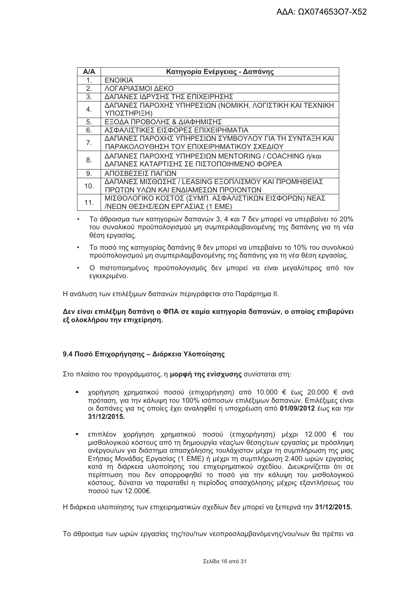| A/A             | Κατηγορία Ενέργειας - Δαπάνης                            |
|-----------------|----------------------------------------------------------|
| 1.              | <b>ENOIKIA</b>                                           |
| 2.              | ΛΟΓΑΡΙΑΣΜΟΙ ΔΕΚΟ                                         |
| 3.              | ΔΑΠΑΝΕΣ ΙΔΡΥΣΗΣ ΤΗΣ ΕΠΙΧΕΙΡΗΣΗΣ                          |
| 4.              | ΔΑΠΑΝΕΣ ΠΑΡΟΧΗΣ ΥΠΗΡΕΣΙΩΝ (ΝΟΜΙΚΗ, ΛΟΓΙΣΤΙΚΗ ΚΑΙ ΤΕΧΝΙΚΗ |
|                 | ΥΠΟΣΤΗΡΙΞΗ)                                              |
| 5.              | ΕΞΟΔΑ ΠΡΟΒΟΛΗΣ & ΔΙΑΦΗΜΙΣΗΣ                              |
| 6.              | ΑΣΦΑΛΙΣΤΙΚΕΣ ΕΙΣΦΟΡΕΣ ΕΠΙΧΕΙΡΗΜΑΤΙΑ                      |
| 7.              | ΔΑΠΑΝΕΣ ΠΑΡΟΧΗΣ ΥΠΗΡΕΣΙΩΝ ΣΥΜΒΟΥΛΟΥ ΓΙΑ ΤΗ ΣΥΝΤΑΞΗ ΚΑΙ   |
|                 | ΠΑΡΑΚΟΛΟΥΘΗΣΗ ΤΟΥ ΕΠΙΧΕΙΡΗΜΑΤΙΚΟΥ ΣΧΕΔΙΟΥ                |
| 8.              | ΔΑΠΑΝΕΣ ΠΑΡΟΧΗΣ ΥΠΗΡΕΣΙΩΝ ΜΕΝΤΟRING / COACHING ή/και     |
|                 | ΔΑΠΑΝΕΣ ΚΑΤΑΡΤΙΣΗΣ ΣΕ ΠΙΣΤΟΠΟΙΗΜΕΝΟ ΦΟΡΕΑ                |
| 9.              | ΑΠΟΣΒΕΣΕΙΣ ΠΑΓΙΩΝ                                        |
| 10 <sub>1</sub> | ΔΑΠΑΝΕΣ ΜΙΣΘΩΣΗΣ / LEASING ΕΞΟΠΛΙΣΜΟΥ ΚΑΙ ΠΡΟΜΗΘΕΙΑΣ     |
|                 | ΠΡΩΤΩΝ ΥΛΩΝ ΚΑΙ ΕΝΔΙΑΜΕΣΩΝ ΠΡΟΙΟΝΤΩΝ                     |
| 11.             | ΜΙΣΘΟΛΟΓΙΚΟ ΚΟΣΤΟΣ (ΣΥΜΠ. ΑΣΦΑΛΙΣΤΙΚΩΝ ΕΙΣΦΟΡΩΝ) ΝΕΑΣ    |
|                 | /ΝΕΩΝ ΘΕΣΗΣ/ΕΩΝ ΕΡΓΑΣΙΑΣ (1 ΕΜΕ)                         |

- Το άθροισμα των κατηγοριών δαπανών 3, 4 και 7 δεν μπορεί να υπερβαίνει το 20% του συνολικού προϋπολογισμού μη συμπεριλαμβανομένης της δαπάνης για τη νέα θέση ερνασίας.
- Το ποσό της κατηγορίας δαπάνης 9 δεν μπορεί να υπερβαίνει το 10% του συνολικού προϋπολογισμού μη συμπεριλαμβανομένης της δαπάνης για τη νέα θέση εργασίας.
- Ο πιστοποιημένος προϋπολονισμός δεν μπορεί να είναι μεναλύτερος από τον εγκεκριμένο.

Η ανάλυση των επιλέξιμων δαπανών περιγράφεται στο Παράρτημα ΙΙ.

Δεν είναι επιλέξιμη δαπάνη ο ΦΠΑ σε καμία κατηγορία δαπανών, ο οποίος επιβαρύνει εξ ολοκλήρου την επιχείρηση.

#### 9.4 Ποσό Επιχορήνησης - Διάρκεια Υλοποίησης

Στο πλαίσιο του προγράμματος, η μορφή της ενίσχυσης συνίσταται στη:

- χορήγηση χρηματικού ποσού (επιχορήγηση) από 10.000 € έως 20.000 € ανά πρόταση, για την κάλυψη του 100% ισόποσων επιλέξιμων δαπανών. Επιλέξιμες είναι οι δαπάνες για τις οποίες έχει αναληφθεί η υποχρέωση από 01/09/2012 έως και την 31/12/2015.
- επιπλέον χορήγηση χρηματικού ποσού (επιχορήγηση) μέχρι 12.000 € του μισθολογικού κόστους από τη δημιουργία νέας/ων θέσης/εων εργασίας με πρόσληψη ανέργου/ων για διάστημα απασχόλησης τουλάχιστον μέχρι τη συμπλήρωση της μιας Ετήσιας Μονάδας Εργασίας (1 ΕΜΕ) ή μέχρι τη συμπλήρωση 2.400 ωρών εργασίας κατά τη διάρκεια υλοποίησης του επιχειρηματικού σχεδίου. Διευκρινίζεται ότι σε περίπτωση που δεν απορροφηθεί το ποσό για την κάλυψη του μισθολογικού κόστους, δύναται να παραταθεί η περίοδος απασχόλησης μέχρις εξαντλήσεως του ποσού των 12.000€.

Η διάρκεια υλοποίησης των επιχειρηματικών σχεδίων δεν μπορεί να ξεπερνά την 31/12/2015.

Το άθροισμα των ωρών εργασίας της/του/των νεοπροσλαμβανόμενης/νου/νων θα πρέπει να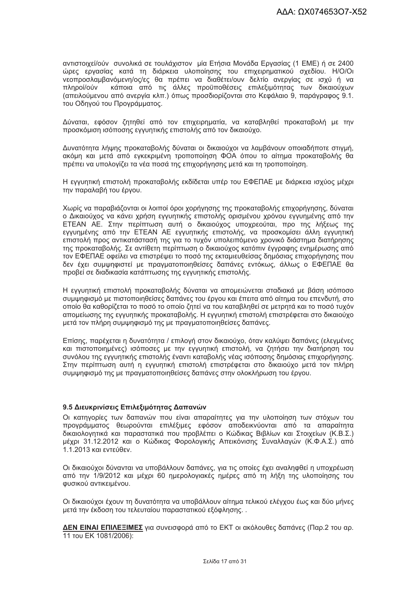αντιστοιχεί/ούν συνολικά σε τουλάχιστον μία Ετήσια Μονάδα Εργασίας (1 ΕΜΕ) ή σε 2400 ώρες εργασίας κατά τη διάρκεια υλοποίησης του επιχειρηματικού σχεδίου. Η/Ο/Οι νεοπροσλαμβανόμενη/ος/ες θα πρέπει να διαθέτει/ουν δελτίο ανεργίας σε ισχύ ή να πληροί/ούν κάποια από τις άλλες προϋποθέσεις επιλεξιμότητας των δικαιούχων (απειλούμενου από ανεργία κλπ.) όπως προσδιορίζονται στο Κεφάλαιο 9, παράγραφος 9.1. του Οδηγού του Προγράμματος.

Δύναται, εφόσον ζητηθεί από τον επιχειρηματία, να καταβληθεί προκαταβολή με την προσκόμιση ισόποσης εγγυητικής επιστολής από τον δικαιούχο.

Δυνατότητα λήψης προκαταβολής δύναται οι δικαιούχοι να λαμβάνουν οποιαδήποτε στιγμή, ακόμη και μετά από εγκεκριμένη τροποποίηση ΦΟΑ όπου το αίτημα προκαταβολής θα πρέπει να υπολογίζει τα νέα ποσά της επιχορήγησης μετά και τη τροποποίηση.

Η εγγυητική επιστολή προκαταβολής εκδίδεται υπέρ του ΕΦΕΠΑΕ με διάρκεια ισχύος μέχρι την παραλαβή του έργου.

Χωρίς να παραβιάζονται οι λοιποί όροι χορήγησης της προκαταβολής επιχορήγησης, δύναται ο Δικαιούχος να κάνει χρήση εγγυητικής επιστολής ορισμένου χρόνου εγγυημένης από την ΕΤΕΑΝ ΑΕ. Στην περίπτωση αυτή ο δικαιούχος υποχρεούται, προ της λήξεως της εγγυημένης από την ΕΤΕΑΝ ΑΕ εγγυητικής επιστολής, να προσκομίσει άλλη εγγυητική επιστολή προς αντικατάστασή της για το τυχόν υπολειπόμενο χρονικό διάστημα διατήρησης της προκαταβολής. Σε αντίθετη περίπτωση ο δικαιούχος κατόπιν έγγραφης ενημέρωσης από τον ΕΦΕΠΑΕ οφείλει να επιστρέψει το ποσό της εκταμιευθείσας δημόσιας επιχορήγησης που δεν έχει συμψηφιστεί με πραγματοποιηθείσες δαπάνες εντόκως, άλλως ο ΕΦΕΠΑΕ θα προβεί σε διαδικασία κατάπτωσης της εγγυητικής επιστολής.

Η εννυητική επιστολή προκαταβολής δύναται να απομειώνεται σταδιακά με βάση ισόποσο συμψηφισμό με πιστοποιηθείσες δαπάνες του έργου και έπειτα από αίτημα του επενδυτή, στο οποίο θα καθορίζεται το ποσό το οποίο ζητεί να του καταβληθεί σε μετρητά και το ποσό τυχόν απομείωσης της εννυητικής προκαταβολής. Η εννυητική επιστολή επιστρέφεται στο δικαιούχο μετά τον πλήρη συμψηφισμό της με πραγματοποιηθείσες δαπάνες.

Επίσης, παρέχεται η δυνατότητα / επιλογή στον δικαιούχο, όταν καλύψει δαπάνες (ελεγμένες και πιστοποιημένες) ισόποσες με την εγγυητική επιστολή, να ζητήσει την διατήρηση του συνόλου της εγγυητικής επιστολής έναντι καταβολής νέας ισόποσης δημόσιας επιχορήγησης. Στην περίπτωση αυτή η εγγυητική επιστολή επιστρέφεται στο δικαιούχο μετά τον πλήρη συμψηφισμό της με πραγματοποιηθείσες δαπάνες στην ολοκλήρωση του έργου.

#### 9.5 Διευκρινίσεις Επιλεξιμότητας Δαπανών

Οι κατηγορίες των δαπανών που είναι απαραίτητες για την υλοποίηση των στόχων του προγράμματος θεωρούνται επιλέξιμες εφόσον αποδεικνύονται από τα απαραίτητα δικαιολογητικά και παραστατικά που προβλέπει ο Κώδικας Βιβλίων και Στοιχείων (Κ.Β.Σ.) μέχρι 31.12.2012 και ο Κώδικας Φορολογικής Απεικόνισης Συναλλαγών (Κ.Φ.Α.Σ.) από  $1.1.2013$  και εντεύθεν.

Οι δικαιούχοι δύνανται να υποβάλλουν δαπάνες, για τις οποίες έχει αναληφθεί η υποχρέωση από την 1/9/2012 και μέχρι 60 ημερολογιακές ημέρες από τη λήξη της υλοποίησης του φυσικού αντικειμένου.

Οι δικαιούχοι έχουν τη δυνατότητα να υποβάλλουν αίτημα τελικού ελέγχου έως και δύο μήνες μετά την έκδοση του τελευταίου παραστατικού εξόφλησης..

ΔΕΝ ΕΙΝΑΙ ΕΠΙΛΕΞΙΜΕΣ για συνεισφορά από το ΕΚΤ οι ακόλουθες δαπάνες (Παρ.2 του αρ. 11 TOU EK 1081/2006):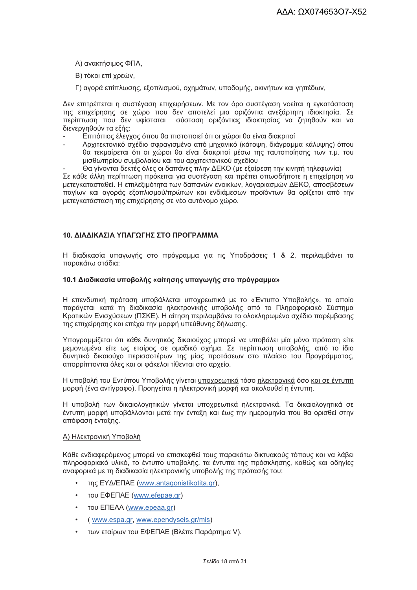Α) ανακτήσιμος ΦΠΑ.

Β) τόκοι επί χρεών,

Γ) αγορά επίπλωσης, εξοπλισμού, οχημάτων, υποδομής, ακινήτων και γηπέδων,

Δεν επιτρέπεται η συστέγαση επιχειρήσεων. Με τον όρο συστέγαση νοείται η εγκατάσταση της επιχείρησης σε χώρο που δεν αποτελεί μια οριζόντια ανεξάρτητη ιδιοκτησία. Σε περίπτωση που δεν υφίσταται σύσταση οριζόντιας ιδιοκτησίας να ζητηθούν και να διενερνηθούν τα εξής:

- Επιτόπιος έλεγχος όπου θα πιστοποιεί ότι οι χώροι θα είναι διακριτοί
- Αρχιτεκτονικό σχέδιο σφρανισμένο από μηχανικό (κάτοψη, διάνραμμα κάλυψης) όπου θα τεκμαίρεται ότι οι χώροι θα είναι διακριτοί μέσω της ταυτοποίησης των τ.μ. του μισθωτηρίου συμβολαίου και του αρχιτεκτονικού σχεδίου
- Θα νίνονται δεκτές όλες οι δαπάνες πλην ΔΕΚΟ (με εξαίρεση την κινητή τηλεφωνία)

Σε κάθε άλλη περίπτωση πρόκειται για συστέγαση και πρέπει οπωσδήποτε η επιχείρηση να μετεγκατασταθεί. Η επιλεξιμότητα των δαπανών ενοικίων, λογαριασμών ΔΕΚΟ, αποσβέσεων πανίων και ανοράς εξοπλισμού/πρώτων και ενδιάμεσων προϊόντων θα ορίζεται από την μετεγκατάσταση της επιχείρησης σε νέο αυτόνομο χώρο.

#### 10. ΔΙΑΔΙΚΑΣΙΑ ΥΠΑΓΟΓΗΣ ΣΤΟ ΠΡΟΓΡΑΜΜΑ

Η διαδικασία υπαγωγής στο πρόγραμμα για τις Υποδράσεις 1 & 2, περιλαμβάνει τα παρακάτω στάδια:

#### 10.1 Διαδικασία υποβολής «αίτησης υπαγωγής στο πρόγραμμα»

Η επενδυτική πρόταση υποβάλλεται υποχρεωτικά με το «Έντυπο Υποβολής», το οποίο παράγεται κατά τη διαδικασία ηλεκτρονικής υποβολής από το Πληροφοριακό Σύστημα Κρατικών Ενισχύσεων (ΠΣΚΕ). Η αίτηση περιλαμβάνει το ολοκληρωμένο σχέδιο παρέμβασης της επιχείρησης και επέχει την μορφή υπεύθυνης δήλωσης.

Υπογραμμίζεται ότι κάθε δυνητικός δικαιούχος μπορεί να υποβάλει μία μόνο πρόταση είτε μεμονωμένα είτε ως εταίρος σε ομαδικό σχήμα. Σε περίπτωση υποβολής, από το ίδιο δυνητικό δικαιούχο περισσοτέρων της μίας προτάσεων στο πλαίσιο του Προγράμματος, απορρίπτονται όλες και οι φάκελοι τίθενται στο αρχείο.

Η υποβολή του Εντύπου Υποβολής γίνεται υποχρεωτικά τόσο ηλεκτρονικά όσο και σε έντυπη μορφή (ένα αντίγραφο). Προηγείται η ηλεκτρονική μορφή και ακολουθεί η έντυπη.

Η υποβολή των δικαιολογητικών γίνεται υποχρεωτικά ηλεκτρονικά. Τα δικαιολογητικά σε έντυπη μορφή υποβάλλονται μετά την ένταξη και έως την ημερομηνία που θα ορισθεί στην απόφαση ένταξης.

#### Α) Ηλεκτρονική Υποβολή

Κάθε ενδιαφερόμενος μπορεί να επισκεφθεί τους παρακάτω δικτυακούς τόπους και να λάβει πληροφοριακό υλικό, το έντυπο υποβολής, τα έντυπα της πρόσκλησης, καθώς και οδηγίες αναφορικά με τη διαδικασία ηλεκτρονικής υποβολής της πρότασής του:

- της ΕΥΔ/ΕΠΑΕ (www.antagonistikotita.gr),
- тоυ ЕФЕПАЕ (www.efepae.gr)
- TOU ENEAA (www.epeaa.gr)
- (www.espa.gr, www.ependyseis.gr/mis)
- των εταίρων του ΕΦΕΠΑΕ (Βλέπε Παράρτημα V).  $\bullet$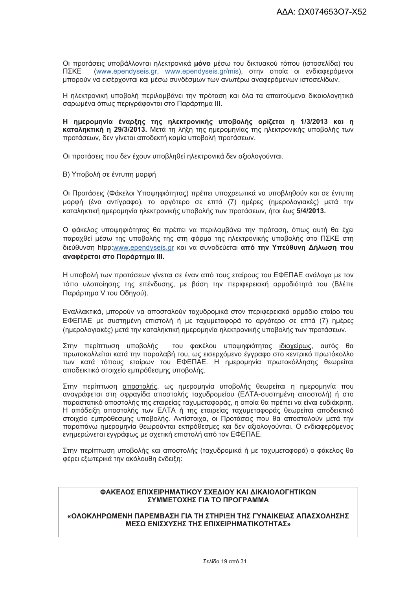Οι προτάσεις υποβάλλονται ηλεκτρονικά μόνο μέσω του δικτυακού τόπου (ιστοσελίδα) του ΠΣΚΕ (www.ependyseis.gr, www.ependyseis.gr/mis), στην οποία οι ενδιαφερόμενοι μπορούν να εισέρχονται και μέσω συνδέσμων των ανωτέρω αναφερόμενων ιστοσελίδων.

Η ηλεκτρονική υποβολή περιλαμβάνει την πρόταση και όλα τα απαιτούμενα δικαιολογητικά σαρωμένα όπως περιγράφονται στο Παράρτημα III.

Η ημερομηνία έναρξης της ηλεκτρονικής υποβολής ορίζεται η 1/3/2013 και η καταληκτική η 29/3/2013. Μετά τη λήξη της ημερομηνίας της ηλεκτρονικής υποβολής των προτάσεων, δεν γίνεται αποδεκτή καμία υποβολή προτάσεων.

Οι προτάσεις που δεν έχουν υποβληθεί ηλεκτρονικά δεν αξιολογούνται.

#### Β) Υποβολή σε έντυπη μορφή

Οι Προτάσεις (Φάκελοι Υποψηφιότητας) πρέπει υποχρεωτικά να υποβληθούν και σε έντυπη μορφή (ένα αντίγραφο), το αργότερο σε επτά (7) ημέρες (ημερολογιακές) μετά την καταληκτική ημερομηνία ηλεκτρονικής υποβολής των προτάσεων, ήτοι έως 5/4/2013.

Ο φάκελος υποψηφιότητας θα πρέπει να περιλαμβάνει την πρόταση, όπως αυτή θα έχει παραχθεί μέσω της υποβολής της στη φόρμα της ηλεκτρονικής υποβολής στο ΠΣΚΕ στη διεύθυνση htpp:www.ependyseis.gr και να συνοδεύεται από την Υπεύθυνη Δήλωση που αναφέρεται στο Παράρτημα III.

Η υποβολή των προτάσεων γίνεται σε έναν από τους εταίρους του ΕΦΕΠΑΕ ανάλογα με τον τόπο υλοποίησης της επένδυσης, με βάση την περιφερειακή αρμοδιότητά του (Βλέπε Παράρτημα V του Οδηνού).

Εναλλακτικά, μπορούν να αποσταλούν ταχυδρομικά στον περιφερειακά αρμόδιο εταίρο του ΕΦΕΠΑΕ με συστημένη επιστολή ή με ταχυμεταφορά το αργότερο σε επτά (7) ημέρες (ημερολογιακές) μετά την καταληκτική ημερομηνία ηλεκτρονικής υποβολής των προτάσεων.

Στην περίπτωση υποβολής του φακέλου υποψηφιότητας ιδιοχείρως, αυτός θα πρωτοκολλείται κατά την παραλαβή του, ως εισερχόμενο έννραφο στο κεντρικό πρωτόκολλο των κατά τόπους εταίρων του ΕΦΕΠΑΕ. Η ημερομηνία πρωτοκόλλησης θεωρείται αποδεικτικό στοιχείο εμπρόθεσμης υποβολής.

Στην περίπτωση αποστολής, ως ημερομηνία υποβολής θεωρείται η ημερομηνία που αναγράφεται στη σφραγίδα αποστολής ταχυδρομείου (ΕΛΤΑ-συστημένη αποστολή) ή στο παραστατικό αποστολής της εταιρείας ταχυμεταφοράς, η οποία θα πρέπει να είναι ευδιάκριτη. Η απόδειξη αποστολής των ΕΛΤΑ ή της εταιρείας ταχυμεταφοράς θεωρείται αποδεικτικό στοιχείο εμπρόθεσμης υποβολής. Αντίστοιχα, οι Προτάσεις που θα αποσταλούν μετά την παραπάνω ημερομηνία θεωρούνται εκπρόθεσμες και δεν αξιολονούνται. Ο ενδιαφερόμενος ενημερώνεται εννράφως με σχετική επιστολή από τον ΕΦΕΠΑΕ.

Στην περίπτωση υποβολής και αποστολής (ταχυδρομικά ή με ταχυμεταφορά) ο φάκελος θα φέρει εξωτερικά την ακόλουθη ένδειξη:

#### ΦΑΚΕΛΟΣ ΕΠΙΧΕΙΡΗΜΑΤΙΚΟΥ ΣΧΕΔΙΟΥ ΚΑΙ ΔΙΚΑΙΟΛΟΓΗΤΙΚΩΝ ΣΥΜΜΕΤΟΧΗΣ ΓΙΑ ΤΟ ΠΡΟΓΡΑΜΜΑ

#### «ΟΛΟΚΛΗΡΩΜΕΝΗ ΠΑΡΕΜΒΑΣΗ ΓΙΑ ΤΗ ΣΤΗΡΙΞΗ ΤΗΣ ΓΥΝΑΙΚΕΙΑΣ ΑΠΑΣΧΟΛΗΣΗΣ ΜΕΣΩ ΕΝΙΣΧΥΣΗΣ ΤΗΣ ΕΠΙΧΕΙΡΗΜΑΤΙΚΟΤΗΤΑΣ»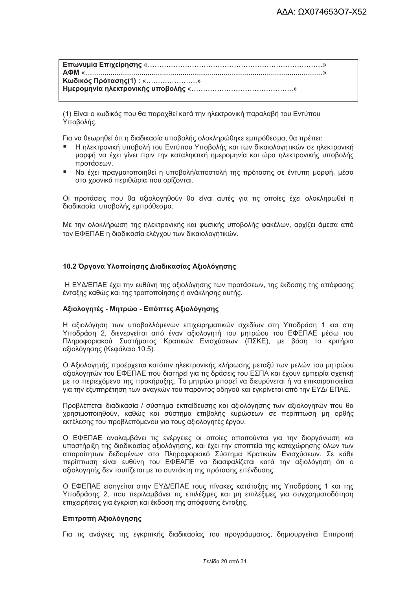Κωδικός Πρότασης(1): «......................» 

(1) Είναι ο κωδικός που θα παραχθεί κατά την ηλεκτρονική παραλαβή του Εντύπου Υποβολής.

Για να θεωρηθεί ότι η διαδικασία υποβολής ολοκληρώθηκε εμπρόθεσμα. θα πρέπει:

- Η ηλεκτρονική υποβολή του Εντύπου Υποβολής και των δικαιολογητικών σε ηλεκτρονική μορφή να έχει γίνει πριν την καταληκτική ημερομηνία και ώρα ηλεκτρονικής υποβολής προτάσεων.
- Να έχει πραγματοποιηθεί η υποβολή/αποστολή της πρότασης σε έντυπη μορφή, μέσα στα χρονικά περιθώρια που ορίζονται.

Οι προτάσεις που θα αξιολογηθούν θα είναι αυτές για τις οποίες έχει ολοκληρωθεί η διαδικασία υποβολής εμπρόθεσμα.

Με την ολοκλήρωση της ηλεκτρονικής και φυσικής υποβολής φακέλων, αρχίζει άμεσα από τον ΕΦΕΠΑΕ η διαδικασία ελέγχου των δικαιολογητικών.

#### 10.2 Όργανα Υλοποίησης Διαδικασίας Αξιολόγησης

Η ΕΥΔ/ΕΠΑΕ έχει την ευθύνη της αξιολόγησης των προτάσεων, της έκδοσης της απόφασης ένταξης καθώς και της τροποποίησης ή ανάκλησης αυτής.

#### Αξιολογητές - Μητρώο - Επόπτες Αξιολόγησης

Η αξιολόγηση των υποβαλλόμενων επιχειρηματικών σχεδίων στη Υποδράση 1 και στη Υποδράση 2, διενεργείται από έναν αξιολογητή του μητρώου του ΕΦΕΠΑΕ μέσω του Πληροφοριακού Συστήματος Κρατικών Ενισχύσεων (ΠΣΚΕ), με βάση τα κριτήρια αξιολόγησης (Κεφάλαιο 10.5).

Ο Αξιολογητής προέρχεται κατόπιν ηλεκτρονικής κλήρωσης μεταξύ των μελών του μητρώου αξιολονητών του ΕΦΕΠΑΕ που διατηρεί νια τις δράσεις του ΕΣΠΑ και έχουν εμπειρία σχετική με το περιεχόμενο της προκήρυξης. Το μητρώο μπορεί να διευρύνεται ή να επικαιροποιείται για την εξυπηρέτηση των αναγκών του παρόντος οδηγού και εγκρίνεται από την ΕΥΔ/ ΕΠΑΕ.

Προβλέπεται διαδικασία / σύστημα εκπαίδευσης και αξιολόγησης των αξιολογητών που θα χρησιμοποιηθούν, καθώς και σύστημα επιβολής κυρώσεων σε περίπτωση μη ορθής εκτέλεσης του προβλεπόμενου για τους αξιολογητές έργου.

Ο ΕΦΕΠΑΕ αναλαμβάνει τις ενέργειες οι οποίες απαιτούνται για την διοργάνωση και υποστήριξη της διαδικασίας αξιολόγησης, και έχει την εποπτεία της καταχώρησης όλων των απαραίτητων δεδομένων στο Πληροφοριακό Σύστημα Κρατικών Ενισχύσεων. Σε κάθε περίπτωση είναι ευθύνη του ΕΦΕΑΠΕ να διασφαλίζεται κατά την αξιολόγηση ότι ο αξιολογητής δεν ταυτίζεται με το συντάκτη της πρότασης επένδυσης.

Ο ΕΦΕΠΑΕ εισηγείται στην ΕΥΔ/ΕΠΑΕ τους πίνακες κατάταξης της Υποδράσης 1 και της Υποδράσης 2, που περιλαμβάνει τις επιλέξιμες και μη επιλέξιμες για συγχρηματοδότηση επιχειρήσεις για έγκριση και έκδοση της απόφασης ένταξης.

#### Επιτροπή Αξιολόνησης

Για τις ανάγκες της εγκριτικής διαδικασίας του προγράμματος, δημιουργείται Επιτροπή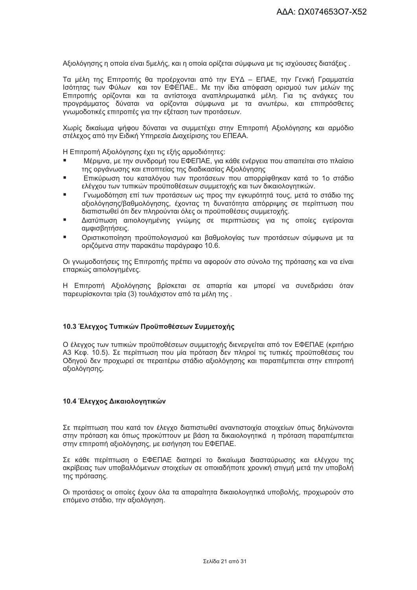Αξιολόνησης η οποία είναι 5μελής, και η οποία ορίζεται σύμφωνα με τις ισχύουσες διατάξεις.

Τα μέλη της Επιτροπής θα προέρχονται από την ΕΥΔ - ΕΠΑΕ, την Γενική Γραμματεία Ισότητας των Φύλων και τον ΕΦΕΠΑΕ.. Με την ίδια απόφαση ορισμού των μελών της Επιτροπής ορίζονται και τα αντίστοιχα αναπληρωματικά μέλη. Για τις ανάγκες του προγράμματος δύναται να ορίζονται σύμφωνα με τα ανωτέρω, και επιπρόσθετες γνωμοδοτικές επιτροπές για την εξέταση των προτάσεων.

Χωρίς δικαίωμα ψήφου δύναται να συμμετέχει στην Επιτροπή Αξιολόνησης και αρμόδιο στέλεχος από την Ειδική Υπηρεσία Διαχείρισης του ΕΠΕΑΑ.

Η Επιτροπή Αξιολόγησης έχει τις εξής αρμοδιότητες:

- Μέριμνα, με την συνδρομή του ΕΦΕΠΑΕ, για κάθε ενέργεια που απαιτείται στο πλαίσιο της οργάνωσης και εποπτείας της διαδικασίας Αξιολόγησης
- Επικύρωση του καταλόγου των προτάσεων που απορρίφθηκαν κατά το 1ο στάδιο ελέγχου των τυπικών προϋποθέσεων συμμετοχής και των δικαιολογητικών.
- Γνωμοδότηση επί των προτάσεων ως προς την ενκυρότητά τους, μετά το στάδιο της αξιολόγησης/βαθμολόγησης, έχοντας τη δυνατότητα απόρριψης σε περίπτωση που διαπιστωθεί ότι δεν πληρούνται όλες οι προϋποθέσεις συμμετοχής.
- $\blacksquare$ Διατύπωση αιτιολογημένης γνώμης σε περιπτώσεις για τις οποίες εγείρονται αμφισβητήσεις.
- Οριστικοποίηση προϋπολογισμού και βαθμολογίας των προτάσεων σύμφωνα με τα  $\blacksquare$ οριζόμενα στην παρακάτω παράγραφο 10.6.

Οι γνωμοδοτήσεις της Επιτροπής πρέπει να αφορούν στο σύνολο της πρότασης και να είναι επαρκώς αιτιολογημένες.

Η Επιτροπή Αξιολόγησης βρίσκεται σε απαρτία και μπορεί να συνεδριάσει όταν παρευρίσκονται τρία (3) τουλάχιστον από τα μέλη της.

#### 10.3 Έλεγχος Τυπικών Προϋποθέσεων Συμμετοχής

Ο έλεγχος των τυπικών προϋποθέσεων συμμετοχής διενεργείται από τον ΕΦΕΠΑΕ (κριτήριο Α3 Κεφ. 10.5). Σε περίπτωση που μία πρόταση δεν πληροί τις τυπικές προϋποθέσεις του Οδηγού δεν προχωρεί σε περαιτέρω στάδιο αξιολόγησης και παραπέμπεται στην επιτροπή αξιολόγησης.

#### 10.4 Έλεγχος Δικαιολογητικών

Σε περίπτωση που κατά τον έλεγχο διαπιστωθεί αναντιστοιχία στοιχείων όπως δηλώνονται στην πρόταση και όπως προκύπτουν με βάση τα δικαιολογητικά η πρόταση παραπέμπεται στην επιτροπή αξιολόγησης, με εισήγηση του ΕΦΕΠΑΕ.

Σε κάθε περίπτωση ο ΕΦΕΠΑΕ διατηρεί το δικαίωμα διασταύρωσης και ελέγχου της ακρίβειας των υποβαλλόμενων στοιχείων σε οποιαδήποτε χρονική στινμή μετά την υποβολή της πρότασης.

Οι προτάσεις οι οποίες έχουν όλα τα απαραίτητα δικαιολονητικά υποβολής, προχωρούν στο επόμενο στάδιο, την αξιολόγηση.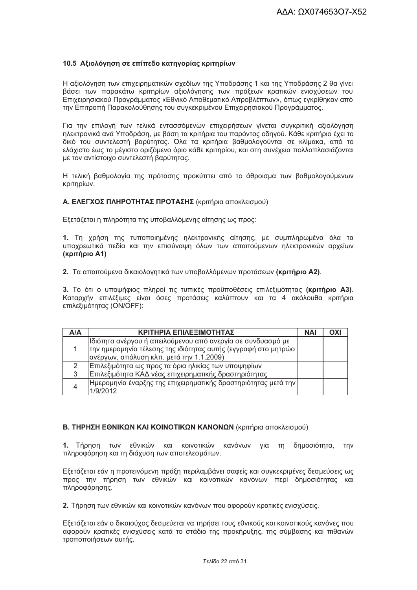#### 10.5 Αξιολόνηση σε επίπεδο κατηνορίας κριτηρίων

Η αξιολόγηση των επιχειρηματικών σχεδίων της Υποδράσης 1 και της Υποδράσης 2 θα γίνει βάσει των παρακάτω κριτηρίων αξιολόγησης των πράξεων κρατικών ενισχύσεων του .<br>Επιχειρησιακού Προγράμματος «Εθνικό Αποθεματικό Απροβλέπτων», όπως εγκρίθηκαν από την Επιτροπή Παρακολούθησης του συγκεκριμένου Επιχειρησιακού Προγράμματος.

Για την επιλογή των τελικά εντασσόμενων επιχειρήσεων γίνεται συγκριτική αξιολόγηση ηλεκτρονικά ανά Υποδράση, με βάση τα κριτήρια του παρόντος οδηγού. Κάθε κριτήριο έχει το δικό του συντελεστή βαρύτητας. Όλα τα κριτήρια βαθμολογούνται σε κλίμακα, από το ελάχιστο έως το μέγιστο οριζόμενο όριο κάθε κριτηρίου, και στη συνέχεια πολλαπλασιάζονται με τον αντίστοιχο συντελεστή βαρύτητας.

Η τελική βαθμολονία της πρότασης προκύπτει από το άθροισμα των βαθμολονούμενων κριτηρίων.

#### Α. ΕΛΕΓΧΟΣ ΠΛΗΡΟΤΗΤΑΣ ΠΡΟΤΑΣΗΣ (κριτήρια αποκλεισμού)

Εξετάζεται η πληρότητα της υποβαλλόμενης αίτησης ως προς:

1. Τη χρήση της τυποποιημένης ηλεκτρονικής αίτησης, με συμπληρωμένα όλα τα υποχρεωτικά πεδία και την επισύναψη όλων των απαιτούμενων ηλεκτρονικών αρχείων (κριτήριο A1)

2. Τα απαιτούμενα δικαιολογητικά των υποβαλλόμενων προτάσεων (κριτήριο Α2).

3. Το ότι ο υποψήφιος πληροί τις τυπικές προϋποθέσεις επιλεξιμότητας (κριτήριο Α3). Καταρχήν επιλέξιμες είναι όσες προτάσεις καλύπτουν και τα 4 ακόλουθα κριτήρια επιλεξιμότητας (ON/OFF):

| <b>A/A</b> | ΚΡΙΤΗΡΙΑ ΕΠΙΛΕΞΙΜΟΤΗΤΑΣ                                                                                                                                                    |  | OXI |
|------------|----------------------------------------------------------------------------------------------------------------------------------------------------------------------------|--|-----|
|            | Ιδιότητα ανέργου ή απειλούμενου από ανεργία σε συνδυασμό με<br> την ημερομηνία τέλεσης της ιδιότητας αυτής (εγγραφή στο μητρώο<br>ανέργων, απόλυση κλπ. μετά την 1.1.2009) |  |     |
|            | Επιλεξιμότητα ως προς τα όρια ηλικίας των υποψηφίων                                                                                                                        |  |     |
| 3          | Επιλεξιμότητα ΚΑΔ νέας επιχειρηματικής δραστηριότητας                                                                                                                      |  |     |
|            | Ημερομηνία έναρξης της επιχειρηματικής δραστηριότητας μετά την  <br>1/9/2012                                                                                               |  |     |

#### **Β. ΤΗΡΗΣΗ ΕΘΝΙΚΩΝ ΚΑΙ ΚΟΙΝΟΤΙΚΩΝ ΚΑΝΟΝΩΝ** (κριτήρια αποκλεισμού)

1. Τήρηση των εθνικών και κοινοτικών κανόνων για τη δημοσιότητα, την πληροφόρηση και τη διάχυση των αποτελεσμάτων.

Εξετάζεται εάν η προτεινόμενη πράξη περιλαμβάνει σαφείς και συγκεκριμένες δεσμεύσεις ως προς την τήρηση των εθνικών και κοινοτικών κανόνων περί δημοσιότητας και πληροφόρησης.

2. Τήρηση των εθνικών και κοινοτικών κανόνων που αφορούν κρατικές ενισχύσεις.

Εξετάζεται εάν ο δικαιούχος δεσμεύεται να τηρήσει τους εθνικούς και κοινοτικούς κανόνες που αφορούν κρατικές ενισχύσεις κατά το στάδιο της προκήρυξης, της σύμβασης και πιθανών τροποποιήσεων αυτής.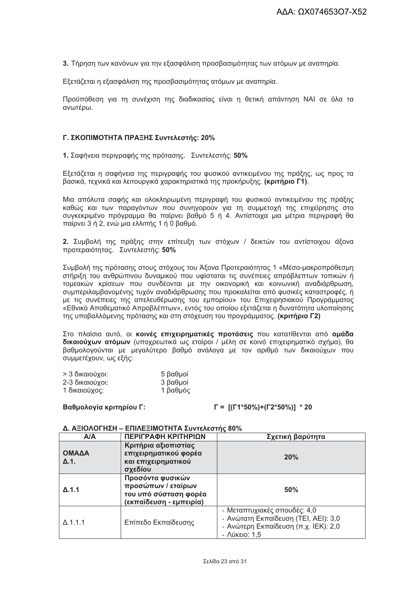3. Τήρηση των κανόνων για την εξασφάλιση προσβασιμότητας των ατόμων με αναπηρία.

Εξετάζεται η εξασφάλιση της προσβασιμότητας ατόμων με αναπηρία.

Προϋπόθεση για τη συνέχιση της διαδικασίας είναι η θετική απάντηση ΝΑΙ σε όλα τα ανωτέρω.

#### Γ. ΣΚΟΠΙΜΟΤΗΤΑ ΠΡΑΞΗΣ Συντελεστής: 20%

1. Σαφήνεια περιγραφής της πρότασης. Συντελεστής: 50%

Εξετάζεται η σαφήνεια της περιγραφής του φυσικού αντικειμένου της πράξης, ως προς τα βασικά, τεχνικά και λειτουργικά χαρακτηριστικά της προκήρυξης, (κριτήριο Γ1).

Μια απόλυτα σαφής και ολοκληρωμένη περιγραφή του φυσικού αντικειμένου της πράξης καθώς και των παραγόντων που συνηγορούν για τη συμμετοχή της επιχείρησης στο συγκεκριμένο πρόγραμμα θα παίρνει βαθμό 5 ή 4. Αντίστοιχα μια μέτρια περιγραφή θα παίρνει 3 ή 2, ενώ μια ελλιπής 1 ή 0 βαθμό.

2. Συμβολή της πράξης στην επίτευξη των στόχων / δεικτών του αντίστοιχου άξονα προτεραιότητας. Συντελεστής: 50%

Συμβολή της πρότασης στους στόχους του Άξονα Προτεραιότητας 1 «Μέσο-μακροπρόθεσμη στήριξη του ανθρώπινου δυναμικού που υφίσταται τις συνέπειες απρόβλεπτων τοπικών ή τομεακών κρίσεων που συνδέονται με την οικονομική και κοινωνική αναδιάρθρωση, συμπεριλαμβανομένης τυχόν αναδιάρθρωσης που προκαλείται από φυσικές καταστροφές, ή με τις συνέπειες της απελευθέρωσης του εμπορίου» του Επιχειρησιακού Προγράμματος «Εθνικό Αποθεματικό Απροβλέπτων», εντός του οποίου εξετάζεται η δυνατότητα υλοποίησης της υποβαλλόμενης πρότασης και στη στόχευση του προγράμματος. (κριτήριο Γ2)

Στο πλαίσιο αυτό, οι κοινές επιχειρηματικές προτάσεις που κατατίθενται από ομάδα δικαιούχων ατόμων (υποχρεωτικά ως εταίροι / μέλη σε κοινό επιχειρηματικό σχήμα). Θα βαθμολογούνται με μεγαλύτερο βαθμό ανάλογα με τον αριθμό των δικαιούχων που συμμετέχουν, ως εξής;

| > 3 δικαιούχοι: | 5 βαθμοί |
|-----------------|----------|
| 2-3 δικαιούχοι: | 3 βαθμοί |
| 1 δικαιούχος:   | 1 βαθμός |

#### Βαθμολογία κριτηρίου Γ:

#### $\Gamma = \frac{\Gamma(\Gamma 1^* 50\%)+\Gamma 2^* 50\%}{1^* 20}$

#### Δ. ΑΞΙΟΛΟΓΗΣΗ – ΕΠΙΛΕΞΙΜΟΤΗΤΑ Συντελεστής 80%

| A/A                   | ΠΕΡΙΓΡΑΦΗ ΚΡΙΤΗΡΙΩΝ                                                                        | Σχετική βαρύτητα                                                                                                                      |
|-----------------------|--------------------------------------------------------------------------------------------|---------------------------------------------------------------------------------------------------------------------------------------|
| ΟΜΑΔΑ<br>$\Delta$ .1. | Κριτήρια αξιοπιστίας<br>επιχειρηματικού φορέα<br>και επιχειρηματικού<br>σχεδίου            | 20%                                                                                                                                   |
| $\Delta$ .1.1         | Προσόντα φυσικών<br>προσώπων / εταίρων<br>του υπό σύσταση φορέα<br>(εκπαίδευση - εμπειρία) | 50%                                                                                                                                   |
| $\Delta$ .1.1.1       | Επίπεδο Εκπαίδευσης                                                                        | - Μεταπτυχιακές σπουδές: 4,0<br>- Ανώτατη Εκπαίδευση (ΤΕΙ, ΑΕΙ): 3,0<br>- Ανώτερη Εκπαίδευση (π.χ. ΙΕΚ): 2,0<br>$ \Lambda$ ÚKEIO: 1,5 |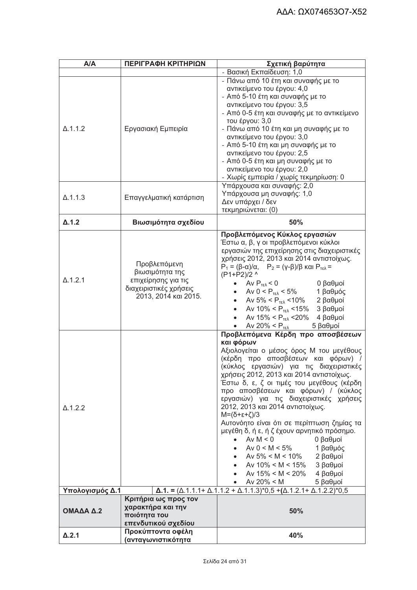| A/A             | ΠΕΡΙΓΡΑΦΗ ΚΡΙΤΗΡΙΩΝ                                                                                      | Σχετική βαρύτητα                                                                                                                                                                                                                                                                                                                                                                                                                                                                                                                                                                                                                                                                                  |
|-----------------|----------------------------------------------------------------------------------------------------------|---------------------------------------------------------------------------------------------------------------------------------------------------------------------------------------------------------------------------------------------------------------------------------------------------------------------------------------------------------------------------------------------------------------------------------------------------------------------------------------------------------------------------------------------------------------------------------------------------------------------------------------------------------------------------------------------------|
|                 |                                                                                                          | - Βασική Εκπαίδευση: 1,0                                                                                                                                                                                                                                                                                                                                                                                                                                                                                                                                                                                                                                                                          |
| $\Delta$ .1.1.2 | Εργασιακή Εμπειρία                                                                                       | - Πάνω από 10 έτη και συναφής με το<br>αντικείμενο του έργου: 4,0<br>- Από 5-10 έτη και συναφής με το<br>αντικείμενο του έργου: 3,5<br>- Από 0-5 έτη και συναφής με το αντικείμενο<br>του έργου: 3,0<br>- Πάνω από 10 έτη και μη συναφής με το<br>αντικείμενο του έργου: 3,0<br>- Από 5-10 έτη και μη συναφής με το<br>αντικείμενο του έργου: 2,5<br>- Από 0-5 έτη και μη συναφής με το<br>αντικείμενο του έργου: 2,0<br>- Χωρίς εμπειρία / χωρίς τεκμηρίωση: 0                                                                                                                                                                                                                                   |
| $\Delta$ .1.1.3 | Επαγγελματική κατάρτιση                                                                                  | Υπάρχουσα και συναφής: 2,0<br>Υπάρχουσα μη συναφής: 1,0<br>Δεν υπάρχει / δεν<br>τεκμηριώνεται: (0)                                                                                                                                                                                                                                                                                                                                                                                                                                                                                                                                                                                                |
| $\Delta$ .1.2   | Βιωσιμότητα σχεδίου                                                                                      | 50%                                                                                                                                                                                                                                                                                                                                                                                                                                                                                                                                                                                                                                                                                               |
| $\Delta$ .1.2.1 | Προβλεπόμενη<br>βιωσιμότητα της<br>επιχείρησης για τις<br>διαχειριστικές χρήσεις<br>2013, 2014 каі 2015. | Προβλεπόμενος Κύκλος εργασιών<br>Έστω α, β, γ οι προβλεπόμενοι κύκλοι<br>εργασιών της επιχείρησης στις διαχειριστικές<br>χρήσεις 2012, 2013 και 2014 αντιστοίχως.<br>$P_1 = (\beta - \alpha)/\alpha$ , $P_2 = (\gamma - \beta)/\beta$ και $P_{\gamma \epsilon \lambda} =$<br>(P1+P2)/2 ^<br>• Av $P_{T\epsilon\lambda}$ < 0<br><b>6 βαθμοί</b><br>• Av $0 < P_{\text{TE}}$ < 5% 1 $\beta \alpha \theta \mu \delta \varsigma$<br>• Av $5\% < P_{\text{TE}}$ < 10% 2 $\beta \alpha \theta \mu$ oí<br>• Av 10% < $P_{TE\lambda}$ < 15% 3 βαθμοί<br>Aν 15% < $P_{TEλ}$ < 20% 4 βαθμοί<br>$\bullet$<br>Aν 20% < $P_{\tau \epsilon \lambda}$ 5 βαθμοί<br>$\bullet$<br>Προβλεπόμενα Κέρδη προ αποσβέσεων |
| $\Delta$ .1.2.2 |                                                                                                          | και φόρων<br>Αξιολογείται ο μέσος όρος Μ του μεγέθους<br>(κέρδη προ αποσβέσεων και φόρων) /<br>(κύκλος εργασιών) για τις διαχειριστικές<br>χρήσεις 2012, 2013 και 2014 αντιστοίχως.<br>Έστω δ, ε, ζ οι τιμές του μεγέθους (κέρδη<br>προ αποσβέσεων και φόρων) / (κύκλος<br>εργασιών) για τις διαχειριστικές χρήσεις<br>2012, 2013 και 2014 αντιστοίχως.<br>$M=(\delta+\epsilon+\zeta)/3$<br>Αυτονόητο είναι ότι σε περίπτωση ζημίας τα<br>μεγέθη δ, ή ε, ή ζ έχουν αρνητικό πρόσημο.<br>Av $M < 0$<br>0 βαθμοί<br>Av $0 < M < 5\%$<br>1 βαθμός<br>Av 5% < M < 10%<br>2 βαθμοί<br>Av $10\% < M < 15\%$<br>3 βαθμοί<br>Av $15\% < M < 20\%$<br>4 βαθμοί<br>Av $20\% < M$<br>5 βαθμοί                |
| Υπολογισμός Δ.1 |                                                                                                          | $\Delta$ .1. = ( $\Delta$ .1.1.1+ $\Delta$ .1.1.2 + $\Delta$ .1.1.3)*0,5 +( $\Delta$ .1.2.1+ $\Delta$ .1.2.2)*0,5                                                                                                                                                                                                                                                                                                                                                                                                                                                                                                                                                                                 |
| ΟΜΑΔΑ Δ.2       | Κριτήρια ως προς τον<br>χαρακτήρα και την<br>ποιότητα του<br>επενδυτικού σχεδίου                         | 50%                                                                                                                                                                                                                                                                                                                                                                                                                                                                                                                                                                                                                                                                                               |
| $\Delta$ .2.1   | Προκύπτοντα οφέλη<br>(ανταγωνιστικό <b>τητ</b> α                                                         | 40%                                                                                                                                                                                                                                                                                                                                                                                                                                                                                                                                                                                                                                                                                               |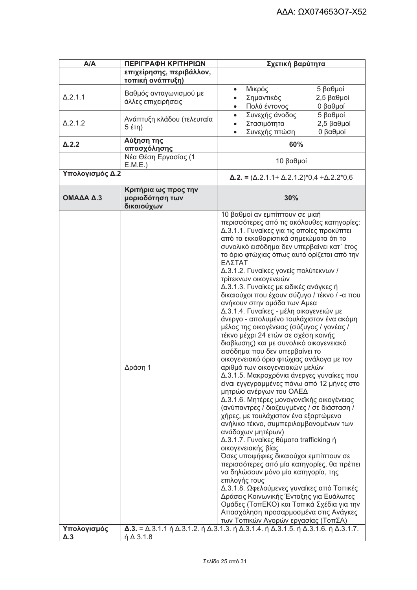| A/A                       | ΠΕΡΙΓΡΑΦΗ ΚΡΙΤΗΡΙΩΝ                                   | Σχετική βαρύτητα                                                                                                                                                                                                                                                                                                                                                                                                                                                                                                                                                                                                                                                                                                                                                                                                                                                                                                                                                                                                                                                                                                                                                                                                                                                                                                                                                                                                                                                                                                                                                                                                                                                                                                             |  |
|---------------------------|-------------------------------------------------------|------------------------------------------------------------------------------------------------------------------------------------------------------------------------------------------------------------------------------------------------------------------------------------------------------------------------------------------------------------------------------------------------------------------------------------------------------------------------------------------------------------------------------------------------------------------------------------------------------------------------------------------------------------------------------------------------------------------------------------------------------------------------------------------------------------------------------------------------------------------------------------------------------------------------------------------------------------------------------------------------------------------------------------------------------------------------------------------------------------------------------------------------------------------------------------------------------------------------------------------------------------------------------------------------------------------------------------------------------------------------------------------------------------------------------------------------------------------------------------------------------------------------------------------------------------------------------------------------------------------------------------------------------------------------------------------------------------------------------|--|
|                           | επιχείρησης, περιβάλλον,<br>τοπική ανάπτυξη)          |                                                                                                                                                                                                                                                                                                                                                                                                                                                                                                                                                                                                                                                                                                                                                                                                                                                                                                                                                                                                                                                                                                                                                                                                                                                                                                                                                                                                                                                                                                                                                                                                                                                                                                                              |  |
| $\Delta$ .2.1.1           | Βαθμός ανταγωνισμού με<br>άλλες επιχειρήσεις          | 5 βαθμοί<br>Μικρός<br>Σημαντικός<br>2,5 βαθμοί<br>Πολύ έντονος<br>0 βαθμοί<br>$\bullet$                                                                                                                                                                                                                                                                                                                                                                                                                                                                                                                                                                                                                                                                                                                                                                                                                                                                                                                                                                                                                                                                                                                                                                                                                                                                                                                                                                                                                                                                                                                                                                                                                                      |  |
| $\Delta$ .2.1.2           | Ανάπτυξη κλάδου (τελευταία                            | Συνεχής άνοδος<br>5 βαθμοί<br>$\bullet$<br>Στασιμότητα<br>2,5 βαθμοί<br>$\bullet$<br>Συνεχής πτώση<br>0 βαθμοί<br>$\bullet$                                                                                                                                                                                                                                                                                                                                                                                                                                                                                                                                                                                                                                                                                                                                                                                                                                                                                                                                                                                                                                                                                                                                                                                                                                                                                                                                                                                                                                                                                                                                                                                                  |  |
| $\Delta$ .2.2             | Αύξηση της<br>απασχόλησης                             | 60%                                                                                                                                                                                                                                                                                                                                                                                                                                                                                                                                                                                                                                                                                                                                                                                                                                                                                                                                                                                                                                                                                                                                                                                                                                                                                                                                                                                                                                                                                                                                                                                                                                                                                                                          |  |
|                           | Νέα Θέση Εργασίας (1<br>E.M.E.)                       | 10 βαθμοί                                                                                                                                                                                                                                                                                                                                                                                                                                                                                                                                                                                                                                                                                                                                                                                                                                                                                                                                                                                                                                                                                                                                                                                                                                                                                                                                                                                                                                                                                                                                                                                                                                                                                                                    |  |
| Υπολογισμός Δ.2           |                                                       | $\Delta$ .2. = ( $\Delta$ .2.1.1+ $\Delta$ .2.1.2)*0,4 + $\Delta$ .2.2*0,6                                                                                                                                                                                                                                                                                                                                                                                                                                                                                                                                                                                                                                                                                                                                                                                                                                                                                                                                                                                                                                                                                                                                                                                                                                                                                                                                                                                                                                                                                                                                                                                                                                                   |  |
| ΟΜΑΔΑ Δ.3                 | Κριτήρια ως προς την<br>μοριοδότηση των<br>δικαιούχων | 30%                                                                                                                                                                                                                                                                                                                                                                                                                                                                                                                                                                                                                                                                                                                                                                                                                                                                                                                                                                                                                                                                                                                                                                                                                                                                                                                                                                                                                                                                                                                                                                                                                                                                                                                          |  |
| Υπολογισμός<br>$\Delta.3$ | Δράση 1<br>$\eta \Delta$ 3.1.8                        | 10 βαθμοί αν εμπίπτουν σε μιαή<br>περισσότερες από τις ακόλουθες κατηγορίες:<br>Δ.3.1.1. Γυναίκες για τις οποίες προκύπτει<br>από τα εκκαθαριστικά σημειώματα ότι το<br>συνολικό εισόδημα δεν υπερβαίνει κατ΄ έτος<br>το όριο φτώχιας όπως αυτό ορίζεται από την<br>ΕΛΣΤΑΤ<br>Δ.3.1.2. Γυναίκες γονείς πολύτεκνων /<br>τρίτεκνων οικογενειών<br>Δ.3.1.3. Γυναίκες με ειδικές ανάγκες ή<br>δικαιούχοι που έχουν σύζυγο / τέκνο / - α που<br>ανήκουν στην ομάδα των Αμεα<br>Δ.3.1.4. Γυναίκες - μέλη οικογενειών με<br>άνεργο - απολυμένο τουλάχιστον ένα ακόμη<br>μέλος της οικογένειας (σύζυγος / γονέας /<br>τέκνο μέχρι 24 ετών σε σχέση κοινής<br>διαβίωσης) και με συνολικό οικογενειακό<br>εισόδημα που δεν υπερβαίνει το<br>οικογενειακό όριο φτώχιας ανάλογα με τον<br>αριθμό των οικογενειακών μελών<br>Δ.3.1.5. Μακροχρόνια άνεργες γυναίκες που<br>είναι εγγεγραμμένες πάνω από 12 μήνες στο<br>μητρώο ανέργων του ΟΑΕΔ<br>Δ.3.1.6. Μητέρες μονογονεϊκής οικογένειας<br>(ανύπαντρες / διαζευγμένες / σε διάσταση /<br>χήρες, με τουλάχιστον ένα εξαρτώμενο<br>ανήλικο τέκνο, συμπεριλαμβανομένων των<br>ανάδοχων μητέρων)<br>Δ.3.1.7. Γυναίκες θύματα trafficking ή<br>οικογενειακής βίας<br>Όσες υποψήφιες δικαιούχοι εμπίπτουν σε<br>περισσότερες από μία κατηγορίες, θα πρέπει<br>να δηλώσουν μόνο μία κατηγορία, της<br>επιλογής τους<br>Δ.3.1.8. Ωφελούμενες γυναίκες από Τοπικές<br>Δράσεις Κοινωνικής Ένταξης για Ευάλωτες<br>Ομάδες (ΤοπΕΚΟ) και Τοπικά Σχέδια για την<br>Απασχόληση προσαρμοσμένα στις Ανάγκες<br>των Τοπικών Αγορών εργασίας (ΤοπΣΑ)<br>$\Delta$ .3. = $\Delta$ .3.1.1 ή $\Delta$ .3.1.2. ή $\Delta$ .3.1.3. ή $\Delta$ .3.1.4. ή $\Delta$ .3.1.5. ή $\Delta$ .3.1.6. ή $\Delta$ .3.1.7. |  |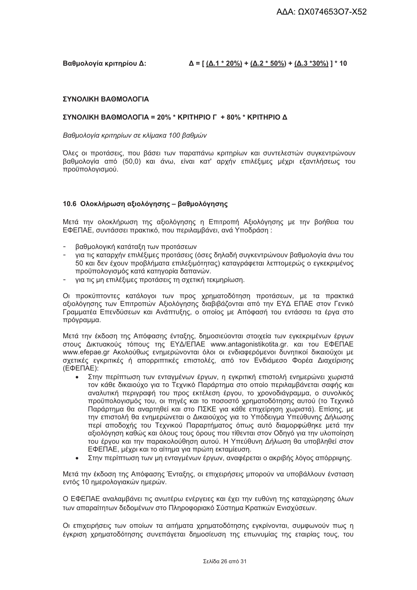#### Βαθμολονία κριτηρίου Δ:

 $\Delta = [(\Delta.1 * 20\%) + (\Delta.2 * 50\%) + (\Delta.3 * 30\%)] * 10$ 

#### ΣΥΝΟΛΙΚΗ ΒΑΘΜΟΛΟΓΙΑ

#### ΣΥΝΟΛΙΚΗ ΒΑΘΜΟΛΟΓΙΑ = 20% \* ΚΡΙΤΗΡΙΟ Γ + 80% \* ΚΡΙΤΗΡΙΟ Δ

Βαθμολογία κριτηρίων σε κλίμακα 100 βαθμών

Όλες οι προτάσεις, που βάσει των παραπάνω κριτηρίων και συντελεστών συνκεντρώνουν βαθμολογία από (50,0) και άνω, είναι κατ' αρχήν επιλέξιμες μέχρι εξαντλήσεως του προϋπολογισμού.

#### 10.6 Ολοκλήρωση αξιολόγησης - βαθμολόγησης

Μετά την ολοκλήρωση της αξιολόγησης η Επιτροπή Αξιολόγησης με την βοήθεια του ΕΦΕΠΑΕ, συντάσσει πρακτικό, που περιλαμβάνει, ανά Υποδράση;

- $\sim 100$ βαθμολογική κατάταξη των προτάσεων
- για τις καταρχήν επιλέξιμες προτάσεις (όσες δηλαδή συγκεντρώνουν βαθμολογία άνω του 50 και δεν έχουν προβλήματα επιλεξιμότητας) καταγράφεται λεπτομερώς ο εγκεκριμένος προϋπολογισμός κατά κατηγορία δαπανών.
- για τις μη επιλέξιμες προτάσεις τη σχετική τεκμηρίωση.

Οι προκύπτοντες κατάλογοι των προς χρηματοδότηση προτάσεων, με τα πρακτικά αξιολόγησης των Επιτροπών Αξιολόγησης διαβιβάζονται από την ΕΥΔ ΕΠΑΕ στον Γενικό Γραμματέα Επενδύσεων και Ανάπτυξης, ο οποίος με Απόφασή του εντάσσει τα έργα στο πρόγραμμα.

Μετά την έκδοση της Απόφασης ένταξης, δημοσιεύονται στοιχεία των εγκεκριμένων έργων στους Δικτυακούς τόπους της ΕΥΔ/ΕΠΑΕ www.antagonistikotita.gr. και του ΕΦΕΠΑΕ www.efepae.gr Ακολούθως ενημερώνονται όλοι οι ενδιαφερόμενοι δυνητικοί δικαιούχοι με σχετικές εγκριτικές ή απορριπτικές επιστολές, από τον Ενδιάμεσο Φορέα Διαχείρισης  $(E\Phi E\Pi AE)$ :

- Στην περίπτωση των ενταγμένων έργων, η εγκριτική επιστολή ενημερώνει χωριστά τον κάθε δικαιούχο για το Τεχνικό Παράρτημα στο οποίο περιλαμβάνεται σαφής και αναλυτική περιγραφή του προς εκτέλεση έργου, το χρονοδιάγραμμα, ο συνολικός προϋπολογισμός του, οι πηγές και το ποσοστό χρηματοδότησης αυτού (το Τεχνικό Παράρτημα θα αναρτηθεί και στο ΠΣΚΕ για κάθε επιχείρηση χωριστά). Επίσης, με την επιστολή θα ενημερώνεται ο Δικαιούχος για το Υπόδειγμα Υπεύθυνης Δήλωσης περί αποδοχής του Τεχνικού Παραρτήματος όπως αυτό διαμορφώθηκε μετά την αξιολόγηση καθώς και όλους τους όρους που τίθενται στον Οδηγό για την υλοποίηση του έργου και την παρακολούθηση αυτού. Η Υπεύθυνη Δήλωση θα υποβληθεί στον ΕΦΕΠΑΕ, μέχρι και το αίτημα για πρώτη εκταμίευση.
- Στην περίπτωση των μη εντανμένων έρνων, αναφέρεται ο ακριβής λόνος απόρριψης.

Μετά την έκδοση της Απόφασης Ένταξης, οι επιχειρήσεις μπορούν να υποβάλλουν ένσταση εντός 10 ημερολονιακών ημερών.

Ο ΕΦΕΠΑΕ αναλαμβάνει τις ανωτέρω ενέργειες και έχει την ευθύνη της καταχώρησης όλων των απαραίτητων δεδομένων στο Πληροφοριακό Σύστημα Κρατικών Ενισχύσεων.

Οι επιχειρήσεις των οποίων τα αιτήματα χρηματοδότησης εγκρίνονται, συμφωνούν πως η έγκριση χρηματοδότησης συνεπάγεται δημοσίευση της επωνυμίας της εταιρίας τους, του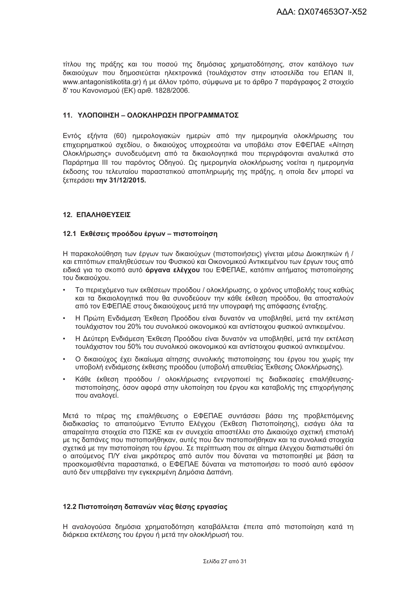τίτλου της πράξης και του ποσού της δημόσιας χρηματοδότησης, στον κατάλογο των δικαιούχων που δημοσιεύεται ηλεκτρονικά (τουλάχιστον στην ιστοσελίδα του ΕΠΑΝ ΙΙ, www.antagonistikotita.gr) ή με άλλον τρόπο, σύμφωνα με το άρθρο 7 παράνραφος 2 στοιχείο δ' του Κανονισμού (ΕΚ) αριθ. 1828/2006.

#### 11 ΥΛΟΠΟΙΗΣΗ – ΟΛΟΚΛΗΡΟΣΗ ΠΡΟΓΡΑΜΜΑΤΟΣ

Εντός εξήντα (60) ημερολογιακών ημερών από την ημερομηνία ολοκλήρωσης του επιχειρηματικού σχεδίου, ο δικαιούχος υποχρεούται να υποβάλει στον ΕΦΕΠΑΕ «Αίτηση Ολοκλήρωσης» συνοδευόμενη από τα δικαιολογητικά που περιγράφονται αναλυτικά στο Παράρτημα ΙΙΙ του παρόντος Οδηγού. Ως ημερομηνία ολοκλήρωσης νοείται η ημερομηνία έκδοσης του τελευταίου παραστατικού αποπληρωμής της πράξης, η οποία δεν μπορεί να ξεπεράσει την 31/12/2015.

#### 12. ΕΠΑΛΗΘΕΥΣΕΙΣ

#### 12.1 Εκθέσεις προόδου έργων - πιστοποίηση

Η παρακολούθηση των έργων των δικαιούχων (πιστοποιήσεις) γίνεται μέσω Διοικητικών ή / και επιτόπιων επαληθεύσεων του Φυσικού και Οικονομικού Αντικειμένου των έργων τους από ειδικά για το σκοπό αυτό όργανα ελέγχου του ΕΦΕΠΑΕ, κατόπιν αιτήματος πιστοποίησης του δικαιούχου.

- Το περιεχόμενο των εκθέσεων προόδου / ολοκλήρωσης, ο χρόνος υποβολής τους καθώς και τα δικαιολογητικά που θα συνοδεύουν την κάθε έκθεση προόδου, θα αποσταλούν από τον ΕΦΕΠΑΕ στους δικαιούχους μετά την υπονραφή της απόφασης ένταξης.
- Η Πρώτη Ενδιάμεση Έκθεση Προόδου είναι δυνατόν να υποβληθεί, μετά την εκτέλεση  $\bullet$ τουλάχιστον του 20% του συνολικού οικονομικού και αντίστοιχου φυσικού αντικειμένου.
- Η Δεύτερη Ενδιάμεση Έκθεση Προόδου είναι δυνατόν να υποβληθεί, μετά την εκτέλεση τουλάχιστον του 50% του συνολικού οικονομικού και αντίστοιχου φυσικού αντικειμένου.
- Ο δικαιούχος έχει δικαίωμα αίτησης συνολικής πιστοποίησης του έργου του χωρίς την  $\bullet$ υποβολή ενδιάμεσης έκθεσης προόδου (υποβολή απευθείας Έκθεσης Ολοκλήρωσης).
- Κάθε έκθεση προόδου / ολοκλήρωσης ενεργοποιεί τις διαδικασίες επαλήθευσηςπιστοποίησης, όσον αφορά στην υλοποίηση του έργου και καταβολής της επιχορήγησης που αναλονεί.

Μετά το πέρας της επαλήθευσης ο ΕΦΕΠΑΕ συντάσσει βάσει της προβλεπόμενης διαδικασίας το απαιτούμενο Έντυπο Ελέγχου (Έκθεση Πιστοποίησης), εισάγει όλα τα απαραίτητα στοιχεία στο ΠΣΚΕ και εν συνεχεία αποστέλλει στο Δικαιούχο σχετική επιστολή με τις δαπάνες που πιστοποιήθηκαν, αυτές που δεν πιστοποιήθηκαν και τα συνολικά στοιχεία σχετικά με την πιστοποίηση του έργου. Σε περίπτωση που σε αίτημα έλεγχου διαπιστωθεί ότι ο αιτούμενος Π/Υ είναι μικρότερος από αυτόν που δύναται να πιστοποιηθεί με βάση τα προσκομισθέντα παραστατικά, ο ΕΦΕΠΑΕ δύναται να πιστοποιήσει το ποσό αυτό εφόσον αυτό δεν υπερβαίνει την ενκεκριμένη Δημόσια Δαπάνη.

#### 12.2 Πιστοποίηση δαπανών νέας θέσης εργασίας

Η αναλογούσα δημόσια χρηματοδότηση καταβάλλεται έπειτα από πιστοποίηση κατά τη διάρκεια εκτέλεσης του έρνου ή μετά την ολοκλήρωσή του.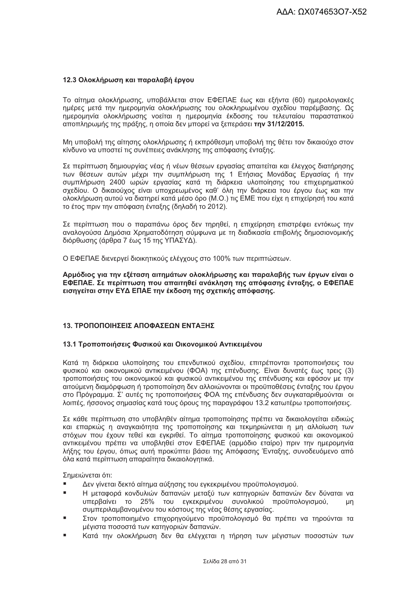#### 12.3 Ολοκλήρωση και παραλαβή έργου

Το αίτημα ολοκλήρωσης, υποβάλλεται στον ΕΦΕΠΑΕ έως και εξήντα (60) ημερολογιακές ημέρες μετά την ημερομηνία ολοκλήρωσης του ολοκληρωμένου σχεδίου παρέμβασης. Ως ημερομηνία ολοκλήρωσης νοείται η ημερομηνία έκδοσης του τελευταίου παραστατικού αποπληρωμής της πράξης, η οποία δεν μπορεί να ξεπεράσει την 31/12/2015.

Μη υποβολή της αίτησης ολοκλήρωσης ή εκπρόθεσμη υποβολή της θέτει τον δικαιούχο στον κίνδυνο να υποστεί τις συνέπειες ανάκλησης της απόφασης ένταξης.

Σε περίπτωση δημιουργίας νέας ή νέων θέσεων εργασίας απαιτείται και έλεγχος διατήρησης των θέσεων αυτών μέχρι την συμπλήρωση της 1 Ετήσιας Μονάδας Εργασίας ή την συμπλήρωση 2400 ωρών εργασίας κατά τη διάρκεια υλοποίησης του επιχειρηματικού σχεδίου. Ο δικαιούχος είναι υποχρεωμένος καθ' όλη την διάρκεια του έργου έως και την ολοκλήρωση αυτού να διατηρεί κατά μέσο όρο (Μ.Ο.) τις ΕΜΕ που είχε η επιχείρησή του κατά το έτος πριν την απόφαση ένταξης (δηλαδή το 2012).

Σε περίπτωση που ο παραπάνω όρος δεν τηρηθεί, η επιχείρηση επιστρέφει εντόκως την αναλογούσα Δημόσια Χρηματοδότηση σύμφωνα με τη διαδικασία επιβολής δημοσιονομικής διόρθωσης (άρθρα 7 έως 15 της ΥΠΑΣΥΔ).

Ο ΕΦΕΠΑΕ διενεργεί διοικητικούς ελέγχους στο 100% των περιπτώσεων.

Αρμόδιος για την εξέταση αιτημάτων ολοκλήρωσης και παραλαβής των έργων είναι ο ΕΦΕΠΑΕ. Σε περίπτωση που απαιτηθεί ανάκληση της απόφασης ένταξης, ο ΕΦΕΠΑΕ εισηγείται στην ΕΥΔ ΕΠΑΕ την έκδοση της σχετικής απόφασης.

#### 13. ΤΡΟΠΟΠΟΙΗΣΕΙΣ ΑΠΟΦΑΣΕΩΝ ΕΝΤΑΞΗΣ

#### 13.1 Τροποποιήσεις Φυσικού και Οικονομικού Αντικειμένου

Κατά τη διάρκεια υλοποίησης του επενδυτικού σχεδίου, επιτρέπονται τροποποιήσεις του φυσικού και οικονομικού αντικειμένου (ΦΟΑ) της επένδυσης. Είναι δυνατές έως τρεις (3) τροποποιήσεις του οικονομικού και φυσικού αντικειμένου της επένδυσης και εφόσον με την αιτούμενη διαμόρφωση ή τροποποίηση δεν αλλοιώνονται οι προϋποθέσεις ένταξης του έργου στο Πρόγραμμα. Σ' αυτές τις τροποποιήσεις ΦΟΑ της επένδυσης δεν συγκαταριθμούνται οι λοιπές, ήσσονος σημασίας κατά τους όρους της παραγράφου 13.2 κατωτέρω τροποποιήσεις.

Σε κάθε περίπτωση στο υποβληθέν αίτημα τροποποίησης πρέπει να δικαιολογείται ειδικώς και επαρκώς η ανανκαιότητα της τροποποίησης και τεκμηριώνεται η μη αλλοίωση των στόχων που έχουν τεθεί και εγκριθεί. Το αίτημα τροποποίησης φυσικού και οικονομικού αντικειμένου πρέπει να υποβληθεί στον ΕΦΕΠΑΕ (αρμόδιο εταίρο) πριν την ημερομηνία λήξης του έργου, όπως αυτή προκύπτει βάσει της Απόφασης Ένταξης, συνοδευόμενο από όλα κατά περίπτωση απαραίτητα δικαιολογητικά.

Σημειώνεται ότι:

- Δεν γίνεται δεκτό αίτημα αύξησης του εγκεκριμένου προϋπολογισμού.
- $\blacksquare$ Η μεταφορά κονδυλιών δαπανών μεταξύ των κατηγοριών δαπανών δεν δύναται να υπερβαίνει το 25% του εγκεκριμένου συνολικού προϋπολογισμού, un συμπεριλαμβανομένου του κόστους της νέας θέσης εργασίας.
- Στον τροποποιημένο επιχορηγούμενο προϋπολογισμό θα πρέπει να τηρούνται τα μέγιστα ποσοστά των κατηγοριών δαπανών.
- Κατά την ολοκλήρωση δεν θα ελένχεται η τήρηση των μένιστων ποσοστών των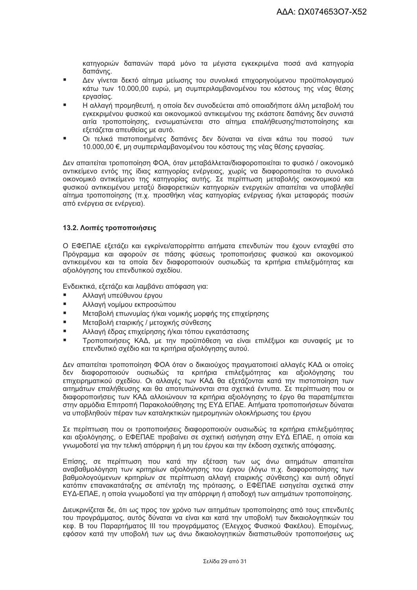κατηνοριών δαπανών παρά μόνο τα μένιστα ενκεκριμένα ποσά ανά κατηνορία δαπάνης.

- $\blacksquare$ Δεν γίνεται δεκτό αίτημα μείωσης του συνολικά επιχορηγούμενου προϋπολογισμού κάτω των 10.000.00 ευρώ, μη συμπεριλαμβανομένου του κόστους της νέας θέσης εργασίας.
- Η αλλαγή προμηθευτή, η οποία δεν συνοδεύεται από οποιαδήποτε άλλη μεταβολή του εγκεκριμένου φυσικού και οικονομικού αντικειμένου της εκάστοτε δαπάνης δεν συνιστά αιτία τροποποίησης, ενσωματώνεται στο αίτημα επαλήθευσης/πιστοποίησης και εξετάζεται απευθείας με αυτό.
- Οι τελικά πιστοποιημένες δαπάνες δεν δύναται να είναι κάτω του ποσού των 10.000,00 €, μη συμπεριλαμβανομένου του κόστους της νέας θέσης εργασίας.

Δεν απαιτείται τροποποίηση ΦΟΑ, όταν μεταβάλλεται/διαφοροποιείται το φυσικό / οικονομικό αντικείμενο εντός της ίδιας κατηγορίας ενέργειας, χωρίς να διαφοροποιείται το συνολικό οικονομικό αντικείμενο της κατηγορίας αυτής. Σε περίπτωση μεταβολής οικονομικού και φυσικού αντικειμένου μεταξύ διαφορετικών κατηγοριών ενεργειών απαιτείται να υποβληθεί αίτημα τροποποίησης (π.χ. προσθήκη νέας κατηγορίας ενέργειας ή/και μεταφοράς ποσών από ενέργεια σε ενέργεια).

#### 13.2. Λοιπές τροποποιήσεις

Ο ΕΦΕΠΑΕ εξετάζει και εγκρίνει/απορρίπτει αιτήματα επενδυτών που έχουν ενταχθεί στο Πρόγραμμα και αφορούν σε πάσης φύσεως τροποποιήσεις φυσικού και οικονομικού αντικειμένου και τα οποία δεν διαφοροποιούν ουσιωδώς τα κριτήρια επιλεξιμότητας και αξιολόγησης του επενδυτικού σχεδίου.

Ενδεικτικά, εξετάζει και λαμβάνει απόφαση για:

- Αλλαγή υπεύθυνου έργου
- $\blacksquare$ Αλλαγή νομίμου εκπροσώπου
- $\blacksquare$ Μεταβολή επωνυμίας ή/και νομικής μορφής της επιχείρησης
- $\overline{a}$ Μεταβολή εταιρικής / μετοχικής σύνθεσης
- Αλλαγή έδρας επιχείρησης ή/και τόπου εγκατάστασης
- Τροποποιήσεις ΚΑΔ, με την προϋπόθεση να είναι επιλέξιμοι και συναφείς με το επενδυτικό σχέδιο και τα κριτήρια αξιολόγησης αυτού.

Δεν απαιτείται τροποποίηση ΦΟΑ όταν ο δικαιούχος πραγματοποιεί αλλαγές ΚΑΔ οι οποίες δεν διαφοροποιούν ουσιωδώς τα κριτήρια επιλεξιμότητας και αξιολόγησης του επιχειρηματικού σχεδίου. Οι αλλαγές των ΚΑΔ θα εξετάζονται κατά την πιστοποίηση των αιτημάτων επαλήθευσης και θα αποτυπώνονται στα σχετικά έντυπα. Σε περίπτωση που οι διαφοροποιήσεις των ΚΑΔ αλλοιώνουν τα κριτήρια αξιολόγησης το έργο θα παραπέμπεται στην αρμόδια Επιτροπή Παρακολούθησης της ΕΥΔ ΕΠΑΕ. Αιτήματα τροποποιήσεων δύναται να υποβληθούν πέραν των καταληκτικών ημερομηνιών ολοκλήρωσης του έργου

Σε περίπτωση που οι τροποποιήσεις διαφοροποιούν ουσιωδώς τα κριτήρια επιλεξιμότητας και αξιολόγησης, ο ΕΦΕΠΑΕ προβαίνει σε σχετική εισήγηση στην ΕΥΔ ΕΠΑΕ, η οποία και γνωμοδοτεί για την τελική απόρριψη ή μη του έργου και την έκδοση σχετικής απόφασης.

Επίσης, σε περίπτωση που κατά την εξέταση των ως άνω αιτημάτων απαιτείται αναβαθμολόγηση των κριτηρίων αξιολόγησης του έργου (λόγω π.χ. διαφοροποίησης των βαθμολογούμενων κριτηρίων σε περίπτωση αλλαγή εταιρικής σύνθεσης) και αυτή οδηγεί κατόπιν επανακατάταξης σε απένταξη της πρότασης, ο ΕΦΕΠΑΕ εισηγείται σχετικά στην ΕΥΔ-ΕΠΑΕ, η οποία γνωμοδοτεί για την απόρριψη ή αποδοχή των αιτημάτων τροποποίησης.

Διευκρινίζεται δε, ότι ως προς τον χρόνο των αιτημάτων τροποποίησης από τους επενδυτές του προγράμματος, αυτός δύναται να είναι και κατά την υποβολή των δικαιολογητικών του κεφ. Β του Παραρτήματος ΙΙΙ του προγράμματος (Έλεγχος Φυσικού Φακέλου). Επομένως, εφόσον κατά την υποβολή των ως άνω δικαιολογητικών διαπιστωθούν τροποποιήσεις ως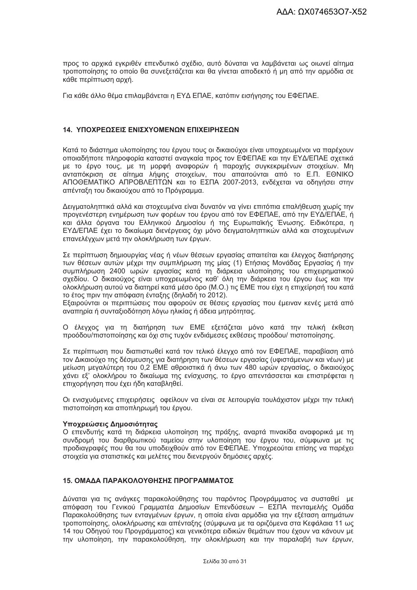προς το αρχικά ενκριθέν επενδυτικό σχέδιο, αυτό δύναται να λαμβάνεται ως οιωνεί αίτημα τροποποίησης το οποίο θα συνεξετάζεται και θα γίνεται αποδεκτό ή μη από την αρμόδια σε κάθε περίπτωση αρχή.

Για κάθε άλλο θέμα επιλαμβάνεται η ΕΥΔ ΕΠΑΕ, κατόπιν εισήγησης του ΕΦΕΠΑΕ.

#### 14. ΥΠΟΧΡΕΩΣΕΙΣ ΕΝΙΣΧΥΟΜΕΝΩΝ ΕΠΙΧΕΙΡΗΣΕΩΝ

Κατά το διάστημα υλοποίησης του έρνου τους οι δικαιούχοι είναι υποχρεωμένοι να παρέχουν οποιαδήποτε πληροφορία καταστεί αναγκαία προς τον ΕΦΕΠΑΕ και την ΕΥΔ/ΕΠΑΕ σχετικά με το έργο τους, με τη μορφή αναφορών ή παροχής συγκεκριμένων στοιχείων. Μη ανταπόκριση σε αίτημα λήψης στοιχείων, που απαιτούνται από το Ε.Π. ΕΘΝΙΚΟ ΑΠΟΘΕΜΑΤΙΚΟ ΑΠΡΟΒΛΕΠΤΩΝ και το ΕΣΠΑ 2007-2013, ενδέχεται να οδηγήσει στην απένταξη του δικαιούχου από το Πρόγραμμα.

Δειγματοληπτικά αλλά και στοχευμένα είναι δυνατόν να γίνει επιτόπια επαλήθευση χωρίς την προγενέστερη ενημέρωση των φορέων του έργου από τον ΕΦΕΠΑΕ, από την ΕΥΔ/ΕΠΑΕ, ή και άλλα όργανα του Ελληνικού Δημοσίου ή της Ευρωπαϊκής Ένωσης. Ειδικότερα, η ΕΥΔ/ΕΠΑΕ έχει το δικαίωμα διενέργειας όχι μόνο δειγματοληπτικών αλλά και στοχευμένων επανελέγχων μετά την ολοκλήρωση των έργων.

Σε περίπτωση δημιουργίας νέας ή νέων θέσεων εργασίας απαιτείται και έλεγχος διατήρησης των θέσεων αυτών μέχρι την συμπλήρωση της μίας (1) Ετήσιας Μονάδας Εργασίας ή την συμπλήρωση 2400 ωρών εργασίας κατά τη διάρκεια υλοποίησης του επιχειρηματικού σχεδίου. Ο δικαιούχος είναι υποχρεωμένος καθ' όλη την διάρκεια του έργου έως και την ολοκλήρωση αυτού να διατηρεί κατά μέσο όρο (Μ.Ο.) τις ΕΜΕ που είχε η επιχείρησή του κατά το έτος πριν την απόφαση ένταξης (δηλαδή το 2012).

Εξαιρούνται οι περιπτώσεις που αφορούν σε θέσεις εργασίας που έμειναν κενές μετά από αναπηρία ή συνταξιοδότηση λόγω ηλικίας ή άδεια μητρότητας.

Ο έλεγχος για τη διατήρηση των ΕΜΕ εξετάζεται μόνο κατά την τελική έκθεση προόδου/πιστοποίησης και όχι στις τυχόν ενδιάμεσες εκθέσεις προόδου/ πιστοποίησης.

Σε περίπτωση που διαπιστωθεί κατά τον τελικό έλεγχο από τον ΕΦΕΠΑΕ, παραβίαση από τον Δικαιούχο της δέσμευσης για διατήρηση των θέσεων εργασίας (υφιστάμενων και νέων) με μείωση μεγαλύτερη του 0,2 ΕΜΕ αθροιστικά ή άνω των 480 ωρών εργασίας, ο δικαιούχος χάνει εξ' ολοκλήρου το δικαίωμα της ενίσχυσης, το έργο απεντάσσεται και επιστρέφεται η επιχορήγηση που έχει ήδη καταβληθεί.

Οι ενισχυόμενες επιχειρήσεις οφείλουν να είναι σε λειτουργία τουλάχιστον μέχρι την τελική πιστοποίηση και αποπληρωμή του έργου.

#### Υποχρεώσεις Δημοσιότητας

Ο επενδυτής κατά τη διάρκεια υλοποίηση της πράξης, αναρτά πινακίδα αναφορικά με τη συνδρομή του διαρθρωτικού ταμείου στην υλοποίηση του έργου του, σύμφωνα με τις προδιαγραφές που θα του υποδειχθούν από τον ΕΦΕΠΑΕ. Υποχρεούται επίσης να παρέχει στοιχεία για στατιστικές και μελέτες που διενεργούν δημόσιες αρχές.

#### 15. ΟΜΑΔΑ ΠΑΡΑΚΟΛΟΥΘΗΣΗΣ ΠΡΟΓΡΑΜΜΑΤΟΣ

Δύναται για τις ανάγκες παρακολούθησης του παρόντος Προγράμματος να συσταθεί με απόφαση του Γενικού Γραμματέα Δημοσίων Επενδύσεων - ΕΣΠΑ πενταμελής Ομάδα Παρακολούθησης των ενταγμένων έργων, η οποία είναι αρμόδια για την εξέταση αιτημάτων τροποποίησης, ολοκλήρωσης και απένταξης (σύμφωνα με τα οριζόμενα στα Κεφάλαια 11 ως 14 του Οδηγού του Προγράμματος) και γενικότερα ειδικών θεμάτων που έχουν να κάνουν με την υλοποίηση, την παρακολούθηση, την ολοκλήρωση και την παραλαβή των έργων,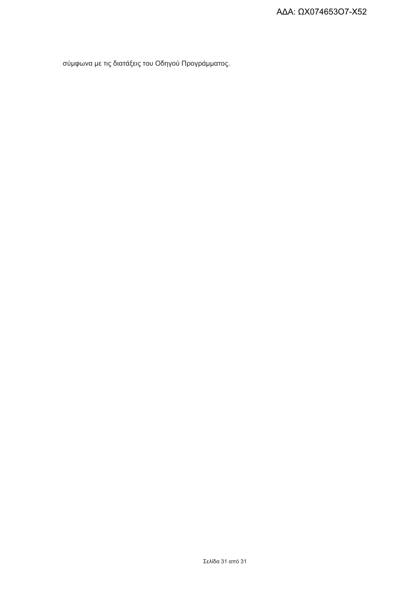σύμφωνα με τις διατάξεις του Οδηγού Προγράμματος.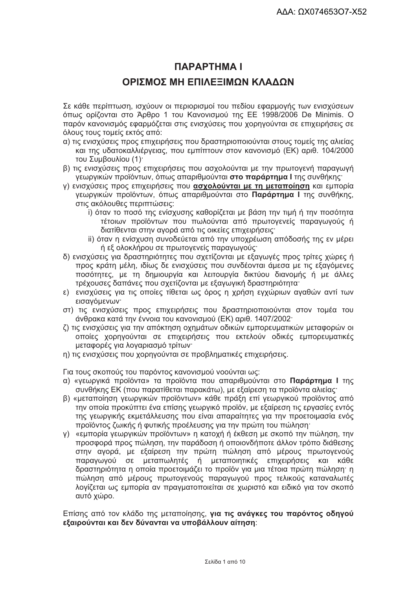# **ПАРАРТНМА І**

# ΟΡΙΣΜΟΣ ΜΗ ΕΠΙΛΕΞΙΜΟΝ ΚΛΑΛΟΝ

Σε κάθε περίπτωση, ισχύουν οι περιορισμοί του πεδίου εφαρμογής των ενισχύσεων όπως ορίζονται στο Άρθρο 1 του Κανονισμού της ΕΕ 1998/2006 De Minimis. Ο παρόν κανονισμός εφαρμόζεται στις ενισχύσεις που χορηγούνται σε επιχειρήσεις σε όλους τους τομείς εκτός από:

- α) τις ενισχύσεις προς επιχειρήσεις που δραστηριοποιούνται στους τομείς της αλιείας και της υδατοκαλλιέρνειας, που εμπίπτουν στον κανονισμό (ΕΚ) αριθ. 104/2000 του Συμβουλίου (1).
- β) τις ενισχύσεις προς επιχειρήσεις που ασχολούνται με την πρωτογενή παραγωγή γεωργικών προϊόντων, όπως απαριθμούνται στο παράρτημα Ι της συνθήκης:
- γ) ενισχύσεις προς επιχειρήσεις που ασχολούνται με τη μεταποίηση και εμπορία γεωργικών προϊόντων, όπως απαριθμούνται στο Παράρτημα Ι της συνθήκης, στις ακόλουθες περιπτώσεις:
	- i) όταν το ποσό της ενίσχυσης καθορίζεται με βάση την τιμή ή την ποσότητα τέτοιων προϊόντων που πωλούνται από πρωτογενείς παραγωγούς ή διατίθενται στην αγορά από τις οικείες επιχειρήσεις·
	- ii) όταν η ενίσχυση συνοδεύεται από την υποχρέωση απόδοσής της εν μέρει ή εξ ολοκλήρου σε πρωτογενείς παραγωγούς·
- δ) ενισχύσεις για δραστηριότητες που σχετίζονται με εξαγωγές προς τρίτες χώρες ή προς κράτη μέλη, ιδίως δε ενισχύσεις που συνδέονται άμεσα με τις εξαγόμενες ποσότητες, με τη δημιουργία και λειτουργία δικτύου διανομής ή με άλλες τρέχουσες δαπάνες που σχετίζονται με εξαγωγική δραστηριότητα:
- ε) ενισχύσεις για τις οποίες τίθεται ως όρος η χρήση εγχώριων αγαθών αντί των εισανόμενων·
- στ) τις ενισχύσεις προς επιχειρήσεις που δραστηριοποιούνται στον τομέα του άνθρακα κατά την έννοια του κανονισμού (ΕΚ) αριθ. 1407/2002·
- ζ) τις ενισχύσεις για την απόκτηση οχημάτων οδικών εμπορευματικών μεταφορών οι οποίες χορηνούνται σε επιχειρήσεις που εκτελούν οδικές εμπορευματικές μεταφορές για λογαριασμό τρίτων·
- η) τις ενισχύσεις που χορηγούνται σε προβληματικές επιχειρήσεις.

Για τους σκοπούς του παρόντος κανονισμού νοούνται ως:

- α) «γεωργικά προϊόντα» τα προϊόντα που απαριθμούνται στο Παράρτημα Ι της συνθήκης ΕΚ (που παρατίθεται παρακάτω), με εξαίρεση τα προϊόντα αλιείας·
- β) «μεταποίηση γεωργικών προϊόντων» κάθε πράξη επί γεωργικού προϊόντος από την οποία προκύπτει ένα επίσης γεωργικό προϊόν, με εξαίρεση τις εργασίες εντός της γεωργικής εκμετάλλευσης που είναι απαραίτητες για την προετοιμασία ενός προϊόντος ζωικής ή φυτικής προέλευσης για την πρώτη του πώληση·
- y) «εμπορία γεωργικών προϊόντων» η κατοχή ή έκθεση με σκοπό την πώληση, την προσφορά προς πώληση, την παράδοση ή οποιονδήποτε άλλον τρόπο διάθεσης στην αγορά, με εξαίρεση την πρώτη πώληση από μέρους πρωτογενούς παραγωγού σε μεταπωλητές ή μεταποιητικές επιχειρήσεις και κάθε δραστηριότητα η οποία προετοιμάζει το προϊόν για μια τέτοια πρώτη πώληση· η πώληση από μέρους πρωτογενούς παραγωγού προς τελικούς καταναλωτές λογίζεται ως εμπορία αν πραγματοποιείται σε χωριστό και ειδικό για τον σκοπό αυτό χώρο.

Επίσης από τον κλάδο της μεταποίησης, για τις ανάγκες του παρόντος οδηγού εξαιρούνται και δεν δύνανται να υποβάλλουν αίτηση: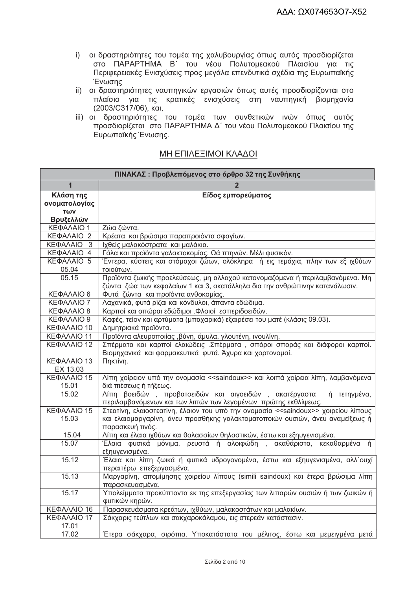- i) οι δραστηριότητες του τομέα της χαλυβουργίας όπως αυτός προσδιορίζεται στο ΠΑΡΑΡΤΗΜΑ Β΄ του νέου Πολυτομεακού Πλαισίου για τις Περιφερειακές Ενισχύσεις προς μεγάλα επενδυτικά σχέδια της Ευρωπαϊκής Ένωσης
- ii) οι δραστηριότητες ναυπηγικών εργασιών όπως αυτές προσδιορίζονται στο πλαίσιο για τις κρατικές ενισχύσεις στη ναυπηγική βιομηχανία (2003/С317/06), каі,
- iii) οι δραστηριότητες του τομέα των συνθετικών ινών όπως αυτός προσδιορίζεται στο ΠΑΡΑΡΤΗΜΑ Δ΄ του νέου Πολυτομεακού Πλαισίου της Ευρωπαϊκής Ένωσης.

| ΠΙΝΑΚΑΣ: Προβλεπόμενος στο άρθρο 32 της Συνθήκης |                                                                                                                                                                                                         |  |  |  |
|--------------------------------------------------|---------------------------------------------------------------------------------------------------------------------------------------------------------------------------------------------------------|--|--|--|
| 1                                                |                                                                                                                                                                                                         |  |  |  |
| Κλάση της<br>ονοματολογίας<br>TWV<br>Βρυξελλών   | Είδος εμπορεύματος                                                                                                                                                                                      |  |  |  |
| ΚΕΦΑΛΑΙΟ 1                                       | Ζώα ζώντα.                                                                                                                                                                                              |  |  |  |
| ΚΕΦΑΛΑΙΟ 2                                       | Κρέατα και βρώσιμα παραπροιόντα σφαγίων.                                                                                                                                                                |  |  |  |
| ΚΕΦΑΛΑΙΟ<br>-3                                   | Ιχθείς μαλακόστρατα και μαλάκια.                                                                                                                                                                        |  |  |  |
| ΚΕΦΑΛΑΙΟ 4                                       | Γάλα και προϊόντα γαλακτοκομίας. Ωά πτηνών. Μέλι φυσικόν.                                                                                                                                               |  |  |  |
| ΚΕΦΑΛΑΙΟ 5<br>05.04                              | Έντερα, κύστεις και στόμαχοι ζώων, ολόκληρα ή εις τεμάχια, πλην των εξ ιχθύων<br>τοιούτων.                                                                                                              |  |  |  |
| 05.15                                            | Προϊόντα ζωικής προελεύσεως, μη αλλαχού κατονομαζόμενα ή περιλαμβανόμενα. Μη<br>ζώντα ζώα των κεφαλαίων 1 και 3, ακατάλληλα δια την ανθρώπινην κατανάλωσιν.                                             |  |  |  |
| ΚΕΦΑΛΑΙΟ 6                                       | Φυτά ζώντα και προϊόντα ανθοκομίας.                                                                                                                                                                     |  |  |  |
| ΚΕΦΑΛΑΙΟ 7                                       | Λαχανικά, φυτά ρίζαι και κόνδυλοι, άπαντα εδώδιμα.                                                                                                                                                      |  |  |  |
| ΚΕΦΑΛΑΙΟ 8                                       | Καρποί και οπώραι εδώδιμοι . Φλοιοί εσπεριδοειδών.                                                                                                                                                      |  |  |  |
| ΚΕΦΑΛΑΙΟ 9                                       | Καφές, τείον και αρτύματα (μπαχαρικά) εξαιρέσει του ματέ (κλάσις 09.03).                                                                                                                                |  |  |  |
| ΚΕΦΑΛΑΙΟ 10                                      | Δημητριακά προϊόντα.                                                                                                                                                                                    |  |  |  |
| ΚΕΦΑΛΑΙΟ 11                                      | Προϊόντα αλευροποιίας , βύνη, άμυλα, γλουτένη, ινουλίνη.                                                                                                                                                |  |  |  |
| ΚΕΦΑΛΑΙΟ 12                                      | Σπέρματα και καρποί ελαιώδεις. Σπέρματα, σπόροι σποράς και διάφοροι καρποί.<br>Βιομηχανικά και φαρμακευτικά φυτά. Άχυρα και χορτονομαί.                                                                 |  |  |  |
| ΚΕΦΑΛΑΙΟ 13                                      | Πηκτίνη.                                                                                                                                                                                                |  |  |  |
| EX 13.03                                         |                                                                                                                                                                                                         |  |  |  |
| ΚΕΦΑΛΑΙΟ 15<br>15.01                             | Λίπη χοίρειον υπό την ονομασία < <saindoux>&gt; και λοιπά χοίρεια λίπη, λαμβανόμενα<br/>διά πιέσεως ή τήξεως.</saindoux>                                                                                |  |  |  |
| 15.02                                            | Λίπη βοειδών, προβατοειδών και αιγοειδών, ακατέργαστα<br>ή τετηγμένα,<br>περιλαμβανόμενων και των λιπών των λεγομένων πρώτης εκθλίψεως.                                                                 |  |  |  |
| ΚΕΦΑΛΑΙΟ 15<br>15.03                             | Στεατίνη, ελαιοστεατίνη, έλαιον του υπό την ονομασία < <saindoux>&gt; χοιρείου λίπους<br/>και ελαιομαργαρίνη, άνευ προσθήκης γαλακτοματοποιών ουσιών, άνευ αναμείξεως ή<br/>παρασκευή τινός.</saindoux> |  |  |  |
| 15.04                                            | Λίπη και έλαια ιχθύων και θαλασσίων θηλαστικών, έστω και εξηυγενισμένα.                                                                                                                                 |  |  |  |
| 15.07                                            | Έλαια φυσικά μόνιμα, ρευστά ή αλοιφώδη , ακαθάριστα, κεκαθαρμένα ή<br>εξηυγενισμένα.                                                                                                                    |  |  |  |
| 15.12                                            | Έλαια και λίπη ζωικά ή φυτικά υδρογονομένα, έστω και εξηυγενισμένα, αλλ΄ουχί<br>περαιτέρω επεξεργασμένα.                                                                                                |  |  |  |
| 15.13                                            | Μαργαρίνη, απομίμησης χοιρείου λίπους (simili saindoux) και έτερα βρώσιμα λίπη<br>παρασκευασμένα.                                                                                                       |  |  |  |
| 15.17                                            | Υπολείμματα προκύπτοντα εκ της επεξεργασίας των λιπαρών ουσιών ή των ζωικών ή<br>φυτικών κηρών.                                                                                                         |  |  |  |
| ΚΕΦΑΛΑΙΟ 16                                      | Παρασκευάσματα κρεάτων, ιχθύων, μαλακοστάτων και μαλακίων.                                                                                                                                              |  |  |  |
| ΚΕΦΑΛΑΙΟ 17<br>17.01                             | Σάκχαρις τεύτλων και σακχαροκάλαμου, εις στερεάν κατάστασιν.                                                                                                                                            |  |  |  |
| 17.02                                            | Έτερα σάκχαρα, σιρόπια. Υποκατάστατα του μέλιτος, έστω και μεμειγμένα μετά                                                                                                                              |  |  |  |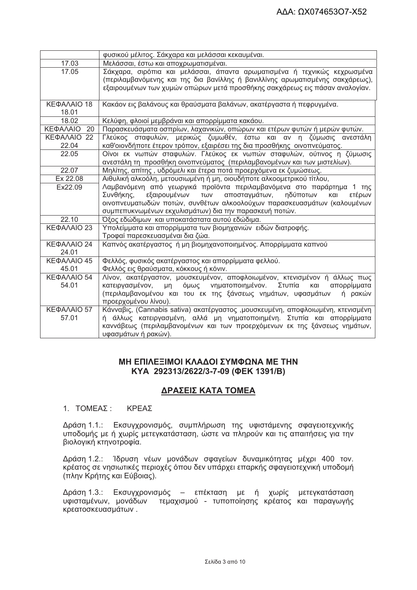|                | φυσικού μέλιτος. Σάκχαρα και μελάσσαι κεκαυμέναι.                               |  |  |
|----------------|---------------------------------------------------------------------------------|--|--|
| 17.03          | Μελάσσαι, έστω και αποχρωματισμέναι.                                            |  |  |
| 17.05          | Σάκχαρα, σιρόπια και μελάσσαι, άπαντα αρωματισμένα ή τεχνικώς κεχρωσμένα        |  |  |
|                | (περιλαμβανόμενης και της δια βανίλλης ή βανιλλίνης αρωματισμένης σακχάρεως),   |  |  |
|                | εξαιρουμένων των χυμών οπώρων μετά προσθήκης σακχάρεως εις πάσαν αναλογίαν.     |  |  |
|                |                                                                                 |  |  |
| ΚΕΦΑΛΑΙΟ 18    | Κακάον εις βαλάνους και θραύσματα βαλάνων, ακατέργαστα ή πεφρυγμένα.            |  |  |
| 18.01          |                                                                                 |  |  |
| 18.02          | Κελύφη, φλοιοί μεμβράναι και απορρίμματα κακάου.                                |  |  |
| ΚΕΦΑΛΑΙΟ<br>20 | Παρασκευάσματα οσπρίων, λαχανικών, οπώρων και ετέρων φυτών ή μερών φυτών.       |  |  |
| ΚΕΦΑΛΑΙΟ 22    | Γλεύκος σταφυλών, μερικώς ζυμωθέν, έστω και αν η ζύμωσις ανεστάλη               |  |  |
| 22.04          | καθ'οιονδήποτε έτερον τρόπον, εξαιρέσει της δια προσθήκης οινοπνεύματος.        |  |  |
| 22.05          | Οίνοι εκ νωπών σταφυλών. Γλεύκος εκ νωπών σταφυλών, ούτινος η ζύμωσις           |  |  |
|                | ανεστάλη τη προσθήκη οινοπνεύματος (περιλαμβανομένων και των μιστελίων).        |  |  |
| 22.07          | Μηλίτης, απίτης, υδρόμελι και έτερα ποτά προερχόμενα εκ ζυμώσεως.               |  |  |
| Ex 22.08       | Αιθυλική αλκοόλη, μετουσιωμένη ή μη, οιουδήποτε αλκοομετρικού τίτλου,           |  |  |
| Ex22.09        | Λαμβανόμενη από γεωργικά προϊόντα περιλαμβανόμενα στο παράρτημα 1 της           |  |  |
|                | εξαιρουμένων<br>αποσταγμάτων, ηδύποτων<br>Συνθήκης,<br>TWV<br>ετέρων<br>και     |  |  |
|                | οινοπνευματωδών ποτών, συνθέτων αλκοολούχων παρασκευασμάτων (καλουμένων         |  |  |
|                | συμπεπυκνωμένων εκχυλισμάτων) δια την παρασκευή ποτών.                          |  |  |
| 22.10          | Όξος εδώδιμων και υποκατάστατα αυτού εδώδιμα.                                   |  |  |
| ΚΕΦΑΛΑΙΟ 23    | Υπολείμματα και απορρίμματα των βιομηχανιών ειδών διατροφής.                    |  |  |
|                | Τροφαί παρεσκευασμέναι δια ζώα.                                                 |  |  |
| ΚΕΦΑΛΑΙΟ 24    | Καπνός ακατέργαστος ή μη βιομηχανοποιημένος. Απορρίμματα καπνού                 |  |  |
| 24.01          |                                                                                 |  |  |
| ΚΕΦΑΛΑΙΟ 45    | Φελλός, φυσικός ακατέργαστος και απορρίμματα φελλού.                            |  |  |
| 45.01          | Φελλός εις θραύσματα, κόκκους ή κόνιν.                                          |  |  |
| ΚΕΦΑΛΑΙΟ 54    | Λίνον, ακατέργαστον, μουσκευμένον, αποφλοιωμένον, κτενισμένον ή άλλως πως       |  |  |
| 54.01          | όμως νηματοποιημένον.<br>Στυπία<br>και<br>κατειργασμένον, μη<br>απορρίμματα     |  |  |
|                | (περιλαμβανομένου και του εκ της ξάνσεως νημάτων, υφασμάτων<br>ή ρακών          |  |  |
|                | προερχομένου λίνου).                                                            |  |  |
| ΚΕΦΑΛΑΙΟ 57    | Κάνναβις, (Cannabis sativa) ακατέργαστος ,μουσκευμένη, αποφλοιωμένη, κτενισμένη |  |  |
| 57.01          | ή άλλως κατειργασμένη, αλλά μη νηματοποιημένη. Στυπία και απορρίμματα           |  |  |
|                | καννάβεως (περιλαμβανομένων και των προερχόμενων εκ της ξάνσεως νημάτων,        |  |  |
|                | υφασμάτων ή ρακών).                                                             |  |  |

# ΜΗ ΕΠΙΛΕΞΙΜΟΙ ΚΛΑΔΟΙ ΣΥΜΦΩΝΑ ΜΕ ΤΗΝ KYA 292313/2622/3-7-09 (ΦΕΚ 1391/Β)

# ΔΡΑΣΕΙΣ ΚΑΤΑ ΤΟΜΕΑ

# 1. ΤΟΜΕΑΣ: ΚΡΕΑΣ

Δράση 1.1.: Εκσυγχρονισμός, συμπλήρωση της υφιστάμενης σφαγειοτεχνικής υποδομής με ή χωρίς μετεγκατάσταση, ώστε να πληρούν και τις απαιτήσεις για την βιολογική κτηνοτροφία.

Δράση 1.2.: Ίδρυση νέων μονάδων σφαγείων δυναμικότητας μέχρι 400 τον. κρέατος σε νησιωτικές περιοχές όπου δεν υπάρχει επαρκής σφαγειοτεχνική υποδομή (πλην Κρήτης και Εύβοιας).

Δράση 1.3.: Εκσυγχρονισμός – επέκταση με ή χωρίς μετεγκατάσταση υφισταμένων, μονάδων τεμαχισμού - τυποποίησης κρέατος και παραγωγής κρεατοσκευασμάτων.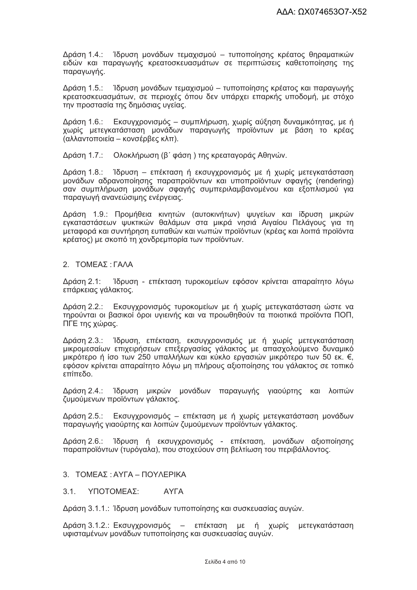Δράση 1.4.: 1δρυση μονάδων τεμαχισμού – τυποποίησης κρέατος θηραματικών ειδών και παραγωγής κρεατοσκευασμάτων σε περιπτώσεις καθετοποίησης της παραγωγής.

Δράση 1.5.: Ίδρυση μονάδων τεμαχισμού – τυποποίησης κρέατος και παραγωγής κρεατοσκευασμάτων, σε περιοχές όπου δεν υπάρχει επαρκής υποδομή, με στόχο την προστασία της δημόσιας υγείας.

Δράση 1.6.: Εκσυγχρονισμός - συμπλήρωση, χωρίς αύξηση δυναμικότητας, με ή χωρίς μετεγκατάσταση μονάδων παραγωγής προϊόντων με βάση το κρέας (αλλαντοποιεία – κονσέρβες κλπ).

Δράση 1.7.: Ολοκλήρωση (β' φάση) της κρεαταγοράς Αθηνών.

Δράση 1.8.: Ίδρυση – επέκταση ή εκσυγχρονισμός με ή χωρίς μετεγκατάσταση μονάδων αδρανοποίησης παραπροϊόντων και υποπροϊόντων σφαγής (rendering) σαν συμπλήρωση μονάδων σφαγής συμπεριλαμβανομένου και εξοπλισμού για παραγωγή ανανεώσιμης ενέργειας.

Δράση 1.9.: Προμήθεια κινητών (αυτοκινήτων) ψυγείων και ίδρυση μικρών εγκαταστάσεων ψυκτικών θαλάμων στα μικρά νησιά Αιγαίου Πελάγους για τη μεταφορά και συντήρηση ευπαθών και νωπών προϊόντων (κρέας και λοιπά προϊόντα κρέατος) με σκοπό τη χονδρεμπορία των προϊόντων.

#### 2. ΤΟΜΕΑΣ: ΓΑΛΑ

Δράση 2.1: Ίδρυση - επέκταση τυροκομείων εφόσον κρίνεται απαραίτητο λόγω επάρκειας γάλακτος.

Δράση 2.2.: Εκσυγχρονισμός τυροκομείων με ή χωρίς μετεγκατάσταση ώστε να τηρούνται οι βασικοί όροι υγιεινής και να προωθηθούν τα ποιοτικά προϊόντα ΠΟΠ, ΠΓΕ της χώρας.

Δράση 2.3.: Ίδρυση, επέκταση, εκσυγχρονισμός με ή χωρίς μετεγκατάσταση μικρομεσαίων επιχειρήσεων επεξεργασίας γάλακτος με απασχολούμενο δυναμικό μικρότερο ή ίσο των 250 υπαλλήλων και κύκλο εργασιών μικρότερο των 50 εκ. €, εφόσον κρίνεται απαραίτητο λόγω μη πλήρους αξιοποίησης του γάλακτος σε τοπικό οδεπίπε

Δράση 2.4.: Ίδρυση μικρών μονάδων παραγωγής γιαούρτης και λοιπών ζυμούμενων προϊόντων γάλακτος.

Δράση 2.5.: Εκσυγχρονισμός – επέκταση με ή χωρίς μετεγκατάσταση μονάδων παραγωγής γιαούρτης και λοιπών ζυμούμενων προϊόντων γάλακτος.

Δράση 2.6.: Ίδρυση ή εκσυγχρονισμός - επέκταση, μονάδων αξιοποίησης παραπροϊόντων (τυρόγαλα), που στοχεύουν στη βελτίωση του περιβάλλοντος.

#### 3. ΤΟΜΕΑΣ: ΑΥΓΑ - ΠΟΥΛΕΡΙΚΑ

**AYFA**  $3.1.$ ΥΠΟΤΟΜΕΑΣ:

Δράση 3.1.1.: Ίδρυση μονάδων τυποποίησης και συσκευασίας αυγών.

Δράση 3.1.2.: Εκσυγχρονισμός – επέκταση με ή χωρίς μετεγκατάσταση υφισταμένων μονάδων τυποποίησης και συσκευασίας αυγών.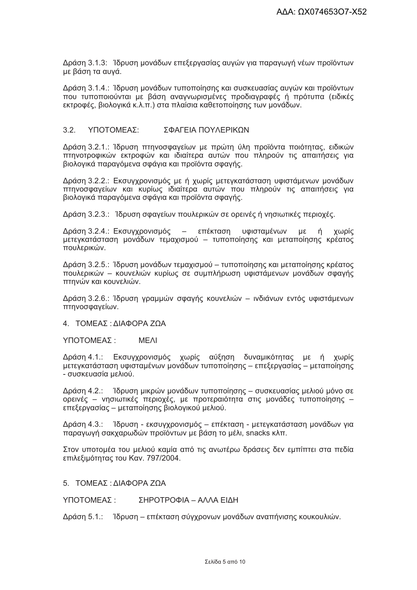Δράση 3.1.3: 1δρυση μονάδων επεξεργασίας αυγών για παραγωγή νέων προϊόντων με βάση τα αυγά.

Δράση 3.1.4.: Ίδρυση μονάδων τυποποίησης και συσκευασίας αυγών και προϊόντων που τυποποιούνται με βάση αναγνωρισμένες προδιαγραφές ή πρότυπα (ειδικές εκτροφές, βιολογικά κ.λ.π.) στα πλαίσια καθετοποίησης των μονάδων.

#### $32<sup>°</sup>$ ΥΠΟΤΟΜΕΑΣΩ ΣΦΑΓΕΙΑ ΠΟΥΛΕΡΙΚΟΝ

Δράση 3.2.1.: Ίδρυση πτηνοσφαγείων με πρώτη ύλη προϊόντα ποιότητας, ειδικών πτηνοτροφικών εκτροφών και ιδιαίτερα αυτών που πληρούν τις απαιτήσεις για βιολογικά παραγόμενα σφάγια και προϊόντα σφαγής.

Δράση 3.2.2.: Εκσυγχρονισμός με ή χωρίς μετεγκατάσταση υφιστάμενων μονάδων πτηνοσφαγείων και κυρίως ιδιαίτερα αυτών που πληρούν τις απαιτήσεις για βιολογικά παραγόμενα σφάγια και προϊόντα σφαγής.

Δράση 3.2.3.: Ίδρυση σφαγείων πουλερικών σε ορεινές ή νησιωτικές περιοχές.

Δράση 3.2.4.: Εκσυγχρονισμός - επέκταση υφισταμένων με ή χωρίς μετεγκατάσταση μονάδων τεμαχισμού – τυποποίησης και μεταποίησης κρέατος πουλερικών.

Δράση 3.2.5.: Ίδρυση μονάδων τεμαχισμού – τυποποίησης και μεταποίησης κρέατος πουλερικών – κουνελιών κυρίως σε συμπλήρωση υφιστάμενων μονάδων σφαγής πτηνών και κουνελιών.

Δράση 3.2.6.: Ίδρυση γραμμών σφαγής κουνελιών - ινδιάνων εντός υφιστάμενων πτηνοσφαγείων.

4. ΤΟΜΕΑΣ: ΔΙΑΦΟΡΑ ΖΩΑ

ΥΠΟΤΟΜΕΑΣ: **MFAI** 

Δράση 4.1.: Εκσυγχρονισμός χωρίς αύξηση δυναμικότητας με ή χωρίς μετεγκατάσταση υφισταμένων μονάδων τυποποίησης – επεξεργασίας – μεταποίησης - συσκευασία μελιού.

Δράση 4.2.: 1δρυση μικρών μονάδων τυποποίησης – συσκευασίας μελιού μόνο σε ορεινές - νησιωτικές περιοχές, με προτεραιότητα στις μονάδες τυποποίησης επεξεργασίας – μεταποίησης βιολογικού μελιού.

Δράση 4.3.: Ίδρυση - εκσυγχρονισμός - επέκταση - μετεγκατάσταση μονάδων νια παραγωγή σακχαρωδών προϊόντων με βάση το μέλι, snacks κλπ.

Στον υποτομέα του μελιού καμία από τις ανωτέρω δράσεις δεν εμπίπτει στα πεδία επιλεξιμότητας του Καν. 797/2004.

5. ΤΟΜΕΑΣ: ΔΙΑΦΟΡΑ ΖΩΑ

ΣΗΡΟΤΡΟΦΙΑ - ΑΛΛΑ ΕΙΔΗ ΥΠΟΤΟΜΕΑΣ ·

Δράση 5.1.: Ίδρυση – επέκταση σύγχρονων μονάδων αναπήνισης κουκουλιών.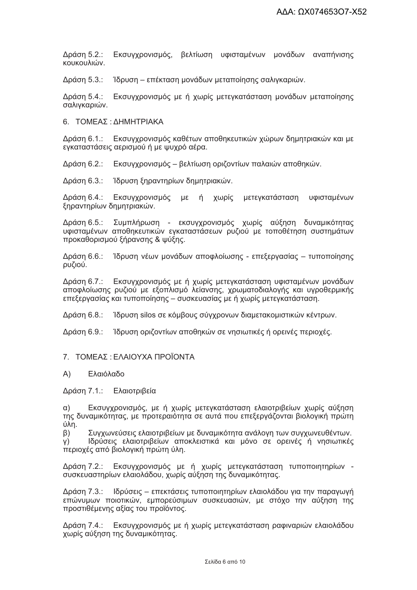Εκσυγχρονισμός, βελτίωση υφισταμένων μονάδων αναπήνισης Δράση 5.2.: κουκουλιών.

Δράση 5.3.: Ίδρυση – επέκταση μονάδων μεταποίησης σαλιγκαριών.

Δράση 5.4.: Εκσυγχρονισμός με ή χωρίς μετεγκατάσταση μονάδων μεταποίησης σαλιγκαριών.

6. ΤΟΜΕΑΣ: ΔΗΜΗΤΡΙΑΚΑ

Δράση 6.1.: Εκσυγχρονισμός καθέτων αποθηκευτικών χώρων δημητριακών και με εγκαταστάσεις αερισμού ή με ψυχρό αέρα.

Δράση 6.2.: Εκσυγχρονισμός – βελτίωση οριζοντίων παλαιών αποθηκών.

Δράση 6.3.: Ίδρυση ξηραντηρίων δημητριακών.

Δράση 6.4.: Εκσυγχρονισμός με ή χωρίς μετεγκατάσταση υφισταμένων ξηραντηρίων δημητριακών.

Δράση 6.5.: Συμπλήρωση - εκσυγχρονισμός χωρίς αύξηση δυναμικότητας υφισταμένων αποθηκευτικών εγκαταστάσεων ρυζιού με τοποθέτηση συστημάτων προκαθορισμού ξήρανσης & ψύξης.

Ίδρυση νέων μονάδων αποφλοίωσης - επεξεργασίας - τυποποίησης Δράση 6.6.: ρυζιού.

Δράση 6.7.: Εκσυγχρονισμός με ή χωρίς μετεγκατάσταση υφισταμένων μονάδων αποφλοίωσης ρυζιού με εξοπλισμό λείανσης, χρωματοδιαλογής και υγροθερμικής επεξεργασίας και τυποποίησης – συσκευασίας με ή χωρίς μετεγκατάσταση.

Ίδρυση silos σε κόμβους σύγχρονων διαμετακομιστικών κέντρων. Δράση 6.8.:

Δράση 6.9.: Ίδρυση οριζοντίων αποθηκών σε νησιωτικές ή ορεινές περιοχές.

#### 7. ΤΟΜΕΑΣ: ΕΛΑΙΟΥΧΑ ΠΡΟΪΟΝΤΑ

#### Ελαιόλαδο  $(A)$

Δράση 7.1.: Ελαιοτριβεία

Εκσυγχρονισμός, με ή χωρίς μετεγκατάσταση ελαιοτριβείων χωρίς αύξηση  $\alpha$ ) της δυναμικότητας, με προτεραιότητα σε αυτά που επεξεργάζονται βιολογική πρώτη úλη.

Συγχωνεύσεις ελαιοτριβείων με δυναμικότητα ανάλογη των συγχωνευθέντων.  $\beta$ ) Ιδρύσεις ελαιοτριβείων αποκλειστικά και μόνο σε ορεινές ή νησιωτικές Y) περιοχές από βιολογική πρώτη ύλη.

Δράση 7.2.: Εκσυγχρονισμός με ή χωρίς μετεγκατάσταση τυποποιητηρίων συσκευαστηρίων ελαιολάδου, χωρίς αύξηση της δυναμικότητας.

Δράση 7.3.: Ιδρύσεις - επεκτάσεις τυποποιητηρίων ελαιολάδου για την παραγωγή επώνυμων ποιοτικών, εμπορεύσιμων συσκευασιών, με στόχο την αύξηση της προστιθέμενης αξίας του προϊόντος.

Δράση 7.4.: Εκσυγχρονισμός με ή χωρίς μετεγκατάσταση ραφιναριών ελαιολάδου χωρίς αύξηση της δυναμικότητας.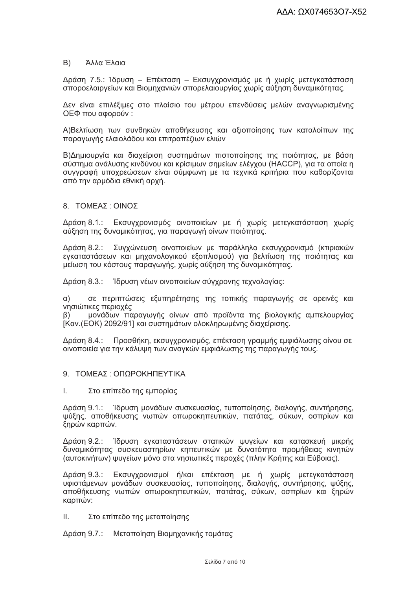#### B) Άλλα Έλαια

Δράση 7.5.: Ίδρυση - Επέκταση - Εκσυγχρονισμός με ή χωρίς μετεγκατάσταση σποροελαιργείων και Βιομηχανιών σπορελαιουργίας χωρίς αύξηση δυναμικότητας.

Δεν είναι επιλέξιμες στο πλαίσιο του μέτρου επενδύσεις μελών αναγνωρισμένης ΟΕΦ που αφορούν:

Α)Βελτίωση των συνθηκών αποθήκευσης και αξιοποίησης των καταλοίπων της παραγωγής ελαιολάδου και επιτραπέζιων ελιών

Β) Δημιουργία και διαχείριση συστημάτων πιστοποίησης της ποιότητας, με βάση σύστημα ανάλυσης κινδύνου και κρίσιμων σημείων ελέγχου (HACCP), για τα οποία η συγγραφή υποχρεώσεων είναι σύμφωνη με τα τεχνικά κριτήρια που καθορίζονται από την αρμόδια εθνική αρχή.

#### 8. ΤΟΜΕΑΣ: ΟΙΝΟΣ

Δράση 8.1.: Εκσυγχρονισμός οινοποιείων με ή χωρίς μετεγκατάσταση χωρίς αύξηση της δυναμικότητας, για παραγωγή οίνων ποιότητας.

Δράση 8.2.: Συγχώνευση οινοποιείων με παράλληλο εκσυγχρονισμό (κτιριακών εγκαταστάσεων και μηχανολογικού εξοπλισμού) για βελτίωση της ποιότητας και μείωση του κόστους παραγωγής, χωρίς αύξηση της δυναμικότητας.

Δράση 8.3.: Ίδρυση νέων οινοποιείων σύγχρονης τεχνολογίας:

 $\alpha$ ) σε περιπτώσεις εξυπηρέτησης της τοπικής παραγωγής σε ορεινές και νησιώτικες περιοχές

μονάδων παραγωγής οίνων από προϊόντα της βιολογικής αμπελουργίας  $\beta$ ) [Καν.(ΕΟΚ) 2092/91] και συστημάτων ολοκληρωμένης διαχείρισης.

Δράση 8.4.: Προσθήκη, εκσυγχρονισμός, επέκταση γραμμής εμφιάλωσης οίνου σε οινοποιεία για την κάλυψη των αναγκών εμφιάλωσης της παραγωγής τους.

- 9 ΤΟΜΕΑΣ ΟΠΟΡΟΚΗΠΕΥΤΙΚΑ
- I. Στο επίπεδο της εμπορίας

Δράση 9.1.: Ίδρυση μονάδων συσκευασίας, τυποποίησης, διαλογής, συντήρησης, ψύξης, αποθήκευσης νωπών οπωροκηπευτικών, πατάτας, σύκων, οσπρίων και ξηρών καρπών.

Δράση 9.2.: Ίδρυση εγκαταστάσεων στατικών ψυγείων και κατασκευή μικρής δυναμικότητας συσκευαστηρίων κηπευτικών με δυνατότητα προμήθειας κινητών (αυτοκινήτων) ψυγείων μόνο στα νησιωτικές περοχές (πλην Κρήτης και Εύβοιας).

Δράση 9.3.: Εκσυγχρονισμοί ή/και επέκταση με ή χωρίς μετεγκατάσταση υφιστάμενων μονάδων συσκευασίας, τυποποίησης, διαλογής, συντήρησης, ψύξης, αποθήκευσης νωπών οπωροκηπευτικών, πατάτας, σύκων, οσπρίων και ξηρών καρπών:

ΙΙ. Στο επίπεδο της μεταποίησης

Δράση 9.7.: Μεταποίηση Βιομηχανικής τομάτας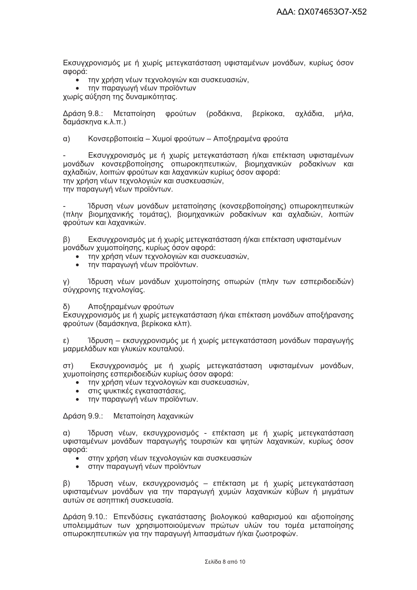Εκσυγχρονισμός με ή χωρίς μετεγκατάσταση υφισταμένων μονάδων, κυρίως όσον αφορά:

- την χρήση νέων τεχνολογιών και συσκευασιών,
- την παραγωγή νέων προϊόντων

χωρίς αύξηση της δυναμικότητας.

Δράση 9.8.: Μεταποίηση φρούτων (ροδάκινα, βερίκοκα, αχλάδια, μήλα. δαμάσκηνα κ.λ.π.)

 $\alpha$ ) Κονσερβοποιεία – Χυμοί φρούτων – Αποξηραμένα φρούτα

Εκσυγχρονισμός με ή χωρίς μετεγκατάσταση ή/και επέκταση υφισταμένων μονάδων κονσερβοποίησης οπωροκηπευτικών, βιομηχανικών ροδακίνων και αχλαδιών, λοιπών φρούτων και λαχανικών κυρίως όσον αφορά: την χρήση νέων τεχνολογιών και συσκευασιών,

την παραγωγή νέων προϊόντων.

Ίδρυση νέων μονάδων μεταποίησης (κονσερβοποίησης) οπωροκηπευτικών (πλην βιομηχανικής τομάτας), βιομηχανικών ροδακίνων και αχλαδιών, λοιπών φρούτων και λαχανικών.

 $\beta$ ) Εκσυγχρονισμός με ή χωρίς μετεγκατάσταση ή/και επέκταση υφισταμένων μονάδων χυμοποίησης, κυρίως όσον αφορά:

- την χρήση νέων τεχνολογιών και συσκευασιών,
- την παραγωγή νέων προϊόντων.

Ίδρυση νέων μονάδων χυμοποίησης οπωρών (πλην των εσπεριδοειδών)  $Y)$ σύγχρονης τεχνολογίας.

 $\delta$ Αποξηραμένων φρούτων

Εκσυγχρονισμός με ή χωρίς μετεγκατάσταση ή/και επέκταση μονάδων αποξήρανσης φρούτων (δαμάσκηνα, βερίκοκα κλπ).

Ίδρυση – εκσυγχρονισμός με ή χωρίς μετεγκατάσταση μονάδων παραγωγής ε) μαρμελάδων και γλυκών κουταλιού.

Εκσυγχρονισμός με ή χωρίς μετεγκατάσταση υφισταμένων μονάδων,  $(T<sub>D</sub>)$ χυμοποίησης εσπεριδοειδών κυρίως όσον αφορά:

- την χρήση νέων τεχνολογιών και συσκευασιών,
- στις ψυκτικές εγκαταστάσεις.
- την παραγωγή νέων προϊόντων.  $\bullet$

Δράση 9.9.: Μεταποίηση λαχανικών

 $\alpha$ ) Ίδρυση νέων, εκσυγχρονισμός - επέκταση με ή χωρίς μετεγκατάσταση υφισταμένων μονάδων παραγωγής τουρσιών και ψητών λαχανικών, κυρίως όσον αφορά:

- στην χρήση νέων τεχνολογιών και συσκευασιών
- στην παραγωγή νέων προϊόντων

Ίδρυση νέων, εκσυγχρονισμός - επέκταση με ή χωρίς μετεγκατάσταση  $\beta$ ) υφισταμένων μονάδων για την παραγωγή χυμών λαχανικών κύβων ή μιγμάτων αυτών σε ασηπτική συσκευασία.

Δράση 9.10.: Επενδύσεις εγκατάστασης βιολογικού καθαρισμού και αξιοποίησης υπολειμμάτων των χρησιμοποιούμενων πρώτων υλών του τομέα μεταποίησης οπωροκηπευτικών για την παραγωγή λιπασμάτων ή/και ζωοτροφών.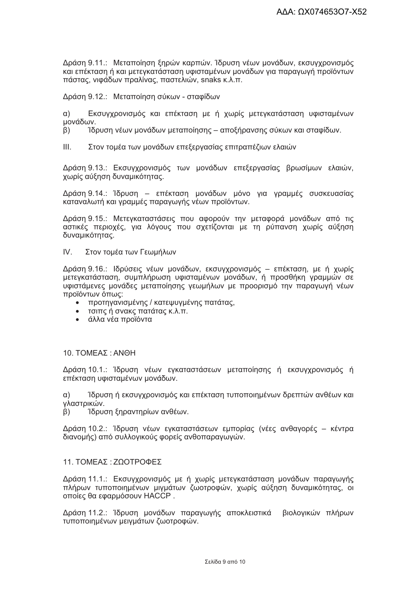Δράση 9.11.: Μεταποίηση ξηρών καρπών. Ίδρυση νέων μονάδων, εκσυγχρονισμός και επέκταση ή και μετεγκατάσταση υφισταμένων μονάδων για παραγωγή προϊόντων πάστας, νιφάδων πραλίνας, παστελιών, snaks κ.λ.π.

Δράση 9.12.: Μεταποίηση σύκων - σταφίδων

Εκσυγχρονισμός και επέκταση με ή χωρίς μετεγκατάσταση υφισταμένων  $\alpha$ ) μονάδων.

 $\beta$ ) Ίδρυση νέων μονάδων μεταποίησης – αποξήρανσης σύκων και σταφίδων.

 $III.$ Στον τομέα των μονάδων επεξεργασίας επιτραπέζιων ελαιών

Δράση 9.13.: Εκσυγχρονισμός των μονάδων επεξεργασίας βρωσίμων ελαιών, χωρίς αύξηση δυναμικότητας.

Δράση 9.14.: Ίδρυση – επέκταση μονάδων μόνο για γραμμές συσκευασίας καταναλωτή και γραμμές παραγωγής νέων προϊόντων.

Δράση 9.15.: Μετεγκαταστάσεις που αφορούν την μεταφορά μονάδων από τις αστικές περιοχές, για λόγους που σχετίζονται με τη ρύπανση χωρίς αύξηση δυναμικότητας.

 $IV$ Στον τομέα των Γεωμήλων

Δράση 9.16.: Ιδρύσεις νέων μονάδων, εκσυγχρονισμός – επέκταση, με ή χωρίς μετεγκατάσταση, συμπλήρωση υφισταμένων μονάδων, ή προσθήκη γραμμών σε υφιστάμενες μονάδες μεταποίησης γεωμήλων με προορισμό την παραγωγή νέων προϊόντων όπως:

- προτηγανισμένης / κατεψυγμένης πατάτας,
- τσιπς ή σνακς πατάτας κ.λ.π.
- άλλα νέα προϊόντα  $\bullet$

#### 10. ΤΟΜΕΑΣ: ANΘH

Δράση 10.1.: Ίδρυση νέων εγκαταστάσεων μεταποίησης ή εκσυγχρονισμός ή επέκταση υφισταμένων μονάδων.

Ίδρυση ή εκσυγχρονισμός και επέκταση τυποποιημένων δρεπτών ανθέων και  $\alpha$ ) γλαστρικών.

Ίδρυση ξηραντηρίων ανθέων.  $\beta$ )

Δράση 10.2.: Ίδρυση νέων εγκαταστάσεων εμπορίας (νέες ανθαγορές – κέντρα διανομής) από συλλογικούς φορείς ανθοπαραγωγών.

#### 11. ΤΟΜΕΑΣ: ΖΩΟΤΡΟΦΕΣ

Δράση 11.1.: Εκσυγχρονισμός με ή χωρίς μετεγκατάσταση μονάδων παραγωγής πλήρων τυποποιημένων μιγμάτων ζωοτροφών, χωρίς αύξηση δυναμικότητας, οι οποίες θα εφαρμόσουν ΗΑCCP.

Δράση 11.2.: Ίδρυση μονάδων παραγωγής αποκλειστικά βιολογικών πλήρων τυποποιημένων μειγμάτων ζωοτροφών.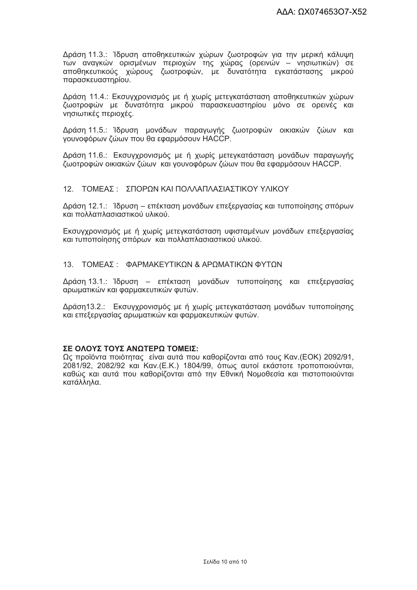Δράση 11.3.: Ίδρυση αποθηκευτικών χώρων ζωοτροφών για την μερική κάλυψη των αναγκών ορισμένων περιοχών της χώρας (ορεινών - νησιωτικών) σε αποθηκευτικούς χώρους ζωοτροφών, με δυνατότητα εγκατάστασης μικρού παρασκευαστηρίου.

Δράση 11.4.: Εκσυγχρονισμός με ή χωρίς μετεγκατάσταση αποθηκευτικών χώρων ζωοτροφών με δυνατότητα μικρού παρασκευαστηρίου μόνο σε ορεινές και νησιωτικές περιοχές.

Δράση 11.5.: Ίδρυση μονάδων παραγωγής ζωοτροφών οικιακών ζώων και γουνοφόρων ζώων που θα εφαρμόσουν ΗΑCCP.

Δράση 11.6.: Εκσυγχρονισμός με ή χωρίς μετεγκατάσταση μονάδων παραγωγής ζωοτροφών οικιακών ζώων και γουνοφόρων ζώων που θα εφαρμόσουν ΗΑCCP.

#### 12 ΤΟΜΕΑΣ · ΣΠΟΡΟΝ ΚΑΙ ΠΟΛΛΑΠΛΑΣΙΑΣΤΙΚΟΥ ΥΛΙΚΟΥ

Δράση 12.1.: Ίδρυση – επέκταση μονάδων επεξεργασίας και τυποποίησης σπόρων και πολλαπλασιαστικού υλικού.

Εκσυγχρονισμός με ή χωρίς μετεγκατάσταση υφισταμένων μονάδων επεξεργασίας και τυποποίησης σπόρων και πολλαπλασιαστικού υλικού.

#### 13. ΤΟΜΕΑΣ: ΦΑΡΜΑΚΕΥΤΙΚΩΝ & ΑΡΩΜΑΤΙΚΩΝ ΦΥΤΩΝ

Δράση 13.1.: Ίδρυση – επέκταση μονάδων τυποποίησης και επεξεργασίας αρωματικών και φαρμακευτικών φυτών.

Δράση13.2.: Εκσυγχρονισμός με ή χωρίς μετεγκατάσταση μονάδων τυποποίησης και επεξεργασίας αρωματικών και φαρμακευτικών φυτών.

### ΣΕ ΟΛΟΥΣ ΤΟΥΣ ΑΝΩΤΕΡΩ ΤΟΜΕΙΣ:

Ως προϊόντα ποιότητας είναι αυτά που καθορίζονται από τους Καν. (ΕΟΚ) 2092/91. 2081/92, 2082/92 και Καν. (Ε.Κ.) 1804/99, όπως αυτοί εκάστοτε τροποποιούνται. καθώς και αυτά που καθορίζονται από την Εθνική Νομοθεσία και πιστοποιούνται κατάλληλα.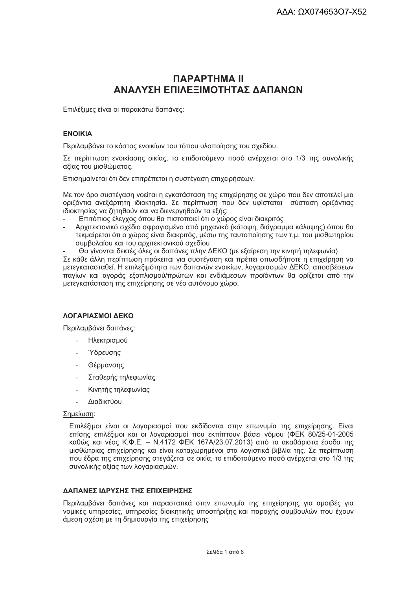# **ПАРАРТНМА II** ΑΝΑΛΥΣΗ ΕΠΙΛΕΞΙΜΟΤΗΤΑΣ ΛΑΠΑΝΟΝ

Επιλέξιμες είναι οι παρακάτω δαπάνες:

### **ENOIKIA**

Περιλαμβάνει το κόστος ενοικίων του τόπου υλοποίησης του σχεδίου.

Σε περίπτωση ενοικίασης οικίας, το επιδοτούμενο ποσό ανέρχεται στο 1/3 της συνολικής αξίας του μισθώματος.

Επισημαίνεται ότι δεν επιτρέπεται η συστέγαση επιχειρήσεων.

Με τον όρο συστέναση νοείται η ενκατάσταση της επιχείρησης σε χώρο που δεν αποτελεί μια οριζόντια ανεξάρτητη ιδιοκτησία. Σε περίπτωση που δεν υφίσταται σύσταση οριζόντιας ιδιοκτησίας να ζητηθούν και να διενεργηθούν τα εξής:

- Επιτόπιος έλενχος όπου θα πιστοποιεί ότι ο χώρος είναι διακριτός
- Αρχιτεκτονικό σχέδιο σφραγισμένο από μηχανικό (κάτοψη, διάγραμμα κάλυψης) όπου θα τεκμαίρεται ότι ο χώρος είναι διακριτός, μέσω της ταυτοποίησης των τ.μ. του μισθωτηρίου συμβολαίου και του αρχιτεκτονικού σχεδίου
- Θα γίνονται δεκτές όλες οι δαπάνες πλην ΔΕΚΟ (με εξαίρεση την κινητή τηλεφωνία)

Σε κάθε άλλη περίπτωση πρόκειται για συστέγαση και πρέπει οπωσδήποτε η επιχείρηση να μετενκατασταθεί. Η επιλεξιμότητα των δαπανών ενοικίων, λοναριασμών ΔΕΚΟ, αποσβέσεων πανίων και ανοράς εξοπλισμού/πρώτων και ενδιάμεσων προϊόντων θα ορίζεται από την μετεγκατάσταση της επιχείρησης σε νέο αυτόνομο χώρο.

## ΛΟΓΑΡΙΑΣΜΟΙ ΔΕΚΟ

Περιλαμβάνει δαπάνες:

- Ηλεκτρισμού
- **Υδρευσης**
- Θέρμανσης
- Σταθερής τηλεφωνίας
- Κινητής τηλεφωνίας
- Διαδικτύου

#### Σημείωση:

Επιλέξιμοι είναι οι λογαριασμοί που εκδίδονται στην επωνυμία της επιχείρησης. Είναι επίσης επιλέξιμοι και οι λοναριασμοί που εκπίπτουν βάσει νόμου (ΦΕΚ 80/25-01-2005 καθώς και νέος Κ.Φ.Ε. - Ν.4172 ΦΕΚ 167Α/23.07.2013) από τα ακαθάριστα έσοδα της μισθώτριας επιχείρησης και είναι καταχωρημένοι στα λονιστικά βιβλία της. Σε περίπτωση που έδρα της επιχείρησης στενάζεται σε οικία, το επιδοτούμενο ποσό ανέρχεται στο 1/3 της συνολικής αξίας των λογαριασμών.

#### ΛΔΠΔΝΕΣ ΙΛΡΥΣΗΣ ΤΗΣ ΕΠΙΧΕΙΡΗΣΗΣ

Περιλαμβάνει δαπάνες και παραστατικά στην επωνυμία της επιχείρησης νια αμοιβές νια νομικές υπηρεσίες, υπηρεσίες διοικητικής υποστήριξης και παροχής συμβουλών που έχουν άμεση σχέση με τη δημιουργία της επιχείρησης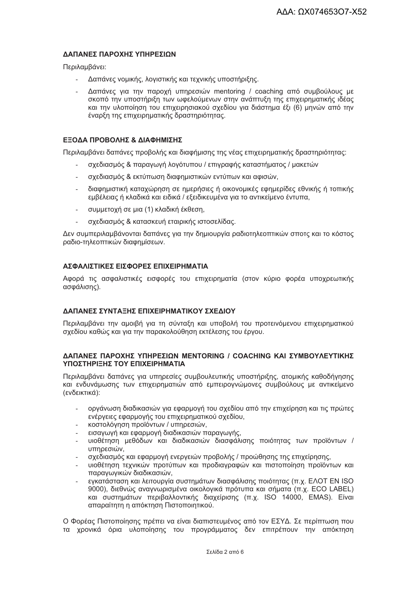### ΛΔΠΔΝΕΣ ΠΔΡΟΧΗΣ ΥΠΗΡΕΣΙΟΝ

Περιλαμβάνει:

- Δαπάνες νομικής, λογιστικής και τεχνικής υποστήριξης.
- Δαπάνες για την παροχή υπηρεσιών mentoring / coaching από συμβούλους με σκοπό την υποστήριξη των ωφελούμενων στην ανάπτυξη της επιχειρηματικής ιδέας και την υλοποίηση του επιχειρησιακού σχεδίου για διάστημα έξι (6) μηνών από την έναρξη της επιχειρηματικής δραστηριότητας.

#### ΕΞΟΔΑ ΠΡΟΒΟΛΗΣ & ΔΙΑΦΗΜΙΣΗΣ

Περιλαμβάνει δαπάνες προβολής και διαφήμισης της νέας επιχειρηματικής δραστηριότητας:

- σχεδιασμός & παραγωγή λογότυπου / επιγραφής καταστήματος / μακετών
- σχεδιασμός & εκτύπωση διαφημιστικών εντύπων και αφισών,
- διαφημιστική καταχώρηση σε ημερήσιες ή οικονομικές εφημερίδες εθνικής ή τοπικής εμβέλειας ή κλαδικά και ειδικά / εξειδικευμένα για το αντικείμενο έντυπα.
- συμμετοχή σε μια (1) κλαδική έκθεση,  $\mathbf{r}$
- σχεδιασμός & κατασκευή εταιρικής ιστοσελίδας.

Δεν συμπεριλαμβάνονται δαπάνες για την δημιουργία ραδιοτηλεοπτικών σποτς και το κόστος ραδιο-τηλεοπτικών διαφημίσεων.

#### ΔΣΦΑΛΙΣΤΙΚΕΣ ΕΙΣΦΟΡΕΣ ΕΠΙΧΕΙΡΗΜΑΤΙΑ

Αφορά τις ασφαλιστικές εισφορές του επιχειρηματία (στον κύριο φορέα υποχρεωτικής ασφάλισης).

### ΔΑΠΑΝΕΣ ΣΥΝΤΑΞΗΣ ΕΠΙΧΕΙΡΗΜΑΤΙΚΟΥ ΣΧΕΔΙΟΥ

Περιλαμβάνει την αμοιβή για τη σύνταξη και υποβολή του προτεινόμενου επιχειρηματικού σχεδίου καθώς και για την παρακολούθηση εκτέλεσης του έργου.

#### **ΔΑΠΑΝΕΣ ΠΑΡΟΧΗΣ ΥΠΗΡΕΣΙΩΝ ΜΕΝΤΟRING / COACHING ΚΑΙ ΣΥΜΒΟΥΛΕΥΤΙΚΗΣ** ΥΠΟΣΤΗΡΙΞΗΣ ΤΟΥ ΕΠΙΧΕΙΡΗΜΑΤΙΑ

Περιλαμβάνει δαπάνες για υπηρεσίες συμβουλευτικής υποστήριξης, ατομικής καθοδήγησης και ενδυνάμωσης των επιχειρηματιών από εμπειρογνώμονες συμβούλους με αντικείμενο (ενδεικτικά):

- οργάνωση διαδικασιών για εφαρμογή του σχεδίου από την επιχείρηση και τις πρώτες ενέργειες εφαρμογής του επιχειρηματικού σχεδίου,
- κοστολόγηση προϊόντων / υπηρεσιών,
- εισανωνή και εφαρμονή διαδικασιών παρανωνής.
- υιοθέτηση μεθόδων και διαδικασιών διασφάλισης ποιότητας των προϊόντων / υπηρεσιών.
- σχεδιασμός και εφαρμονή ενεργειών προβολής / προώθησης της επιχείρησης.
- υιοθέτηση τεχνικών προτύπων και προδιαγραφών και πιστοποίηση προϊόντων και παρανωνικών διαδικασιών.
- ενκατάσταση και λειτουργία συστημάτων διασφάλισης ποιότητας (π.χ. ΕΛΟΤ EN ISO L. 9000), διεθνώς αναγνωρισμένα οικολογικά πρότυπα και σήματα (π.χ. ECO LABEL) και συστημάτων περιβαλλοντικής διαχείρισης (π.χ. ISO 14000, EMAS). Είναι απαραίτητη η απόκτηση Πιστοποιητικού.

Ο Φορέας Πιστοποίησης πρέπει να είναι διαπιστευμένος από τον ΕΣΥΔ. Σε περίπτωση που τα χρονικά όρια υλοποίησης του προνράμματος δεν επιτρέπουν την απόκτηση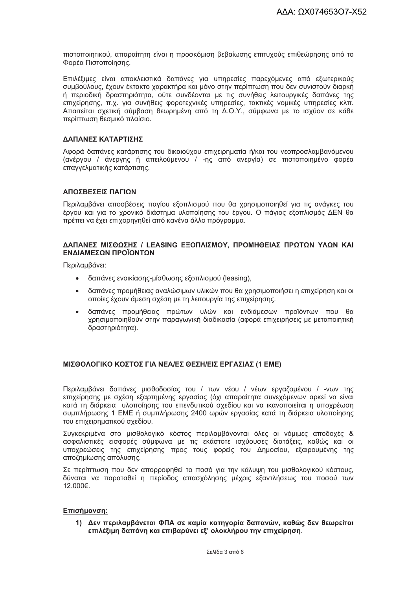πιστοποιητικού, απαραίτητη είναι η προσκόμιση βεβαίωσης επιτυχούς επιθεώρησης από το Φορέα Πιστοποίησης.

Επιλέξιμες είναι αποκλειστικά δαπάνες για υπηρεσίες παρεχόμενες από εξωτερικούς συμβούλους, έχουν έκτακτο χαρακτήρα και μόνο στην περίπτωση που δεν συνιστούν διαρκή ή περιοδική δραστηριότητα, ούτε συνδέονται με τις συνήθεις λειτουργικές δαπάνες της επιχείρησης, π.χ. για συνήθεις φοροτεχνικές υπηρεσίες, τακτικές νομικές υπηρεσίες κλπ. Απαιτείται σχετική σύμβαση θεωρημένη από τη Δ.Ο.Υ., σύμφωνα με το ισχύον σε κάθε περίπτωση θεσμικό πλαίσιο.

#### ΔΑΠΑΝΕΣ ΚΑΤΑΡΤΙΣΗΣ

Αφορά δαπάνες κατάρτισης του δικαιούχου επιχειρηματία ή/και του νεοπροσλαμβανόμενου (ανέργου / άνεργης ή απειλούμενου / -nc από ανεργία) σε πιστοποιημένο φορέα επαννελματικής κατάρτισης.

#### **ΔΠΩΣΒΕΣΕΙΣ ΠΑΓΙΩΝ**

Περιλαμβάνει αποσβέσεις παγίου εξοπλισμού που θα χρησιμοποιηθεί για τις ανάγκες του έρνου και νια το χρονικό διάστημα υλοποίησης του έρνου. Ο πάνιος εξοπλισμός ΔΕΝ θα πρέπει να έχει επιχορηνηθεί από κανένα άλλο πρόνραμμα.

#### ΔΑΠΑΝΕΣ ΜΙΣΘΩΣΗΣ / LEASING ΕΞΟΠΛΙΣΜΟΥ, ΠΡΟΜΗΘΕΙΑΣ ΠΡΩΤΩΝ ΥΛΩΝ ΚΑΙ ΕΝΛΙΑΜΕΣΟΝ ΠΡΟΪΟΝΤΟΝ

Περιλαμβάνει:

- $\bullet$ δαπάνες ενοικίασης-μίσθωσης εξοπλισμού (leasing),
- δαπάνες προμήθειας αναλώσιμων υλικών που θα χρησιμοποιήσει η επιχείρηση και οι οποίες έχουν άμεση σχέση με τη λειτουργία της επιχείρησης.
- δαπάνες προμήθειας πρώτων υλών και ενδιάμεσων προϊόντων που θα  $\bullet$ χρησιμοποιηθούν στην παραγωγική διαδικασία (αφορά επιχειρήσεις με μεταποιητική δραστηριότητα).

#### ΜΙΣΘΟΛΟΓΙΚΟ ΚΟΣΤΟΣ ΓΙΑ ΝΕΑ/ΕΣ ΘΕΣΗ/ΕΙΣ ΕΡΓΑΣΙΑΣ (1 ΕΜΕ)

Περιλαμβάνει δαπάνες μισθοδοσίας του / των νέου / νέων εργαζομένου / -νων της επιχείρησης με σχέση εξαρτημένης εργασίας (όχι απαραίτητα συνεχόμενων αρκεί να είναι κατά τη διάρκεια υλοποίησης του επενδυτικού σχεδίου και να ικανοποιείται η υποχρέωση συμπλήρωσης 1 ΕΜΕ ή συμπλήρωσης 2400 ωρών εργασίας κατά τη διάρκεια υλοποίησης του επιχειρηματικού σχεδίου.

Συγκεκριμένα στο μισθολογικό κόστος περιλαμβάνονται όλες οι νόμιμες αποδοχές & ασφαλιστικές εισφορές σύμφωνα με τις εκάστοτε ισχύουσες διατάξεις, καθώς και οι υποχρεώσεις της επιχείρησης προς τους φορείς του Δημοσίου, εξαιρουμένης της αποζημίωσης απόλυσης.

Σε περίπτωση που δεν απορροφηθεί το ποσό για την κάλυψη του μισθολογικού κόστους, δύναται να παραταθεί η περίοδος απασχόλησης μέχρις εξαντλήσεως του ποσού των 12.000€.

#### Επισήμανση:

1) Δεν περιλαμβάνεται ΦΠΑ σε καμία κατηγορία δαπανών, καθώς δεν θεωρείται επιλέξιμη δαπάνη και επιβαρύνει εξ' ολοκλήρου την επιχείρηση.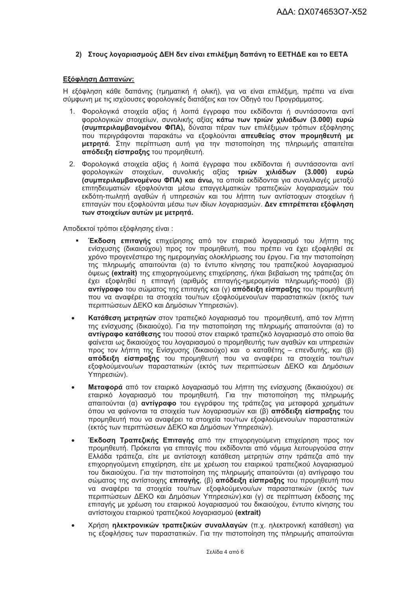### 2) Στους λογαριασμούς ΔΕΗ δεν είναι επιλέξιμη δαπάνη το ΕΕΤΗΔΕ και το ΕΕΤΑ

#### Εξόφληση Δαπανών:

Η εξόφληση κάθε δαπάνης (τμηματική ή ολική), για να είναι επιλέξιμη, πρέπει να είναι σύμφωνη με τις ισχύουσες φορολογικές διατάξεις και τον Οδηγό του Προγράμματος.

- 1. Φορολογικά στοιχεία αξίας ή λοιπά έγγραφα που εκδίδονται ή συντάσσονται αντί ΦΟρολονικών στοιχείων, συνολικής αξίας κάτω των τριών χιλιάδων (3.000) ευρώ (συμπεριλαμβανομένου ΦΠΑ). δύναται πέραν των επιλέξιμων τρόπων εξόφλησης που περινράφονται παρακάτω να εξοφλούνται απευθείας στον προμηθευτή με μετρητά. Στην περίπτωση αυτή για την πιστοποίηση της πληρωμής απαιτείται απόδειξη είσπραξης του προμηθευτή.
- 2. Φορολογικά στοιχεία αξίας ή λοιπά έγγραφα που εκδίδονται ή συντάσσονται αντί φορολογικών στοιχείων, συνολικής αξίας τριών χιλιάδων (3.000) ευρώ (συμπεριλαμβανομένου ΦΠΑ) και άνω, τα οποία εκδίδονται για συναλλαγές μεταξύ επιτηδευματιών εξοφλούνται μέσω επαγγελματικών τραπεζικών λογαριασμών του εκδότη-πωλητή αναθών ή υπηρεσιών και του λήπτη των αντίστοιχων στοιχείων ή επιταγών που εξοφλούνται μέσω των ιδίων λογαριασμών. Δεν επιτρέπεται εξόφληση των στοιχείων αυτών με μετοητά.

Αποδεκτοί τρόποι εξόφλησης είναι:

- Έκδοση επιταγής επιχείρησης από τον εταιρικό λογαριασμό του λήπτη της ενίσχυσης (δικαιούχου) προς τον προμηθευτή, που πρέπει να έχει εξοφληθεί σε χρόνο προγενέστερο της ημερομηνίας ολοκλήρωσης του έργου. Για την πιστοποίηση της πληρωμής απαιτούνται (α) το έντυπο κίνησης του τραπεζικού λογαριασμού όψεως (extrait) της επιχορηγούμενης επιχείρησης, ή/και βεβαίωση της τράπεζας ότι έχει εξοφληθεί η επιτανή (αριθμός επιτανής-ημερομηνία πληρωμής-ποσό) (β) αντίγραφο του σώματος της επιταγής και (γ) απόδειξη είσπραξης του προμηθευτή που να αναφέρει τα στοιχεία του/των εξοφλούμενου/ων παραστατικών (εκτός των περιπτώσεων ΔΕΚΟ και Δημόσιων Υπηρέσιών).
- Κατάθεση μετρητών στον τραπεζικό λογαριασμό του προμηθευτή, από τον λήπτη της ενίσχυσης (δικαιούχο). Για την πιστοποίηση της πληρωμής απαιτούνται (α) το αντίνραφο κατάθεσης του ποσού στον εταιρικό τραπεζικό λοναριασμό στο οποίο θα φαίνεται ως δικαιούχος του λοναριασμού ο προμηθευτής των αναθών και υπηρεσιών προς τον λήπτη της Ενίσχυσης (δικαιούχο) και ο καταθέτης - επενδυτής, και (β) απόδειξη είσπραξης του προμηθευτή που να αναφέρει τα στοιχεία του/των εξοφλούμενου/ων παραστατικών (εκτός των περιπτώσεων ΔΕΚΟ και Δημόσιων Υπηρεσιών).
- Μεταφορά από τον εταιρικό λογαριασμό του λήπτη της ενίσχυσης (δικαιούχου) σε εταιρικό λογαριασμό του προμηθευτή. Για την πιστοποίηση της πληρωμής απαιτούνται (α) **αντίνραφο** του εννράφου της τράπεζας νια μεταφορά χρημάτων όπου να φαίνονται τα στοιχεία των λογαριασμών και (β) απόδειξη είσπραξης του προμηθευτή που να αναφέρει τα στοιχεία του/των εξοφλούμενου/ων παραστατικών (εκτός των περιπτώσεων ΔΕΚΟ και Δημόσιων Υπηρεσιών).
- Έκδοση Τραπεζικής Επιταγής από την επιχορηγούμενη επιχείρηση προς τον προμηθευτή. Πρόκειται για επιταγές που εκδίδονται από νόμιμα λειτουργούσα στην Ελλάδα τράπεζα, είτε με αντίστοιχη κατάθεση μετρητών στην τράπεζα από την επιχορηνούμενη επιχείρηση, είτε με χρέωση του εταιρικού τραπεζικού λοναριασμού του δικαιούχου. Για την πιστοποίηση της πληρωμής απαιτούνται (α) αντίγραφο του σώματος της αντίστοιχης επιταγής, (β) απόδειξη είσπραξης του προμηθευτή που να αναφέρει τα στοιχεία του/των εξοφλούμενου/ων παραστατικών (εκτός των περιπτώσεων ΔΕΚΟ και Δημόσιων Υπηρεσιών) και (γ) σε περίπτωση έκδοσης της επιταγής με χρέωση του εταιρικού λογαριασμού του δικαιούχου, έντυπο κίνησης του αντίστοιχου εταιρικού τραπεζικού λοναριασμού (extrait)
- Χρήση ηλεκτρονικών τραπεζικών συναλλαγών (π.χ. ηλεκτρονική κατάθεση) για τις εξοφλήσεις των παραστατικών. Για την πιστοποίηση της πληρωμής απαιτούνται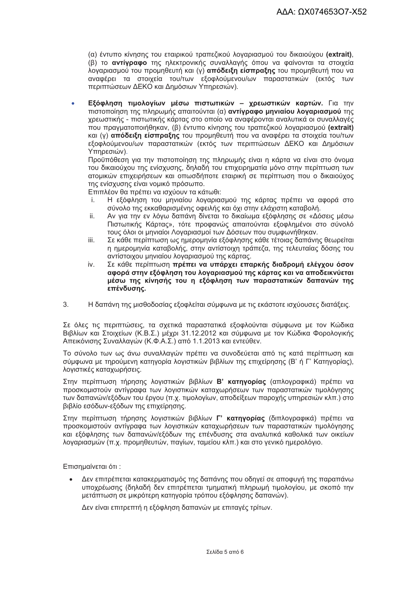(α) έντυπο κίνησης του εταιρικού τραπεζικού λογαριασμού του δικαιούχου (extrait), (β) το αντίγραφο της ηλεκτρονικής συναλλαγής όπου να φαίνονται τα στοιχεία λογαριασμού του προμηθευτή και (γ) απόδειξη είσπραξης του προμηθευτή που να αναφέρει τα στοιχεία του/των εξοφλούμενου/ων παραστατικών (εκτός των περιπτώσεων ΔΕΚΟ και Δημόσιων Υπηρεσιών).

Εξόφληση τιμολογίων μέσω πιστωτικών - χρεωστικών καρτών. Για την  $\ddot{\phantom{a}}$ πιστοποίηση της πληρωμής απαιτούνται (α) αντίγραφο μηνιαίου λογαριασμού της χρεωστικής - πιστωτικής κάρτας στο οποίο να αναφέρονται αναλυτικά οι συναλλαγές που πρανματοποιήθηκαν. (β) έντυπο κίνησης του τραπεζικού λοναριασμού (extrait) και (γ) απόδειξη είσπραξης του προμηθευτή που να αναφέρει τα στοιχεία του/των εξοφλούμενου/ων παραστατικών (εκτός των περιπτώσεων ΔΕΚΟ και Δημόσιων Υπηρεσιών).

Προϋπόθεση για την πιστοποίηση της πληρωμής είναι η κάρτα να είναι στο όνομα του δικαιούχου της ενίσχυσης, δηλαδή του επιχειρηματία μόνο στην περίπτωση των ατομικών επιχειρήσεων και οπωσδήποτε εταιρική σε περίπτωση που ο δικαιούχος της ενίσχυσης είναι νομικό πρόσωπο.

Επιπλέον θα πρέπει να ισχύουν τα κάτωθι:

- Η εξόφληση του μηνιαίου λογαριασμού της κάρτας πρέπει να αφορά στο i. σύνολο της εκκαθαρισμένης οφειλής και όχι στην ελάχιστη καταβολή.
- ii. Αν για την εν λόγω δαπάνη δίνεται το δικαίωμα εξόφλησης σε «Δόσεις μέσω Πιστωτικής Κάρτας», τότε προφανώς απαιτούνται εξοφλημένοι στο σύνολό τους όλοι οι μηνιαίοι Λοναριασμοί των Δόσεων που συμφωνήθηκαν.
- iii. Σε κάθε περίπτωση ως ημερομηνία εξόφλησης κάθε τέτοιας δαπάνης θεωρείται η ημερομηνία καταβολής, στην αντίστοιχη τράπεζα, της τελευταίας δόσης του αντίστοιχου μηνιαίου λογαριασμού της κάρτας.
- Σε κάθε περίπτωση πρέπει να υπάρχει επαρκής διαδρομή ελέγχου όσον iv. αφορά στην εξόφληση του λογαριασμού της κάρτας και να αποδεικνύεται μέσω της κίνησής του η εξόφληση των παραστατικών δαπανών της επένδυσης.
- $3.$ Η δαπάνη της μισθοδοσίας εξοφλείται σύμφωνα με τις εκάστοτε ισχύουσες διατάξεις.

Σε όλες τις περιπτώσεις, τα σχετικά παραστατικά εξοφλούνται σύμφωνα με τον Κώδικα Βιβλίων και Στοιχείων (Κ.Β.Σ.) μέχρι 31.12.2012 και σύμφωνα με τον Κώδικα Φορολογικής Απεικόνισης Συναλλαγών (Κ.Φ.Α.Σ.) από 1.1.2013 και εντεύθεν.

Το σύνολο των ως άνω συναλλαγών πρέπει να συνοδεύεται από τις κατά περίπτωση και σύμφωνα με τηρούμενη κατηγορία λογιστικών βιβλίων της επιχείρησης (Β' ή Γ' Κατηγορίας), λογιστικές καταχωρήσεις.

Στην περίπτωση τήρησης λονιστικών βιβλίων Β' κατηνορίας (απλονραφικά) πρέπει να προσκομιστούν αντίγραφα των λογιστικών καταχωρήσεων των παραστατικών τιμολόγησης των δαπανών/εξόδων του έργου (π.χ. τιμολογίων, αποδείξεων παροχής υπηρεσιών κλπ.) στο βιβλίο εσόδων-εξόδων της επιχείρησης.

Στην περίπτωση τήρησης λογιστικών βιβλίων Γ' κατηγορίας (διπλογραφικά) πρέπει να προσκομιστούν αντίγραφα των λογιστικών καταχωρήσεων των παραστατικών τιμολόγησης και εξόφλησης των δαπανών/εξόδων της επένδυσης στα αναλυτικά καθολικά των οικείων λογαριασμών (π.χ. προμηθευτών, παγίων, ταμείου κλπ.) και στο γενικό ημερολόγιο.

Επισημαίνεται ότι:

Δεν επιτρέπεται κατακερματισμός της δαπάνης που οδηγεί σε αποφυγή της παραπάνω υποχρέωσης (δηλαδή δεν επιτρέπεται τμηματική πληρωμή τιμολογίου, με σκοπό την μετάπτωση σε μικρότερη κατηνορία τρόπου εξόφλησης δαπανών).

Δεν είναι επιτρεπτή η εξόφληση δαπανών με επιταγές τρίτων.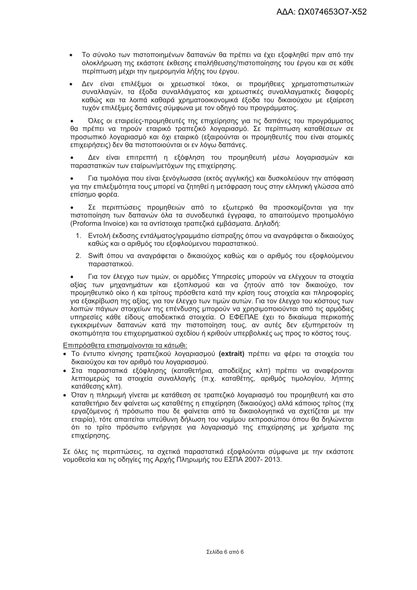- Το σύνολο των πιστοποιημένων δαπανών θα πρέπει να έχει εξοφληθεί πριν από την ολοκλήρωση της εκάστοτε έκθεσης επαλήθευσης/πιστοποίησης του έργου και σε κάθε περίπτωση μέχρι την ημερομηνία λήξης του έργου.
- Δεν είναι επιλέξιμοι οι χρεωστικοί τόκοι, οι προμήθειες χρηματοπιστωτικών  $\bullet$ συναλλαγών, τα έξοδα συναλλάγματος και χρεωστικές συναλλαγματικές διαφορές καθώς και τα λοιπά καθαρά χρηματοοικονομικά έξοδα του δικαιούχου με εξαίρεση τυχόν επιλέξιμες δαπάνες σύμφωνα με τον οδηγό του προγράμματος.

Όλες οι εταιρείες-προμηθευτές της επιχείρησης για τις δαπάνες του προνράμματος θα πρέπει να τηρούν εταιρικό τραπεζικό λογαριασμό. Σε περίπτωση καταθέσεων σε προσωπικό λογαριασμό και όχι εταιρικό (εξαιρούνται οι προμηθευτές που είναι ατομικές επιχειρήσεις) δεν θα πιστοποιούνται οι εν λόνω δαπάνες.

Δεν είναι επιτρεπτή η εξόφληση του προμηθευτή μέσω λογαριασμών και παραστατικών των εταίρων/μετόχων της επιχείρησης.

Για τιμολόγια που είναι ξενόγλωσσα (εκτός αγγλικής) και δυσκολεύουν την απόφαση για την επιλεξιμότητα τους μπορεί να ζητηθεί η μετάφραση τους στην ελληνική γλώσσα από επίσημο φορέα.

Σε περιπτώσεις προμηθειών από το εξωτερικό θα προσκομίζονται για την πιστοποίηση των δαπανών όλα τα συνοδευτικά έγγραφα, το απαιτούμενο προτιμολόγιο (Proforma Invoice) και τα αντίστοιχα τραπεζικά εμβάσματα. Δηλαδή:

- Εντολή έκδοσης εντάλματος/γραμμάτιο είσπραξης όπου να αναγράφεται ο δικαιούχος  $1$ καθώς και ο αριθμός του εξοφλούμενου παραστατικού.
- 2. Swift όπου να αναγράφεται ο δικαιούχος καθώς και ο αριθμός του εξοφλούμενου παραστατικού.

Για τον έλεγχο των τιμών, οι αρμόδιες Υπηρεσίες μπορούν να ελέγχουν τα στοιχεία αξίας των μηχανημάτων και εξοπλισμού και να ζητούν από τον δικαιούχο, τον προμηθευτικό οίκο ή και τρίτους πρόσθετα κατά την κρίση τους στοιχεία και πληροφορίες για εξακρίβωση της αξίας, για τον έλεγχο των τιμών αυτών. Για τον έλεγχο του κόστους των λοιπών πάγιων στοιχείων της επένδυσης μπορούν να χρησιμοποιούνται από τις αρμόδιες υπηρεσίες κάθε είδους αποδεικτικά στοιχεία. Ο ΕΦΕΠΑΕ έχει το δικαίωμα περικοπής εγκεκριμένων δαπανών κατά την πιστοποίηση τους, αν αυτές δεν εξυπηρετούν τη σκοπιμότητα του επιχειρηματικού σχεδίου ή κριθούν υπερβολικές ως προς το κόστος τους.

Επιπρόσθετα επισημαίνονται τα κάτωθι:

- · Το έντυπο κίνησης τραπεζικού λογαριασμού (extrait) πρέπει να φέρει τα στοιχεία του δικαιούχου και τον αριθμό του λογαριασμού.
- Στα παραστατικά εξόφλησης (καταθετήρια, αποδείξεις κλπ) πρέπει να αναφέρονται λεπτομερώς τα στοιχεία συναλλαγής (π.χ. καταθέτης, αριθμός τιμολογίου, λήπτης κατάθεσης κλπ).
- Όταν η πληρωμή γίνεται με κατάθεση σε τραπεζικό λογαριασμό του προμηθευτή και στο καταθετήριο δεν φαίνεται ως καταθέτης η επιχείρηση (δικαιούχος) αλλά κάποιος τρίτος (πχ εργαζόμενος ή πρόσωπο που δε φαίνεται από τα δικαιολογητικά να σχετίζεται με την εταιρία), τότε απαιτείται υπεύθυνη δήλωση του νομίμου εκπροσώπου όπου θα δηλώνεται ότι το τρίτο πρόσωπο ενήργησε για λογαριασμό της επιχείρησης με χρήματα της επιχείρησης.

Σε όλες τις περιπτώσεις, τα σχετικά παραστατικά εξοφλούνται σύμφωνα με την εκάστοτε νομοθεσία και τις οδηγίες της Αρχής Πληρωμής του ΕΣΠΑ 2007-2013.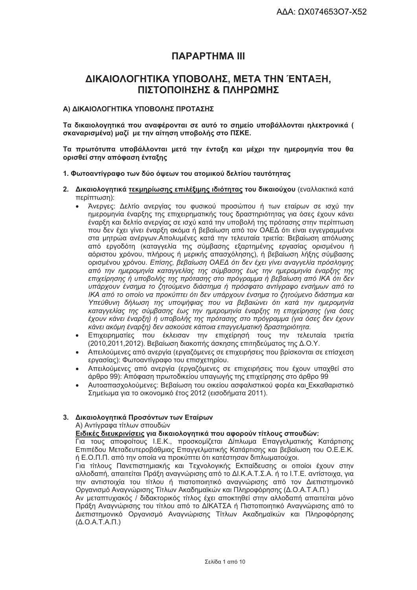# *<u>ПАРАРТНМА III</u>*

# ΔΙΚΑΙΟΛΟΓΗΤΙΚΑ ΥΠΟΒΟΛΗΣ, ΜΕΤΑ ΤΗΝ ΈΝΤΑΞΗ, ΠΙΣΤΟΠΟΙΗΣΗΣ & ΠΛΗΡΩΜΗΣ

#### Α) ΔΙΚΑΙΟΛΟΓΗΤΙΚΑ ΥΠΟΒΟΛΗΣ ΠΡΟΤΑΣΗΣ

Τα δικαιολογητικά που αναφέρονται σε αυτό το σημείο υποβάλλονται ηλεκτρονικά ( σκαναρισμένα) μαζί με την αίτηση υποβολής στο ΠΣΚΕ.

Τα πρωτότυπα υποβάλλονται μετά την ένταξη και μέχρι την ημερομηνία που θα ορισθεί στην απόφαση ένταξης

#### 1. Φωτοαντίγραφο των δύο όψεων του ατομικού δελτίου ταυτότητας

- 2. Δικαιολονητικά τεκμηρίωσης επιλέξιμης ιδιότητας του δικαιούχου (εναλλακτικά κατά περίπτωση):
	- Άνεργες: Δελτίο ανεργίας του φυσικού προσώπου ή των εταίρων σε ισχύ την ημερομηνία έναρξης της επιχειρηματικής τους δραστηριότητας για όσες έχουν κάνει έναρξη και δελτίο ανερνίας σε ισχύ κατά την υποβολή της πρότασης στην περίπτωση που δεν έχει γίνει έναρξη ακόμα ή βεβαίωση από τον ΟΑΕΔ ότι είναι εγγεγραμμένοι στα μητρώα ανέργων. Απολυμένες κατά την τελευταία τριετία: Βεβαίωση απόλυσης από εργοδότη (καταγγελία της σύμβασης εξαρτημένης εργασίας ορισμένου ή αόριστου χρόνου, πλήρους ή μερικής απασχόλησης), ή βεβαίωση λήξης σύμβασης ορισμένου χρόνου. Επίσης, βεβαίωση ΟΑΕΔ ότι δεν έχει γίνει αναγγελία πρόσληψης από την ημερομηνία καταγγελίας της σύμβασης έως την ημερομηνία έναρξης της επιχείρησης ή υποβολής της πρότασης στο πρόγραμμα ή βεβαίωση από ΙΚΑ ότι δεν υπάρχουν ένσημα το ζητούμενο διάστημα ή πρόσφατο αντίγραφο ενσήμων από το ΙΚΑ από το οποίο να προκύπτει ότι δεν υπάρχουν ένσημα το ζητούμενο διάστημα και Υπεύθυνη δήλωση της υποψήφιας που να βεβαιώνει ότι κατά την ημερομηνία καταγγελίας της σύμβασης έως την ημερομηνία έναρξης τη επιχείρησης (για όσες έχουν κάνει έναρξη) ή υποβολής της πρότασης στο πρόγραμμα (για όσες δεν έχουν κάνει ακόμη έναρξη) δεν ασκούσε κάποια επαγγελματική δραστηριότητα.
	- Επιχειρηματίες που έκλεισαν την επιχείρησή τους την τελευταία τριετία (2010.2011.2012). Βεβαίωση διακοπής άσκησης επιτηδεύματος της Δ.Ο.Υ.
	- Απειλούμενες από ανεργία (εργαζόμενες σε επιχειρήσεις που βρίσκονται σε επίσχεση εργασίας): Φωτοαντίγραφο του επισχετηρίου.
	- Απειλούμενες από ανεργία (εργαζόμενες σε επιχειρήσεις που έχουν υπαχθεί στο άρθρο 99): Απόφαση πρωτοδικείου υπαγωγής της επιχείρησης στο άρθρο 99
	- Αυτοαπασχολούμενες: Βεβαίωση του οικείου ασφαλιστικού φορέα και Εκκαθαριστικό Σημείωμα για το οικονομικό έτος 2012 (εισοδήματα 2011).

#### 3. Δικαιολογητικά Προσόντων των Εταίρων

Α) Αντίνραφα τίτλων σπουδών

#### Ειδικές διευκρινίσεις για δικαιολογητικά που αφορούν τίτλους σπουδών:

Για τους αποφοίτους Ι.Ε.Κ., προσκομίζεται Δίπλωμα Επαγγελματικής Κατάρτισης Επιπέδου Μεταδευτεροβάθμιας Επαγγελματικής Κατάρτισης και βεβαίωση του Ο.Ε.Ε.Κ. ή Ε.Ο.Π.Π. από την οποία να προκύπτει ότι κατέστησαν διπλωματούχοι.

Για τίτλους Πανεπιστημιακής και Τεχνολογικής Εκπαίδευσης οι οποίοι έχουν στην αλλοδαπή, απαιτείται Πράξη αναννώρισης από το ΔΙ.Κ.Α.Τ.Σ.Α, ή το Ι.Τ.Ε, αντίστοιχα, νια την αντιστοιχία του τίτλου ή πιστοποιητικό αναγνώρισης από τον Διεπιστημονικό Οργανισμό Αναγνώρισης Τίτλων Ακαδημαϊκών και Πληροφόρησης (Δ.Ο.Α.Τ.Α.Π.)

Αν μεταπτυχιακός / διδακτορικός τίτλος έχει αποκτηθεί στην αλλοδαπή απαιτείται μόνο Πράξη Αναγνώρισης του τίτλου από το ΔΙΚΑΤΣΑ ή Πιστοποιητικό Αναγνώρισης από το Διεπιστημονικό Οργανισμό Αναγνώρισης Τίτλων Ακαδημαϊκών και Πληροφόρησης  $(A.O.A.T.A.\Pi.)$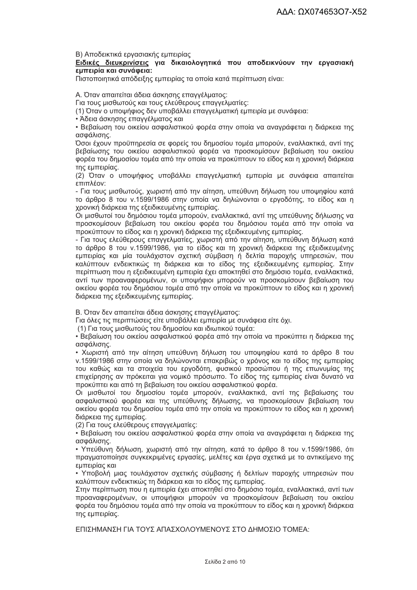Β) Αποδεικτικά εργασιακής εμπειρίας

Ειδικές διευκρινίσεις για δικαιολογητικά που αποδεικνύουν την εργασιακή εμπειρία και συνάφεια:

Πιστοποιητικά απόδειξης εμπειρίας τα οποία κατά περίπτωση είναι:

Α. Όταν απαιτείται άδεια άσκησης επαγγέλματος:

Για τους μισθωτούς και τους ελεύθερους επαγγελματίες:

(1) Όταν ο υποψήφιος δεν υποβάλλει επαγγελματική εμπειρία με συνάφεια:

• Άδεια άσκησης επαγγέλματος και

• Βεβαίωση του οικείου ασφαλιστικού φορέα στην οποία να ανανράφεται η διάρκεια της ασφάλισης.

Όσοι έχουν προϋπηρεσία σε φορείς του δημοσίου τομέα μπορούν, εναλλακτικά, αντί της βεβαίωσης του οικείου ασφαλιστικού φορέα να προσκομίσουν βεβαίωση του οικείου φορέα του δημοσίου τομέα από την οποία να προκύπτουν το είδος και η χρονική διάρκεια της εμπειρίας.

(2) Όταν ο υποψήφιος υποβάλλει επαννελματική εμπειρία με συνάφεια απαιτείται επιπλέον:

- Για τους μισθωτούς, χωριστή από την αίτηση, υπεύθυνη δήλωση του υποψηφίου κατά το άρθρο 8 του ν.1599/1986 στην οποία να δηλώνονται ο εργοδότης, το είδος και η χρονική διάρκεια της εξειδικευμένης εμπειρίας.

Οι μισθωτοί του δημόσιου τομέα μπορούν, εναλλακτικά, αντί της υπεύθυνης δήλωσης να προσκομίσουν βεβαίωση του οικείου φορέα του δημόσιου τομέα από την οποία να προκύπτουν το είδος και η χρονική διάρκεια της εξειδικευμένης εμπειρίας.

- Για τους ελεύθερους επαγγελματίες, χωριστή από την αίτηση, υπεύθυνη δήλωση κατά το άρθρο 8 του ν.1599/1986, για το είδος και τη χρονική διάρκεια της εξειδικευμένης εμπειρίας και μία τουλάχιστον σχετική σύμβαση ή δελτία παροχής υπηρεσιών, που καλύπτουν ενδεικτικώς τη διάρκεια και το είδος της εξειδικευμένης εμπειρίας. Στην περίπτωση που η εξειδικευμένη εμπειρία έχει αποκτηθεί στο δημόσιο τομέα, εναλλακτικά, αντί των προαναφερομένων, οι υποψήφιοι μπορούν να προσκομίσουν βεβαίωση του οικείου φορέα του δημόσιου τομέα από την οποία να προκύπτουν το είδος και η χρονική διάρκεια της εξειδικευμένης εμπειρίας.

Β. Όταν δεν απαιτείται άδεια άσκησης επαγγέλματος:

Για όλες τις περιπτώσεις είτε υποβάλλει εμπειρία με συνάφεια είτε όχι.

(1) Για τους μισθωτούς του δημοσίου και ιδιωτικού τομέα:

• Βεβαίωση του οικείου ασφαλιστικού φορέα από την οποία να προκύπτει η διάρκεια της ασφάλισης.

• Χωριστή από την αίτηση υπεύθυνη δήλωση του υποψηφίου κατά το άρθρο 8 του ν.1599/1986 στην οποία να δηλώνονται επακριβώς ο χρόνος και το είδος της εμπειρίας του καθώς και τα στοιχεία του εργοδότη, φυσικού προσώπου ή της επωνυμίας της επιχείρησης αν πρόκειται για νομικό πρόσωπο. Το είδος της εμπειρίας είναι δυνατό να προκύπτει και από τη βεβαίωση του οικείου ασφαλιστικού φορέα.

Οι μισθωτοί του δημοσίου τομέα μπορούν, εναλλακτικά, αντί της βεβαίωσης του ασφαλιστικού φορέα και της υπεύθυνης δήλωσης, να προσκομίσουν βεβαίωση του οικείου φορέα του δημοσίου τομέα από την οποία να προκύπτουν το είδος και η χρονική διάρκεια της εμπειρίας.

(2) Για τους ελεύθερους επαγγελματίες:

• Βεβαίωση του οικείου ασφαλιστικού φορέα στην οποία να αναγράφεται η διάρκεια της ασφάλισης.

• Υπεύθυνη δήλωση, χωριστή από την αίτηση, κατά το άρθρο 8 του ν.1599/1986, ότι πραγματοποίησε συγκεκριμένες εργασίες, μελέτες και έργα σχετικά με το αντικείμενο της εμπειρίας και

• Υποβολή μιας τουλάχιστον σχετικής σύμβασης ή δελτίων παροχής υπηρεσιών που καλύπτουν ενδεικτικώς τη διάρκεια και το είδος της εμπειρίας.

Στην περίπτωση που η εμπειρία έχει αποκτηθεί στο δημόσιο τομέα, εναλλακτικά, αντί των προαναφερομένων, οι υποψήφιοι μπορούν να προσκομίσουν βεβαίωση του οικείου φορέα του δημόσιου τομέα από την οποία να προκύπτουν το είδος και η χρονική διάρκεια της εμπειρίας.

ΕΠΙΣΗΜΑΝΣΗ ΓΙΑ ΤΟΥΣ ΑΠΑΣΧΟΛΟΥΜΕΝΟΥΣ ΣΤΟ ΛΗΜΟΣΙΟ ΤΟΜΕΑ: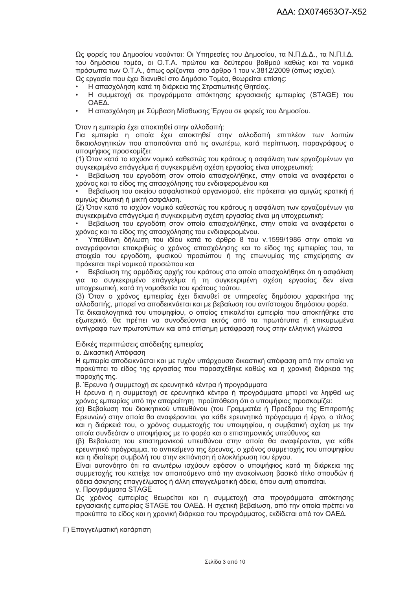Ως φορείς του Δημοσίου νοούνται: Οι Υπηρεσίες του Δημοσίου, τα Ν.Π.Δ.Δ., τα Ν.Π.Ι.Δ. του δημόσιου τομέα, οι Ο.Τ.Α. πρώτου και δεύτερου βαθμού καθώς και τα νομικά πρόσωπα των Ο.Τ.Α., όπως ορίζονται στο άρθρο 1 του ν.3812/2009 (όπως ισχύει). Ως εργασία που έχει διανυθεί στο Δημόσιο Τομέα, θεωρείται επίσης:

- Η απασχόληση κατά τη διάρκεια της Στρατιωτικής Θητείας.
- Η συμμετοχή σε προγράμματα απόκτησης εργασιακής εμπειρίας (STAGE) του OAEA.
- Η απασχόληση με Σύμβαση Μίσθωσης Έργου σε φορείς του Δημοσίου.

Όταν η εμπειρία έχει αποκτηθεί στην αλλοδαπή:

Για εμπειρία η οποία έχει αποκτηθεί στην αλλοδαπή επιπλέον των λοιπών δικαιολογητικών που απαιτούνται από τις ανωτέρω, κατά περίπτωση, παραγράφους ο υποψήφιος προσκομίζει:

(1) Όταν κατά το ισχύον νομικό καθεστώς του κράτους η ασφάλιση των ερναζομένων νια συνκεκριμένο επάννελμα ή συνκεκριμένη σχέση ερνασίας είναι υποχρεωτική:

Βεβαίωση του εργοδότη στον οποίο απασχολήθηκε, στην οποία να αναφέρεται ο χρόνος και το είδος της απασχόλησης του ενδιαφερομένου και

Βεβαίωση του οικείου ασφαλιστικού οργανισμού, είτε πρόκειται για αμιγώς κρατική ή αμιγώς ιδιωτική ή μικτή ασφάλιση.

(2) Όταν κατά το ισχύον νομικό καθεστώς του κράτους η ασφάλιση των εργαζομένων για συγκεκριμένο επάγγελμα ή συγκεκριμένη σχέση εργασίας είναι μη υποχρεωτική:

Βεβαίωση του εργοδότη στον οποίο απασχολήθηκε, στην οποία να αναφέρεται ο χρόνος και το είδος της απασχόλησης του ενδιαφερομένου.

Υπεύθυνη δήλωση του ιδίου κατά το άρθρο 8 του ν.1599/1986 στην οποία να αναγράφονται επακριβώς ο χρόνος απασχόλησης και το είδος της εμπειρίας του, τα στοιχεία του εργοδότη, φυσικού προσώπου ή της επωνυμίας της επιχείρησης αν πρόκειται περί νομικού προσώπου και

Βεβαίωση της αρμόδιας αρχής του κράτους στο οποίο απασχολήθηκε ότι η ασφάλιση για το συγκεκριμένο επάγγελμα ή τη συγκεκριμένη σχέση εργασίας δεν είναι υποχρεωτική, κατά τη νομοθεσία του κράτους τούτου.

(3) Όταν ο χρόνος εμπειρίας έχει διανυθεί σε υπηρεσίες δημόσιου χαρακτήρα της αλλοδαπής, μπορεί να αποδεικνύεται και με βεβαίωση του αντίστοιχου δημόσιου φορέα.

Τα δικαιολογητικά του υποψηφίου, ο οποίος επικαλείται εμπειρία που αποκτήθηκε στο εξωτερικό. θα πρέπει να συνοδεύονται εκτός από τα πρωτότυπα ή επικυρωμένα αντίγραφα των πρωτοτύπων και από επίσημη μετάφρασή τους στην ελληνική γλώσσα

Ειδικές περιπτώσεις απόδειξης εμπειρίας

α. Δικαστική Απόφαση

Η εμπειρία αποδεικνύεται και με τυχόν υπάρχουσα δικαστική απόφαση από την οποία να προκύπτει το είδος της εργασίας που παρασχέθηκε καθώς και η χρονική διάρκεια της παροχής της.

β. Έρευνα ή συμμετοχή σε ερευνητικά κέντρα ή προγράμματα

Η έρευνα ή η συμμετοχή σε ερευνητικά κέντρα ή προγράμματα μπορεί να ληφθεί ως χρόνος εμπειρίας υπό την απαραίτητη προϋπόθεση ότι ο υποψήφιος προσκομίζει:

(α) Βεβαίωση του διοικητικού υπευθύνου (του Γραμματέα ή Προέδρου της Επιτροπής Ερευνών) στην οποία θα αναφέρονται, για κάθε ερευνητικό πρόγραμμα ή έργο, ο τίτλος και η διάρκειά του, ο χρόνος συμμετοχής του υποψηφίου, η συμβατική σχέση με την οποία συνδεόταν ο υποψήφιος με το φορέα και ο επιστημονικός υπεύθυνος και

(β) Βεβαίωση του επιστημονικού υπευθύνου στην οποία θα αναφέρονται, νια κάθε ερευνητικό πρόγραμμα, το αντικείμενο της έρευνας, ο χρόνος συμμετοχής του υποψηφίου και η ιδιαίτερη συμβολή του στην εκπόνηση ή ολοκλήρωση του έργου.

Είναι αυτονόητο ότι τα ανωτέρω ισχύουν εφόσον ο υποψήφιος κατά τη διάρκεια της συμμετοχής του κατείχε τον απαιτούμενο από την ανακοίνωση βασικό τίτλο σπουδών ή άδεια άσκησης επαγγέλματος ή άλλη επαγγελματική άδεια, όπου αυτή απαιτείται. ν. Προνράμματα STAGE

Ως χρόνος εμπειρίας θεωρείται και η συμμετοχή στα προγράμματα απόκτησης εργασιακής εμπειρίας STAGE του ΟΑΕΔ. Η σχετική βεβαίωση, από την οποία πρέπει να προκύπτει το είδος και η χρονική διάρκεια του προγράμματος, εκδίδεται από τον ΟΑΕΔ.

Γ) Επαγγελματική κατάρτιση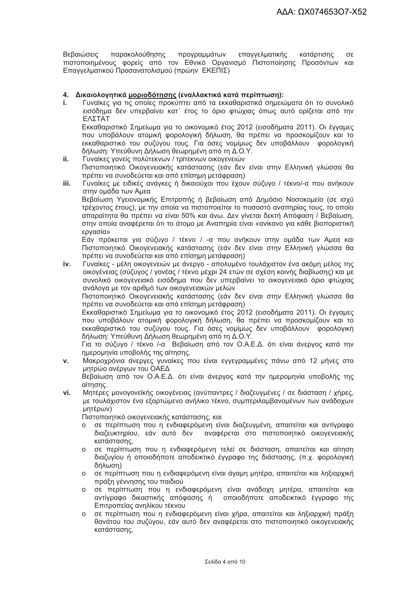παρακολούθησης Βεβαιώσεις προγραμμάτων επαννελματικής κατάρτισης  $\sigma$ πιστοποιημένους φορείς από τον Εθνικό Οργανισμό Πιστοποίησης Προσόντων και Επαγγελματικού Προσανατολισμού (πρώην ΕΚΕΠΙΣ)

#### 4. Δικαιολογητικά μοριοδότησης (εναλλακτικά κατά περίπτωση):

t. Γυναίκες νια τις οποίες προκύπτει από τα εκκαθαριστικά σημειώματα ότι το συνολικό εισόδημα δεν υπερβαίνει κατ΄ έτος το όριο φτώχιας όπως αυτό ορίζεται από την ΕΛΣΤΑΤ

Εκκαθαριστικό Σημείωμα για το οικονομικό έτος 2012 (εισοδήματα 2011). Οι ένναμες που υποβάλουν ατομική φορολογική δήλωση. θα πρέπει να προσκομίζουν και το εκκαθαριστικό του συζύγου τους. Για όσες νομίμως δεν υποβάλλουν φορολογική δήλωση: Υπεύθυνη Δήλωση θεωρημένη από τη Δ.Ο.Υ.

- ii. Γυναίκες νονείς πολύτεκνων / τρίτεκνων οικονενειών Πιστοποιητικό Οικογενειακής κατάστασης (εάν δεν είναι στην Ελληνική γλώσσα θα πρέπει να συνοδεύεται και από επίσημη μετάφραση)
- Γυναίκες με ειδικές ανάγκες ή δικαιούχοι που έχουν σύζυνο / τέκνο/-α που ανήκουν iii. στην ομάδα των Αμεα

Βεβαίωση Υγειονομικής Επιτροπής ή βεβαίωση από Δημόσιο Νοσοκομείο (σε ισχύ τρέχοντος έτους), με την οποία να πιστοποιείται το ποσοστό αναπηρίας τους, το οποίο απαραίτητα θα πρέπει να είναι 50% και άνω. Δεν γίνεται δεκτή Απόφαση / Βεβαίωση, στην οποία αναφέρεται ότι το άτομο με Αναπηρία είναι «ανίκανο για κάθε βιοποριστική ερνασία»

Εάν πρόκειται για σύζυγο / τέκνο / -α που ανήκουν στην ομάδα των Αμεα και Πιστοποιητικό Οικονενειακής κατάστασης (εάν δεν είναι στην Ελληνική νλώσσα θα πρέπει να συνοδεύεται και από επίσημη μετάφραση)

Γυναίκες - μέλη οικογενειών με άνεργο - απολυμένο τουλάχιστον ένα ακόμη μέλος της iv. οικογένειας (σύζυγος / γονέας / τέκνο μέχρι 24 ετών σε σχέση κοινής διαβίωσης) και με συνολικό οικογενειακό εισόδημα που δεν υπερβαίνει το οικογενειακό όριο φτώχιας ανάλογα με τον αριθμό των οικογενειακών μελών

Πιστοποιητικό Οικονενειακής κατάστασης (εάν δεν είναι στην Ελληνική νλώσσα θα πρέπει να συνοδεύεται και από επίσημη μετάφραση)

Εκκαθαριστικό Σημείωμα για το οικονομικό έτος 2012 (εισοδήματα 2011). Οι έγγαμες που υποβάλουν ατομική φορολονική δήλωση. θα πρέπει να προσκομίζουν και το εκκαθαριστικό του συζύνου τους. Για όσες νομίμως δεν υποβάλλουν φορολονική δήλωση: Υπεύθυνη Δήλωση θεωρημένη από τη Δ.Ο.Υ.

Για το σύζυνο / τέκνο /-α Βεβαίωση από τον Ο.Α.Ε.Δ. ότι είναι άνερνος κατά την ημερομηνία υποβολής της αίτησης.

Μακροχρόνια άνεργες γυναίκες που είναι εγγεγραμμένες πάνω από 12 μήνες στο  $\mathbf{v}$ . μητρώο ανέρνων του ΟΑΕΔ

Βεβαίωση από τον Ο.Α.Ε.Δ. ότι είναι άνεργος κατά την ημερομηνία υποβολής της αίτησης.

vi. Μητέρες μονογονεϊκής οικογένειας (ανύπαντρες / διαζευγμένες / σε διάσταση / χήρες, με τουλάχιστον ένα εξαρτώμενο ανήλικο τέκνο, συμπεριλαμβανομένων των ανάδοχων μητέρων)

Πιστοποιητικό οικονενειακής κατάστασης, και

- σε περίπτωση που η ενδιαφερόμενη είναι διαζευγμένη, απαιτείται και αντίγραφο  $\Omega$ διαζευκτηρίου, εάν αυτό δεν αναφέρεται στο πιστοποιητικό οικογενειακής κατάστασης.
- ο σε περίπτωση που η ενδιαφερόμενη τελεί σε διάσταση, απαιτείται και αίτηση διαζυγίου ή οποιοδήποτε αποδεικτικό έγγραφο της διάστασης, (π.χ. φορολογική δήλωση)
- ο σε περίπτωση που η ενδιαφερόμενη είναι άγαμη μητέρα, απαιτείται και ληξιαρχική πράξη γέννησης του παιδιού
- ο σε περίπτωση που η ενδιαφερόμενη είναι ανάδοχη μητέρα, απαιτείται και αντίγραφο δικαστικής απόφασης ή οποιοδήποτε αποδεικτικό έγγραφο της Επιτροπείας ανηλίκου τέκνου
- ο σε περίπτωση που η ενδιαφερόμενη είναι χήρα, απαιτείται και ληξιαρχική πράξη θανάτου του συζύγου, εάν αυτό δεν αναφέρεται στο πιστοποιητικό οικογενειακής κατάστασης,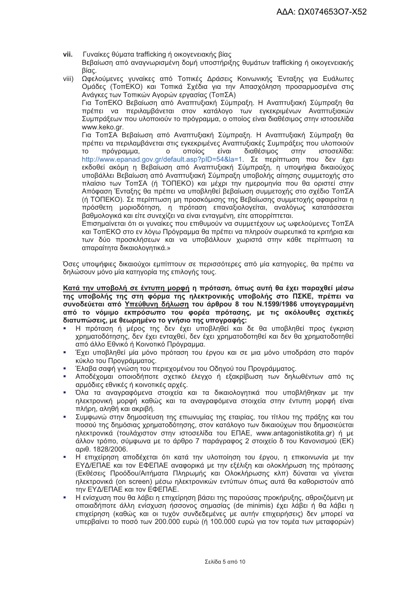- Γυναίκες θύματα trafficking ή οικογενειακής βίας vii. Βεβαίωση από αναγνωρισμένη δομή υποστήριξης θυμάτων trafficking ή οικογενειακής βίας.
- .<br>Ωφελούμενες γυναίκες από Τοπικές Δράσεις Κοινωνικής Ένταξης για Ευάλωτες  $viii)$ Ομάδες (ΤοπΕΚΟ) και Τοπικά Σχέδια για την Απασχόληση προσαρμοσμένα στις Ανάγκες των Τοπικών Αγορών εργασίας (ΤοπΣΑ) Για ΤοπΕΚΟ Βεβαίωση από Αναπτυξιακή Σύμπραξη. Η Αναπτυξιακή Σύμπραξη θα πρέπει να περιλαμβάνεται στον κατάλογο των εγκεκριμένων Αναπτυξιακών Συμπράξεων που υλοποιούν το πρόγραμμα, ο οποίος είναι διαθέσιμος στην ιστοσελίδα www.keko.ar. Για ΤοπΣΑ Βεβαίωση από Αναπτυξιακή Σύμπραξη. Η Αναπτυξιακή Σύμπραξη θα πρέπει να περιλαμβάνεται στις εγκεκριμένες Αναπτυξιακές Συμπράξεις που υλοποιούν  $\overline{O}$   $\overline{O}$   $\overline{O}$   $\overline{O}$   $\overline{O}$   $\overline{O}$   $\overline{O}$   $\overline{O}$   $\overline{O}$   $\overline{O}$   $\overline{O}$   $\overline{O}$   $\overline{O}$   $\overline{O}$   $\overline{O}$   $\overline{O}$   $\overline{O}$   $\overline{O}$   $\overline{O}$   $\overline{O}$   $\overline{O}$   $\overline{O}$   $\overline{O}$   $\overline{O}$   $\overline{$ πρόνραμμα.  $\Omega$ είναι διαθέσιμος  $\sigma$ <sub>Tn</sub> $\sqrt{ }$ ιστοσελίδα:  $T<sub>O</sub>$ http://www.epanad.gov.gr/default.asp?pID=54&la=1. Σε περίπτωση που δεν έχει εκδοθεί ακόμη η Βεβαίωση από Αναπτυξιακή Σύμπραξη, η υποψήφια δικαιούχος υποβάλλει Βεβαίωση από Αναπτυξιακή Σύμπραξη υποβολής αίτησης συμμετοχής στο πλαίσιο των ΤοπΣΑ (ή ΤΟΠΕΚΟ) και μέχρι την ημερομηνία που θα οριστεί στην Απόφαση Ένταξης θα πρέπει να υποβληθεί βεβαίωση συμμετοχής στο σχέδιο ΤοπΣΑ (ή ΤΟΠΕΚΟ). Σε περίπτωση μη προσκόμισης της Βεβαίωσης συμμετοχής αφαιρείται η πρόσθετη μοριοδότηση, η πρόταση επαναξιολογείται, αναλόγως κατατάσσεται βαθμολογικά και είτε συνεχίζει να είναι ενταγμένη, είτε απορρίπτεται.

Επισημαίνεται ότι οι γυναίκες που επιθυμούν να συμμετέχουν ως ωφελούμενες ΤοπΣΑ και ΤοπΕΚΟ στο εν λόγω Πρόγραμμα θα πρέπει να πληρούν σωρευτικά τα κριτήρια και των δύο προσκλήσεων και να υποβάλλουν χωριστά στην κάθε περίπτωση τα απαραίτητα δικαιολονητικά.»

Όσες υποψήφιες δικαιούχοι εμπίπτουν σε περισσότερες από μία κατηγορίες, θα πρέπει να δηλώσουν μόνο μία κατηγορία της επιλογής τους.

Κατά την υποβολή σε έντυπη μορφή η πρόταση, όπως αυτή θα έχει παραχθεί μέσω της υποβολής της στη φόρμα της ηλεκτρονικής υποβολής στο ΠΣΚΕ, πρέπει να συνοδεύεται από Υπεύθυνη δήλωση του άρθρου 8 του Ν.1599/1986 υπογεγραμμένη από το νόμιμο εκπρόσωπο του φορέα πρότασης, με τις ακόλουθες σχετικές διατυπώσεις, με θεωρημένο το ννήσιο της υπονραφής;

- Η πρόταση ή μέρος της δεν έχει υποβληθεί και δε θα υποβληθεί προς έγκριση χρηματοδότησης, δεν έχει ενταχθεί, δεν έχει χρηματοδοτηθεί και δεν θα χρηματοδοτηθεί από άλλο Εθνικό ή Κοινοτικό Πρόνραμμα.
- Έχει υποβληθεί μία μόνο πρόταση του έργου και σε μια μόνο υποδράση στο παρόν κύκλο του Προγράμματος.
- Έλαβα σαφή γνώση του περιεχομένου του Οδηγού του Προγράμματος. à.
- Αποδέχομαι οποιοδήποτε σχετικό έλεγχο ή εξακρίβωση των δηλωθέντων από τις αρμόδιες εθνικές ή κοινοτικές αρχές.
- Όλα τα αναγραφόμενα στοιχεία και τα δικαιολογητικά που υποβλήθηκαν με την ٠ ηλεκτρονική μορφή καθώς και τα αναγραφόμενα στοιχεία στην έντυπη μορφή είναι πλήρη, αληθή και ακριβή.
- Συμφωνώ στην δημοσίευση της επωνυμίας της εταιρίας, του τίτλου της πράξης και του ποσού της δημόσιας χρηματοδότησης, στον κατάλογο των δικαιούχων που δημοσιεύεται ηλεκτρονικά (τουλάχιστον στην ιστοσελίδα του ΕΠΑΕ, www.antagonistikotita.gr) ή με άλλον τρόπο, σύμφωνα με το άρθρο 7 παράγραφος 2 στοιχείο δ του Κανονισμού (ΕΚ) αριθ. 1828/2006.
- Η επιχείρηση αποδέχεται ότι κατά την υλοποίηση του έργου, η επικοινωνία με την ΕΥΔ/ΕΠΑΕ και τον ΕΦΕΠΑΕ αναφορικά με την εξέλιξη και ολοκλήρωση της πρότασης (Εκθέσεις Προόδου/Αιτήματα Πληρωμής και Ολοκλήρωσης κλπ) δύναται να γίνεται ηλεκτρονικά (on screen) μέσω ηλεκτρονικών εντύπων όπως αυτά θα καθοριστούν από την ΕΥΔ/ΕΠΑΕ και τον ΕΦΕΠΑΕ.
- Η ενίσχυση που θα λάβει η επιχείρηση βάσει της παρούσας προκήρυξης, αθροιζόμενη με οποιαδήποτε άλλη ενίσχυση ήσσονος σημασίας (de minimis) έχει λάβει ή θα λάβει η επιχείρηση (καθώς και οι τυχόν συνδεδεμένες με αυτήν επιχειρήσεις) δεν μπορεί να υπερβαίνει το ποσό των 200.000 ευρώ (ή 100.000 ευρώ για τον τομέα των μεταφορών)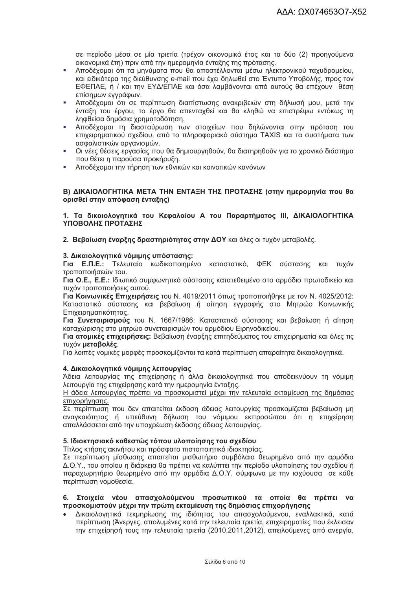σε περίοδο μέσα σε μία τριετία (τρέχον οικονομικό έτος και τα δύο (2) προηγούμενα οικονομικά έτη) πριν από την ημερομηνία ένταξης της πρότασης.

- Αποδέχομαι ότι τα μηνύματα που θα αποστέλλονται μέσω ηλεκτρονικού ταχυδρομείου, και ειδικότερα της διεύθυνσης e-mail που έχει δηλωθεί στο Έντυπο Υποβολής, προς τον ΕΦΕΠΑΕ, ή / και την ΕΥΔ/ΕΠΑΕ και όσα λαμβάνονται από αυτούς θα επέχουν θέση επίσημων εγγράφων.
- Αποδέχομαι ότι σε περίπτωση διαπίστωσης ανακριβειών στη δήλωσή μου, μετά την ένταξη του έργου, το έργο θα απενταχθεί και θα κληθώ να επιστρέψω εντόκως τη ληφθείσα δημόσια χρηματοδότηση.
- Αποδέχουαι τη διασταύρωση των στοιχείων που δηλώνονται στην πρόταση του à. επιχειρηματικού σχεδίου, από το πληροφοριακό σύστημα TAXIS και τα συστήματα των ασφαλιστικών ορνανισμών.
- Οι νέες θέσεις εργασίας που θα δημιουργηθούν, θα διατηρηθούν νια το χρονικό διάστημα  $\mathbf{r}$ που θέτει η παρούσα προκήρυξη.
- Αποδέχομαι την τήρηση των εθνικών και κοινοτικών κανόνων

#### Β) ΔΙΚΑΙΟΛΟΓΗΤΙΚΑ ΜΕΤΑ ΤΗΝ ΕΝΤΑΞΗ ΤΗΣ ΠΡΟΤΑΣΗΣ (στην ημερομηνία που θα ορισθεί στην απόφαση ένταξης)

#### 1. Τα δικαιολογητικά του Κεφαλαίου Α του Παραρτήματος ΙΙΙ, ΔΙΚΑΙΟΛΟΓΗΤΙΚΑ ΥΠΟΒΟΛΗΣ ΠΡΟΤΑΣΗΣ

2. Βεβαίωση έναρξης δραστηριότητας στην ΔΟΥ και όλες οι τυχόν μεταβολές.

#### 3. Δικαιολογητικά νόμιμης υπόστασης:

Για Ε.Π.Ε.: Τελευταίο κωδικοποιημένο καταστατικό, ΦΕΚ σύστασης και τυχόν τροποποιήσεών του.

Για Ο.Ε., Ε.Ε.: Ιδιωτικό συμφωνητικό σύστασης κατατεθειμένο στο αρμόδιο πρωτοδικείο και τυχόν τροποποιήσεις αυτού.

Για Κοινωνικές Επιχειρήσεις του Ν. 4019/2011 όπως τροποποιήθηκε με τον Ν. 4025/2012; Καταστατικό σύστασης και βεβαίωση ή αίτηση εγγραφής στο Μητρώο Κοινωνικής Επιχειρηματικότητας.

Για Συνεταιρισμούς του Ν. 1667/1986: Καταστατικό σύστασης και βεβαίωση ή αίτηση καταχώρισης στο μητρώο συνεταιρισμών του αρμόδιου Ειρηνοδικείου.

Για ατομικές επιχειρήσεις: Βεβαίωση έναρξης επιτηδεύματος του επιχειρηματία και όλες τις τυχόν μεταβολές.

Για λοιπές νομικές μορφές προσκομίζονται τα κατά περίπτωση απαραίτητα δικαιολογητικά.

#### 4. Δικαιολογητικά νόμιμης λειτουργίας

Άδεια λειτουργίας της επιχείρησης ή άλλα δικαιολογητικά που αποδεικνύουν τη νόμιμη λειτουργία της επιχείρησης κατά την ημερομηνία ένταξης.

Η άδεια λειτουργίας πρέπει να προσκομιστεί μέχρι την τελευταία εκταμίευση της δημόσιας επιχορήγησης.

Σε περίπτωση που δεν απαιτείται έκδοση άδειας λειτουργίας προσκομίζεται βεβαίωση μη αναγκαιότητας ή υπεύθυνη δήλωση του νόμιμου εκπροσώπου ότι η επιχείρηση απαλλάσσεται από την υποχρέωση έκδοσης άδειας λειτουργίας.

#### 5. Ιδιοκτησιακό καθεστώς τόπου υλοποίησης του σχεδίου

Τίτλος κτήσης ακινήτου και πρόσφατο πιστοποιητικό ιδιοκτησίας.

Σε περίπτωση μίσθωσης απαιτείται μισθωτήριο συμβόλαιο θεωρημένο από την αρμόδια Δ.Ο.Υ., του οποίου η διάρκεια θα πρέπει να καλύπτει την περίοδο υλοποίησης του σχεδίου ή παραχωρητήριο θεωρημένο από την αρμόδια Δ.Ο.Υ. σύμφωνα με την ισχύουσα σε κάθε περίπτωση νομοθεσία.

#### 6. Στοιχεία νέου απασχολούμενου προσωπικού τα οποία θα πρέπει να προσκομιστούν μέχρι την πρώτη εκταμίευση της δημόσιας επιχορήγησης

Δικαιολογητικά τεκμηρίωσης της ιδιότητας του απασχολούμενου, εναλλακτικά, κατά περίπτωση (Άνεργες, απολυμένες κατά την τελευταία τριετία, επιχειρηματίες που έκλεισαν την επιχείρησή τους την τελευταία τριετία (2010,2011,2012), απειλούμενες από ανεργία,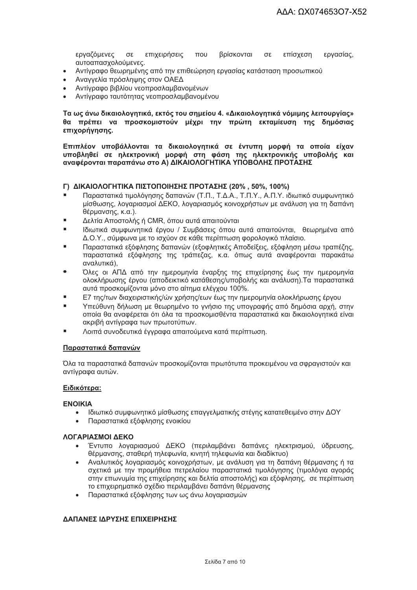εργαζόμενες σε επιχειρήσεις  $TOLI$ βρίσκονται  $\sigma$ ε επίσχεση εργασίας, αυτοαπασχολούμενες.

- Αντίγραφο θεωρημένης από την επιθεώρηση εργασίας κατάσταση προσωπικού  $\bullet$
- Αναγγελία πρόσληψης στον ΟΑΕΔ  $\bullet$
- Αντίγραφο βιβλίου νεοπροσλαμβανομένων
- Αντίνραφο ταυτότητας νεοπροσλαμβανομένου

Τα ως άνω δικαιολογητικά, εκτός του σημείου 4. «Δικαιολογητικά νόμιμης λειτουργίας» θα πρέπει να προσκομιστούν μέχρι την πρώτη εκταμίευση της δημόσιας επιχορήγησης.

Επιπλέον υποβάλλονται τα δικαιολογητικά σε έντυπη μορφή τα οποία είχαν υποβληθεί σε ηλεκτρονική μορφή στη φάση της ηλεκτρονικής υποβολής και αναφέρονται παραπάνω στο Α) ΔΙΚΑΙΟΛΟΓΗΤΙΚΑ ΥΠΟΒΟΛΗΣ ΠΡΟΤΑΣΗΣ

#### Γ) ΔΙΚΑΙΟΛΟΓΗΤΙΚΑ ΠΙΣΤΟΠΟΙΗΣΗΣ ΠΡΟΤΑΣΗΣ (20%, 50%, 100%)

- Παραστατικά τιμολόγησης δαπανών (Τ.Π., Τ.Δ.Α., Τ.Π.Υ., Α.Π.Υ. ιδιωτικό συμφωνητικό μίσθωσης, λοναριασμοί ΔΕΚΟ, λοναριασμός κοινοχρήστων με ανάλυση για τη δαπάνη θέρμανσης, κ.α.).
- Δελτία Αποστολής ή CMR, όπου αυτά απαιτούνται
- Ιδιωτικά συμφωνητικά έρνου / Συμβάσεις όπου αυτά απαιτούνται. Θεωρημένα από Δ.Ο.Υ., σύμφωνα με το ισχύον σε κάθε περίπτωση φορολογικό πλαίσιο.
- Παραστατικά εξόφλησης δαπανών (εξοφλητικές Αποδείξεις, εξόφληση μέσω τραπέζης, παραστατικά εξόφλησης της τράπεζας, κ.α. όπως αυτά αναφέρονται παρακάτω αναλυτικά).
- Όλες οι ΑΠΔ από την ημερομηνία έναρξης της επιχείρησης έως την ημερομηνία ολοκλήρωσης έργου (αποδεικτικό κατάθεσης/υποβολής και ανάλυση).Τα παραστατικά αυτά προσκομίζονται μόνο στο αίτημα ελέγχου 100%.
- Ε7 της/των διαχειριστικής/ών χρήσης/εων έως την ημερομηνία ολοκλήρωσης έργου
- Υπεύθυνη δήλωση με θεωρημένο το γνήσιο της υπογραφής από δημόσια αρχή, στην οποία θα αναφέρεται ότι όλα τα προσκομισθέντα παραστατικά και δικαιολογητικά είναι ακριβή αντίνραφα των πρωτοτύπων.
- Λοιπά συνοδευτικά έγγραφα απαιτούμενα κατά περίπτωση.

#### Παραστατικά δαπανών

Όλα τα παραστατικά δαπανών προσκομίζονται πρωτότυπα προκειμένου να σφραγιστούν και αντίγραφα αυτών.

#### Ειδικότερα:

#### **ENOIKIA**

- Ιδιωτικό συμφωνητικό μίσθωσης επαγγελματικής στένης κατατεθειμένο στην ΔΟΥ
- Παραστατικά εξόφλησης ενοικίου

#### ΛΟΓΑΡΙΑΣΜΟΙ ΛΕΚΟ

- Έντυπο λογαριασμού ΔΕΚΟ (περιλαμβάνει δαπάνες ηλεκτρισμού, ύδρευσης, θέρμανσης, σταθερή τηλεφωνία, κινητή τηλεφωνία και διαδίκτυο)
- Αναλυτικός λογαριασμός κοινοχρήστων, με ανάλυση για τη δαπάνη θέρμανσης ή τα σχετικά με την προμήθεια πετρελαίου παραστατικά τιμολόγησης (τιμολόγια αγοράς στην επωνυμία της επιχείρησης και δελτία αποστολής) και εξόφλησης, σε περίπτωση το επιχειρηματικό σχέδιο περιλαμβάνει δαπάνη θέρμανσης
- Παραστατικά εξόφλησης των ως άνω λογαριασμών

#### ΔΑΠΑΝΕΣ ΙΔΡΥΣΗΣ ΕΠΙΧΕΙΡΗΣΗΣ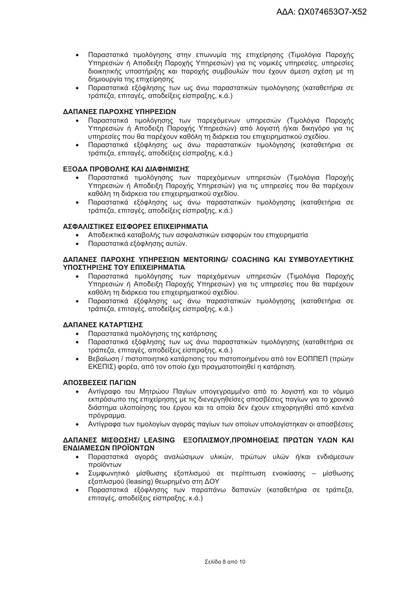- Παραστατικά τιμολόγησης στην επωνυμία της επιχείρησης (Τιμολόγια Παροχής Υπηρεσιών ή Αποδειξη Παροχής Υπηρεσιών) για τις νομικές υπηρεσίες, υπηρεσίες διοικητικής υποστήριξης και παροχής συμβουλών που έχουν άμεση σχέση με τη δημιουργία της επιχείρησης
- Παραστατικά εξόφλησης των ως άνω παραστατικών τιμολόγησης (καταθετήρια σε τράπεζα, επιταγές, αποδείξεις είσπραξης, κ.ά.)

#### ΔΑΠΑΝΕΣ ΠΑΡΟΧΗΣ ΥΠΗΡΕΣΙΩΝ

- Παραστατικά τιμολόγησης των παρεχόμενων υπηρεσιών (Τιμολόγια Παροχής Υπηρεσιών ή Αποδείξη Παροχής Υπηρεσιών) από λογιστή ή/και δικηγόρο για τις υπηρεσίες που θα παρέχουν καθόλη τη διάρκεια του επιχειρηματικού σχεδίου.
- Παραστατικά εξόφλησης ως άνω παραστατικών τιμολόγησης (καταθετήρια σε τράπεζα, επιταγές, αποδείξεις είσπραξης, κ.ά.)

#### ΕΞΟΔΑ ΠΡΟΒΟΛΗΣ ΚΑΙ ΔΙΑΦΗΜΙΣΗΣ

- Παραστατικά τιμολόγησης των παρεχόμενων υπηρεσιών (Τιμολόγια Παροχής Υπηρεσιών ή Αποδειξη Παροχής Υπηρεσιών) για τις υπηρεσίες που θα παρέχουν καθόλη τη διάρκεια του επιχειρηματικού σχεδίου.
- Παραστατικά εξόφλησης ως άνω παραστατικών τιμολόγησης (καταθετήρια σε τράπεζα, επιταγές, αποδείξεις είσπραξης, κ.ά.)

#### ΑΣΦΑΛΙΣΤΙΚΕΣ ΕΙΣΦΟΡΕΣ ΕΠΙΧΕΙΡΗΜΑΤΙΑ

- Αποδεικτικά καταβολής των ασφαλιστικών εισφορών του επιχειρηματία
- Παραστατικά εξόφλησης αυτών.

#### **ΛΑΠΑΝΕΣ ΠΑΡΟΧΗΣ ΥΠΗΡΕΣΙΟΝ ΜΕΝΤΟRING/ COACHING ΚΑΙ ΣΥΜΒΟΥΛΕΥΤΙΚΗΣ** ΥΠΟΣΤΗΡΙΞΗΣ ΤΟΥ ΕΠΙΧΕΙΡΗΜΑΤΙΑ

- Παραστατικά τιμολόγησης των παρεχόμενων υπηρεσιών (Τιμολόγια Παροχής Υπηρεσιών ή Αποδειξη Παροχής Υπηρεσιών) για τις υπηρεσίες που θα παρέχουν καθόλη τη διάρκεια του επιχειρηματικού σχεδίου.
- Παραστατικά εξόφλησης ως άνω παραστατικών τιμολόγησης (καταθετήρια σε τράπεζα, επιταγές, αποδείξεις είσπραξης, κ.ά.)

#### ΔΑΠΑΝΕΣ ΚΑΤΑΡΤΙΣΗΣ

- Παραστατικά τιμολόγησης της κατάρτισης  $\bullet$
- Παραστατικά εξόφλησης των ως άνω παραστατικών τιμολόγησης (καταθετήρια σε τράπεζα, επιταγές, αποδείξεις είσπραξης, κ.ά.)
- Βεβαίωση / πιστοποιητικό κατάρτισης του πιστοποιημένου από τον ΕΟΠΠΕΠ (πρώην ΕΚΕΠΙΣ) φορέα, από τον οποίο έχει πραγματοποιηθεί η κατάρτιση.

#### **ΑΠΟΣΒΕΣΕΙΣ ΠΑΓΙΟΝ**

- Αντίγραφο του Μητρώου Παγίων υπογεγραμμένο από το λογιστή και το νόμιμο εκπρόσωπο της επιχείρησης με τις διενεργηθείσες αποσβέσεις παγίων για το χρονικό διάστημα υλοποίησης του έργου και τα οποία δεν έχουν επιχορηγηθεί από κανένα πρόγραμμα.
- Αντίγραφα των τιμολογίων αγοράς παγίων των οποίων υπολογίστηκαν οι αποσβέσεις

#### ΔΑΠΑΝΕΣ ΜΙΣΘΩΣΗΣ/ LEASING ΕΞΟΠΛΙΣΜΟΥ, ΠΡΟΜΗΘΕΙΑΣ ΠΡΩΤΩΝ ΥΛΩΝ ΚΑΙ ΕΝΔΙΑΜΕΣΩΝ ΠΡΟΪΟΝΤΩΝ

- Παραστατικά αγοράς αναλώσιμων υλικών, πρώτων υλών ή/και ενδιάμεσων  $\bullet$ προϊόντων
- Συμφωνητικό μίσθωσης εξοπλισμού σε περίπτωση ενοικίασης μίσθωσης εξοπλισμού (leasing) θεωρημένο στη ΔΟΥ
- Παραστατικά εξόφλησης των παραπάνω δαπανών (καταθετήρια σε τράπεζα,  $\bullet$ επιτανές, αποδείξεις είσπραξης, κ.ά.)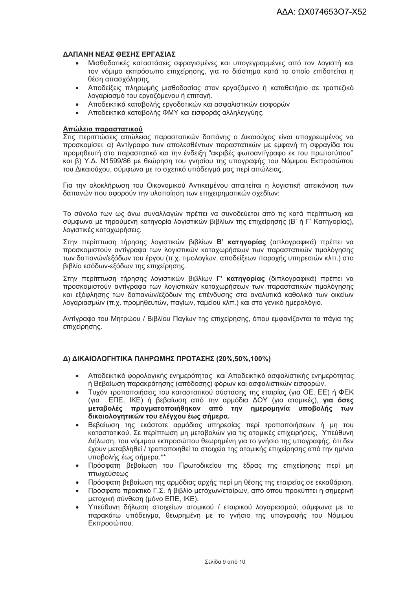#### ΛΑΠΑΝΗ ΝΕΑΣ ΘΕΣΗΣ ΕΡΓΑΣΙΑΣ

- Μισθοδοτικές καταστάσεις σφραγισμένες και υπογεγραμμένες από τον λογιστή και τον νόμιμο εκπρόσωπο επιχείρησης, για το διάστημα κατά το οποίο επιδοτείται η θέση απασχόλησης.
- Αποδείξεις πληρωμής μισθοδοσίας στον εργαζόμενο ή καταθετήριο σε τραπεζικό λογαριασμό του εργαζόμενου ή επιταγή.
- Αποδεικτικά καταβολής εργοδοτικών και ασφαλιστικών εισφορών
- Αποδεικτικά καταβολής ΦΜΥ και εισφοράς αλληλεννύης.

#### Απώλεια παραστατικού

Στις περιπτώσεις απώλειας παραστατικών δαπάνης ο Δικαιούχος είναι υποχρεωμένος να προσκομίσει: α) Αντίγραφο των απολεσθέντων παραστατικών με εμφανή τη σφραγίδα του προμηθευτή στο παραστατικό και την ένδειξη "ακριβές φωτοαντίγραφο εκ του πρωτοτύπου" και β) Υ.Δ. Ν1599/86 με θεώρηση του γνησίου της υπογραφής του Νόμιμου Εκπροσώπου του Δικαιούχου, σύμφωνα με το σχετικό υπόδεινμά μας περί απώλειας.

Για την ολοκλήρωση του Οικονομικού Αντικειμένου απαιτείται η λονιστική απεικόνιση των δαπανών που αφορούν την υλοποίηση των επιχειρηματικών σχεδίων:

Το σύνολο των ως άνω συναλλανών πρέπει να συνοδεύεται από τις κατά περίπτωση και σύμφωνα με τηρούμενη κατηγορία λογιστικών βιβλίων της επιχείρησης (Β' ή Γ' Κατηγορίας), λογιστικές καταχωρήσεις.

Στην περίπτωση τήρησης λονιστικών βιβλίων Β' κατηνορίας (απλονραφικά) πρέπει να προσκομιστούν αντίγραφα των λογιστικών καταχωρήσεων των παραστατικών τιμολόγησης των δαπανών/εξόδων του έργου (π.χ. τιμολογίων, αποδείξεων παροχής υπηρεσιών κλπ.) στο βιβλίο εσόδων-εξόδων της επιχείρησης.

Στην περίπτωση τήρησης λογιστικών βιβλίων Γ' κατηγορίας (διπλογραφικά) πρέπει να προσκομιστούν αντίγραφα των λογιστικών καταχωρήσεων των παραστατικών τιμολόγησης και εξόφλησης των δαπανών/εξόδων της επένδυσης στα αναλυτικά καθολικά των οικείων λογαριασμών (π.χ. προμηθευτών, παγίων, ταμείου κλπ.) και στο γενικό ημερολόγιο.

Αντίνραφο του Μητρώου / Βιβλίου Πανίων της επιχείρησης, όπου εμφανίζονται τα πάνια της επιχείρησης.

#### Δ) ΔΙΚΑΙΟΛΟΓΗΤΙΚΑ ΠΛΗΡΩΜΗΣ ΠΡΟΤΑΣΗΣ (20%,50%,100%)

- Αποδεικτικό φορολογικής ενημερότητας και Αποδεικτικό ασφαλιστικής ενημερότητας ή Βεβαίωση παρακράτησης (απόδοσης) φόρων και ασφαλιστικών εισφορών.
- Τυχόν τροποποιήσεις του καταστατικού σύστασης της εταιρίας (για ΟΕ, ΕΕ) ή ΦΕΚ  $\bullet$ (για ΕΠΕ, ΙΚΕ) ή βεβαίωση από την αρμόδια ΔΟΥ (για ατομικές), για όσες μεταβολές πραγματοποιήθηκαν από την ημερομηνία υποβολής των δικαιολογητικών του ελέγχου έως σήμερα.
- Βεβαίωση της εκάστοτε αρμόδιας υπηρεσίας περί τροποποιήσεων ή μη του καταστατικού. Σε περίπτωση μη μεταβολών για τις ατομικές επιχειρήσεις, Υπεύθυνη Δήλωση, του νόμιμου εκπροσώπου θεωρημένη για το γνήσιο της υπογραφής, ότι δεν έχουν μεταβληθεί / τροποποιηθεί τα στοιχεία της ατομικής επιχείρησης από την ημ/νια υποβολής έως σήμερα. \*\*
- Πρόσφατη βεβαίωση του Πρωτοδικείου της έδρας της επιχείρησης περί μη πτωχεύσεως
- Πρόσφατη βεβαίωση της αρμόδιας αρχής περί μη θέσης της εταιρείας σε εκκαθάριση.
- Πρόσφατο πρακτικό Γ.Σ. ή βιβλίο μετόχων/εταίρων, από όπου προκύπτει η σημερινή μετοχική σύνθεση (μόνο ΕΠΕ, ΙΚΕ).
- Υπεύθυνη δήλωση στοιχείων ατομικού / εταιρικού λογαριασμού, σύμφωνα με το παρακάτω υπόδειγμα, θεωρημένη με το γνήσιο της υπογραφής του Νόμιμου Εκπροσώπου.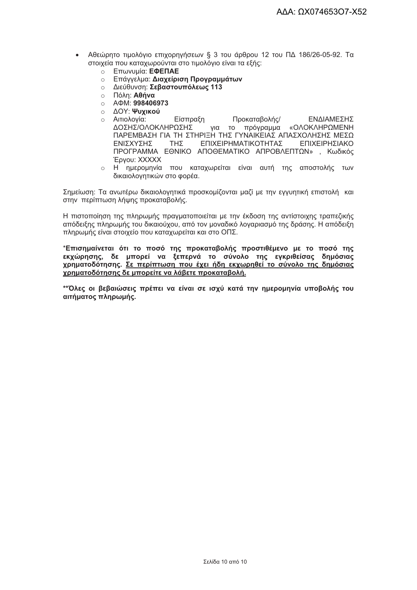- Αθεώρητο τιμολόγιο επιχορηγήσεων § 3 του άρθρου 12 του ΠΔ 186/26-05-92. Τα στοιχεία που καταχωρούνται στο τιμολόγιο είναι τα εξής:
	- **BRANCISCO ETT**WVUµÍQ: E<sup>DENAE</sup>
	- **Επάγγελμα: Διαχείριση Προγραμμάτων**
	- ο Διεύθυνση: Σεβαστουπόλεως 113
	- ο Πόλη: **Αθήνα**
	- $\circ$  A  $\Phi$ M: 998406973
	- **Ο ΔΟΥ: Ψυχικού**
	- ο Αιτιολογία: Προκαταβολής/ ΕΝΔΙΑΜΕΣΗΣ Είσπραξη ΔΟΣΗΣΙΟΛΟΚΛΗΡΟΣΗΣ νια το πρόνραμμα «ΟΛΟΚΛΗΡΩΜΕΝΗ ΠΑΡΕΜΒΑΣΗ ΓΙΑ ΤΗ ΣΤΗΡΙΞΗ ΤΗΣ ΓΥΝΑΙΚΕΙΑΣ ΑΠΑΣΧΟΛΗΣΗΣ ΜΕΣΩ **FNISXYSHS THY** ΕΠΙΧΕΙΡΗΜΑΤΙΚΟΤΗΤΑΣ **ΕΠΙΧΕΙΡΗΣΙΑΚΩ** ΠΡΟΓΡΑΜΜΑ ΕΘΝΙΚΟ ΑΠΟΘΕΜΑΤΙΚΟ ΑΠΡΟΒΛΕΠΤΟΝ», Κωδικός Epyou: XXXXX
	- ο Η ημερομηνία που καταχωρείται είναι αυτή της αποστολής των δικαιολονητικών στο φορέα.

Σημείωση: Τα ανωτέρω δικαιολογητικά προσκομίζονται μαζί με την εγγυητική επιστολή και στην περίπτωση λήψης προκαταβολής.

Η πιστοποίηση της πληρωμής πραγματοποιείται με την έκδοση της αντίστοιχης τραπεζικής απόδειξης πληρωμής του δικαιούχου, από τον μοναδικό λοναριασμό της δράσης. Η απόδειξη πληρωμής είναι στοιχείο που καταχωρείται και στο ΟΠΣ.

\*Επισημαίνεται ότι το ποσό της προκαταβολής προστιθέμενο με το ποσό της εκχώρησης, δε μπορεί να ξεπερνά το σύνολο της εγκριθείσας δημόσιας χρηματοδότησης. Σε περίπτωση που έχει ήδη εκχωρηθεί το σύνολο της δημόσιας χρηματοδότησης δε μπορείτε να λάβετε προκαταβολή.

\*\*Όλες οι βεβαιώσεις πρέπει να είναι σε ισχύ κατά την ημερομηνία υποβολής του αιτήματος πληρωμής.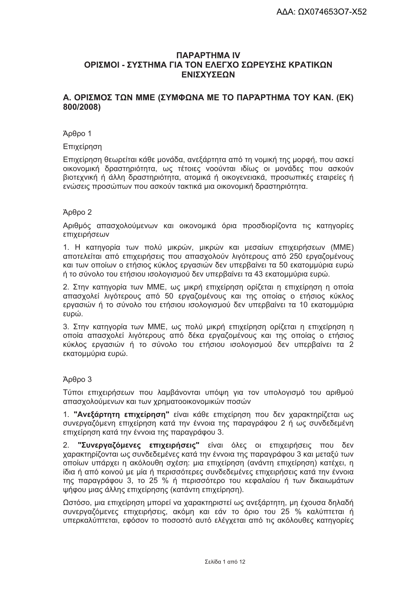# *<u>ITAPAPTHMA</u>* ΟΡΙΣΜΟΙ - ΣΥΣΤΗΜΑ ΓΙΑ ΤΟΝ ΕΛΕΓΧΟ ΣΩΡΕΥΣΗΣ ΚΡΑΤΙΚΩΝ ΕΝΙΣΧΥΣΕΩΝ

# Α. ΟΡΙΣΜΟΣ ΤΩΝ ΜΜΕ (ΣΥΜΦΩΝΑ ΜΕ ΤΟ ΠΑΡΆΡΤΗΜΑ ΤΟΥ ΚΑΝ. (ΕΚ) 800/2008)

#### Άρθρο 1

Επιχείρηση

Επιχείρηση θεωρείται κάθε μονάδα, ανεξάρτητα από τη νομική της μορφή, που ασκεί οικονομική δραστηριότητα, ως τέτοιες νοούνται ιδίως οι μονάδες που ασκούν βιοτεχνική ή άλλη δραστηριότητα, ατομικά ή οικογενειακά, προσωπικές εταιρείες ή ενώσεις προσώπων που ασκούν τακτικά μια οικονομική δραστηριότητα.

#### $A<sub>0</sub>θ<sub>00</sub>$  2

Αριθμός απασχολούμενων και οικονομικά όρια προσδιορίζοντα τις κατηγορίες επιχειρήσεων

1. Η κατηγορία των πολύ μικρών, μικρών και μεσαίων επιχειρήσεων (ΜΜΕ) αποτελείται από επιχειρήσεις που απασχολούν λιγότερους από 250 εργαζομένους και των οποίων ο ετήσιος κύκλος εργασιών δεν υπερβαίνει τα 50 εκατομμύρια ευρώ ή το σύνολο του ετήσιου ισολογισμού δεν υπερβαίνει τα 43 εκατομμύρια ευρώ.

2. Στην κατηγορία των ΜΜΕ, ως μικρή επιχείρηση ορίζεται η επιχείρηση η οποία απασχολεί λιγότερους από 50 εργαζομένους και της οποίας ο ετήσιος κύκλος εργασιών ή το σύνολο του ετήσιου ισολογισμού δεν υπερβαίνει τα 10 εκατομμύρια ευρώ.

3. Στην κατηγορία των ΜΜΕ, ως πολύ μικρή επιχείρηση ορίζεται η επιχείρηση η οποία απασχολεί λιγότερους από δέκα εργαζομένους και της οποίας ο ετήσιος κύκλος εργασιών ή το σύνολο του ετήσιου ισολογισμού δεν υπερβαίνει τα 2 εκατομμύρια ευρώ.

#### $A<sub>0</sub>θ<sub>00</sub>$  3

Τύποι επιχειρήσεων που λαμβάνονται υπόψη για τον υπολογισμό του αριθμού απασχολούμενων και των χρηματοοικονομικών ποσών

1. "Ανεξάρτητη επιχείρηση" είναι κάθε επιχείρηση που δεν χαρακτηρίζεται ως συνεργαζόμενη επιχείρηση κατά την έννοια της παραγράφου 2 ή ως συνδεδεμένη επιχείρηση κατά την έννοια της παραγράφου 3.

"Συνεργαζόμενες επιχειρήσεις" είναι όλες οι επιχειρήσεις που δεν  $2<sup>1</sup>$ γαρακτηρίζονται ως συνδεδεμένες κατά την έννοια της παρανράφου 3 και μεταξύ των οποίων υπάρχει η ακόλουθη σχέση: μια επιχείρηση (ανάντη επιχείρηση) κατέχει, η ίδια ή από κοινού με μία ή περισσότερες συνδεδεμένες επιχειρήσεις κατά την έννοια της παραγράφου 3, το 25 % ή περισσότερο του κεφαλαίου ή των δικαιωμάτων ψήφου μιας άλλης επιχείρησης (κατάντη επιχείρηση).

Ωστόσο, μια επιχείρηση μπορεί να χαρακτηριστεί ως ανεξάρτητη, μη έχουσα δηλαδή συνεργαζόμενες επιχειρήσεις, ακόμη και εάν το όριο του 25 % καλύπτεται ή υπερκαλύπτεται, εφόσον το ποσοστό αυτό ελέγχεται από τις ακόλουθες κατηγορίες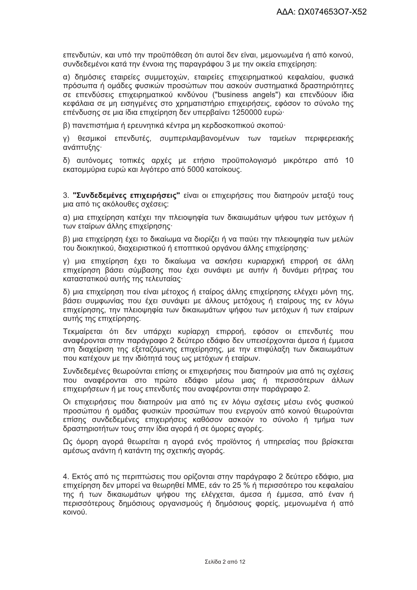επενδυτών, και υπό την προϋπόθεση ότι αυτοί δεν είναι, μεμονωμένα ή από κοινού, συνδεδεμένοι κατά την έννοια της παραγράφου 3 με την οικεία επιχείρηση:

α) δημόσιες εταιρείες συμμετοχών, εταιρείες επιχειρηματικού κεφαλαίου, φυσικά πρόσωπα ή ομάδες φυσικών προσώπων που ασκούν συστηματικά δραστηριότητες σε επενδύσεις επιχειρηματικού κινδύνου ("business angels") και επενδύουν ίδια κεφάλαια σε μη εισηγμένες στο χρηματιστήριο επιχειρήσεις, εφόσον το σύνολο της επένδυσης σε μια ίδια επιχείρηση δεν υπερβαίνει 1250000 ευρώ·

β) πανεπιστήμια ή ερευνητικά κέντρα μη κερδοσκοπικού σκοπού

γ) θεσμικοί επενδυτές, συμπεριλαμβανομένων των ταμείων περιφερειακής ανάπτυξης

δ) αυτόνομες τοπικές αρχές με ετήσιο προϋπολογισμό μικρότερο από 10 εκατομμύρια ευρώ και λιγότερο από 5000 κατοίκους.

3. "Συνδεδεμένες επιχειρήσεις" είναι οι επιχειρήσεις που διατηρούν μεταξύ τους μια από τις ακόλουθες σχέσεις:

α) μια επιχείρηση κατέχει την πλειοψηφία των δικαιωμάτων ψήφου των μετόχων ή των εταίρων άλλης επιχείρησης·

β) μια επιχείρηση έχει το δικαίωμα να διορίζει ή να παύει την πλειοψηφία των μελών του διοικητικού. διαχειριστικού ή εποπτικού οργάνου άλλης επιχείρησης·

γ) μια επιχείρηση έχει το δικαίωμα να ασκήσει κυριαρχική επιρροή σε άλλη επιχείρηση βάσει σύμβασης που έχει συνάψει με αυτήν ή δυνάμει ρήτρας του καταστατικού αυτής της τελευταίας·

δ) μια επιχείρηση που είναι μέτοχος ή εταίρος άλλης επιχείρησης ελέγχει μόνη της, βάσει συμφωνίας που έχει συνάψει με άλλους μετόχους ή εταίρους της εν λόγω επιχείρησης, την πλειοψηφία των δικαιωμάτων ψήφου των μετόχων ή των εταίρων αυτής της επιχείρησης.

Τεκμαίρεται ότι δεν υπάρχει κυρίαρχη επιρροή, εφόσον οι επενδυτές που αναφέρονται στην παράγραφο 2 δεύτερο εδάφιο δεν υπεισέρχονται άμεσα ή έμμεσα στη διαχείριση της εξεταζόμενης επιχείρησης, με την επιφύλαξη των δικαιωμάτων που κατέχουν με την ιδιότητά τους ως μετόχων ή εταίρων.

Συνδεδεμένες θεωρούνται επίσης οι επιχειρήσεις που διατηρούν μια από τις σχέσεις που αναφέρονται στο πρώτο εδάφιο μέσω μιας ή περισσότερων άλλων επιχειρήσεων ή με τους επενδυτές που αναφέρονται στην παράνραφο 2.

Οι επιχειρήσεις που διατηρούν μια από τις εν λόγω σχέσεις μέσω ενός φυσικού προσώπου ή ομάδας φυσικών προσώπων που ενερνούν από κοινού θεωρούνται επίσης συνδεδεμένες επιχειρήσεις καθόσον ασκούν το σύνολο ή τμήμα των δραστηριοτήτων τους στην ίδια αγορά ή σε όμορες αγορές.

Ως όμορη αγορά θεωρείται η αγορά ενός προϊόντος ή υπηρεσίας που βρίσκεται αμέσως ανάντη ή κατάντη της σχετικής αγοράς.

4. Εκτός από τις περιπτώσεις που ορίζονται στην παράνραφο 2 δεύτερο εδάφιο, μια επιχείρηση δεν μπορεί να θεωρηθεί ΜΜΕ, εάν το 25 % ή περισσότερο του κεφαλαίου της ή των δικαιωμάτων ψήφου της ελέγχεται, άμεσα ή έμμεσα, από έναν ή περισσότερους δημόσιους ορνανισμούς ή δημόσιους φορείς, μεμονωμένα ή από κοινού.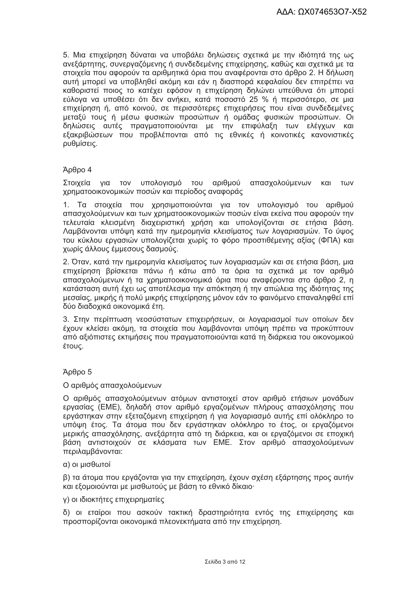5. Μια επιχείρηση δύναται να υποβάλει δηλώσεις σχετικά με την ιδιότητά της ως ανεξάρτητης, συνεργαζόμενης ή συνδεδεμένης επιχείρησης, καθώς και σχετικά με τα στοιχεία που αφορούν τα αριθμητικά όρια που αναφέρονται στο άρθρο 2. Η δήλωση αυτή μπορεί να υποβληθεί ακόμη και εάν η διασπορά κεφαλαίου δεν επιτρέπει να καθοριστεί ποιος το κατέχει εφόσον η επιχείρηση δηλώνει υπεύθυνα ότι μπορεί εύλογα να υποθέσει ότι δεν ανήκει, κατά ποσοστό 25 % ή περισσότερο, σε μια επιχείρηση ή, από κοινού, σε περισσότερες επιχειρήσεις που είναι συνδεδεμένες μεταξύ τους ή μέσω φυσικών προσώπων ή ομάδας φυσικών προσώπων. Οι δηλώσεις αυτές πραγματοποιούνται με την επιφύλαξη των ελέγχων και εξακριβώσεων που προβλέπονται από τις εθνικές ή κοινοτικές κανονιστικές ρυθμίσεις.

#### Άρθρο 4

Στοιχεία για τον υπολογισμό του αριθμού απασχολούμενων και των χρηματοοικονομικών ποσών και περίοδος αναφοράς

 $1<sub>1</sub>$ Τα στοιχεία που χρησιμοποιούνται για τον υπολογισμό του αριθμού απασχολούμενων και των χρηματοοικονομικών ποσών είναι εκείνα που αφορούν την τελευταία κλεισμένη διαχειριστική χρήση και υπολογίζονται σε ετήσια βάση. Λαμβάνονται υπόψη κατά την ημερομηνία κλεισίματος των λογαριασμών. Το ύψος του κύκλου εργασιών υπολογίζεται χωρίς το φόρο προστιθέμενης αξίας (ΦΠΑ) και χωρίς άλλους έμμεσους δασμούς.

2. Όταν, κατά την ημερομηνία κλεισίματος των λογαριασμών και σε ετήσια βάση, μια επιχείρηση βρίσκεται πάνω ή κάτω από τα όρια τα σχετικά με τον αριθμό απασχολούμενων ή τα χρηματοοικονομικά όρια που αναφέρονται στο άρθρο 2, η κατάσταση αυτή έχει ως αποτέλεσμα την απόκτηση ή την απώλεια της ιδιότητας της μεσαίας, μικρής ή πολύ μικρής επιχείρησης μόνον εάν το φαινόμενο επαναληφθεί επί δύο διαδοχικά οικονομικά έτη.

3. Στην περίπτωση νεοσύστατων επιχειρήσεων, οι λογαριασμοί των οποίων δεν έχουν κλείσει ακόμη, τα στοιχεία που λαμβάνονται υπόψη πρέπει να προκύπτουν από αξιόπιστες εκτιμήσεις που πραγματοποιούνται κατά τη διάρκεια του οικονομικού έτους.

# Άρθρο 5

#### Ο αριθμός απασχολούμενων

Ο αριθμός απασχολούμενων ατόμων αντιστοιχεί στον αριθμό ετήσιων μονάδων εργασίας (ΕΜΕ), δηλαδή στον αριθμό εργαζομένων πλήρους απασχόλησης που εργάστηκαν στην εξεταζόμενη επιχείρηση ή για λογαριασμό αυτής επί ολόκληρο το υπόψη έτος. Τα άτομα που δεν εργάστηκαν ολόκληρο το έτος, οι εργαζόμενοι μερικής απασχόλησης, ανεξάρτητα από τη διάρκεια, και οι εργαζόμενοι σε εποχική βάση αντιστοιχούν σε κλάσματα των ΕΜΕ. Στον αριθμό απασχολούμενων περιλαμβάνονται:

#### α) οι μισθωτοί

β) τα άτομα που εργάζονται για την επιχείρηση, έχουν σχέση εξάρτησης προς αυτήν και εξομοιούνται με μισθωτούς με βάση το εθνικό δίκαιο·

#### γ) οι ιδιοκτήτες επιχειρηματίες

δ) οι εταίροι που ασκούν τακτική δραστηριότητα εντός της επιχείρησης και προσπορίζονται οικονομικά πλεονεκτήματα από την επιχείρηση.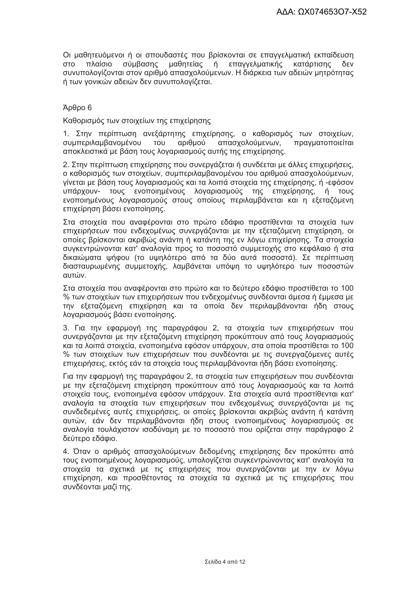Οι μαθητευόμενοι ή οι σπουδαστές που βρίσκονται σε επαγγελματική εκπαίδευση σύμβασης μαθητείας επαγγελματικής **OTO** πλαίσιο ń κατάρτισης λεν συνυπολογίζονται στον αριθμό απασχολούμενων. Η διάρκεια των αδειών μητρότητας ή των γονικών αδειών δεν συνυπολογίζεται.

### Άρθρο 6

Καθορισμός των στοιχείων της επιχείρησης

1. Στην περίπτωση ανεξάρτητης επιχείρησης, ο καθορισμός των στοιχείων, συμπεριλαμβανομένου TOU αριθμού απασχολούμενων. πρανματοποιείται αποκλειστικά με βάση τους λοναριασμούς αυτής της επιχείρησης.

2. Στην περίπτωση επιχείρησης που συνεργάζεται ή συνδέεται με άλλες επιχειρήσεις, ο καθορισμός των στοιχείων, συμπεριλαμβανομένου του αριθμού απασχολούμενων, γίνεται με βάση τους λογαριασμούς και τα λοιπά στοιχεία της επιχείρησης, ή -εφόσον υπάρχουν- τους ενοποιημένους λογαριασμούς της επιχείρησης, ή τους ενοποιημένους λογαριασμούς στους οποίους περιλαμβάνεται και η εξεταζόμενη επιχείρηση βάσει ενοποίησης.

Στα στοιχεία που αναφέρονται στο πρώτο εδάφιο προστίθενται τα στοιχεία των επιχειρήσεων που ενδεχομένως συνεργάζονται με την εξεταζόμενη επιχείρηση, οι οποίες βρίσκονται ακριβώς ανάντη ή κατάντη της εν λόνω επιχείρησης. Τα στοιχεία συγκεντρώνονται κατ' αναλογία προς το ποσοστό συμμετοχής στο κεφάλαιο ή στα δικαιώματα ψήφου (το υψηλότερο από τα δύο αυτά ποσοστά). Σε περίπτωση διασταυρωμένης συμμετοχής, λαμβάνεται υπόψη το υψηλότερο των ποσοστών αυτών.

Στα στοιχεία που αναφέρονται στο πρώτο και το δεύτερο εδάφιο προστίθεται το 100 % των στοιχείων των επιχειρήσεων που ενδεχομένως συνδέονται άμεσα ή έμμεσα με την εξεταζόμενη επιχείρηση και τα οποία δεν περιλαμβάνονται ήδη στους λογαριασμούς βάσει ενοποίησης.

3. Για την εφαρμογή της παραγράφου 2, τα στοιχεία των επιχειρήσεων που συνεργάζονται με την εξεταζόμενη επιχείρηση προκύπτουν από τους λογαριασμούς και τα λοιπά στοιχεία, ενοποιημένα εφόσον υπάρχουν, στα οποία προστίθεται το 100 % των στοιχείων των επιχειρήσεων που συνδέονται με τις συνεργαζόμενες αυτές επιχειρήσεις, εκτός εάν τα στοιχεία τους περιλαμβάνονται ήδη βάσει ενοποίησης.

Για την εφαρμογή της παραγράφου 2, τα στοιχεία των επιχειρήσεων που συνδέονται με την εξεταζόμενη επιχείρηση προκύπτουν από τους λογαριασμούς και τα λοιπά στοιχεία τους, ενοποιημένα εφόσον υπάρχουν. Στα στοιχεία αυτά προστίθενται κατ' αναλονία τα στοιχεία των επιχειρήσεων που ενδεχομένως συνερνάζονται με τις συνδεδεμένες αυτές επιχειρήσεις, οι οποίες βρίσκονται ακριβώς ανάντη ή κατάντη αυτών, εάν δεν περιλαμβάνονται ήδη στους ενοποιημένους λογαριασμούς σε αναλογία τουλάχιστον ισοδύναμη με το ποσοστό που ορίζεται στην παράγραφο 2 δεύτερο εδάφιο.

4. Όταν ο αριθμός απασχολούμενων δεδομένης επιχείρησης δεν προκύπτει από τους ενοποιημένους λογαριασμούς, υπολογίζεται συγκεντρώνοντας κατ' αναλογία τα στοιχεία τα σχετικά με τις επιχειρήσεις που συνεργάζονται με την εν λόγω επιχείρηση, και προσθέτοντας τα στοιχεία τα σχετικά με τις επιχειρήσεις που συνδέονται μαζί της.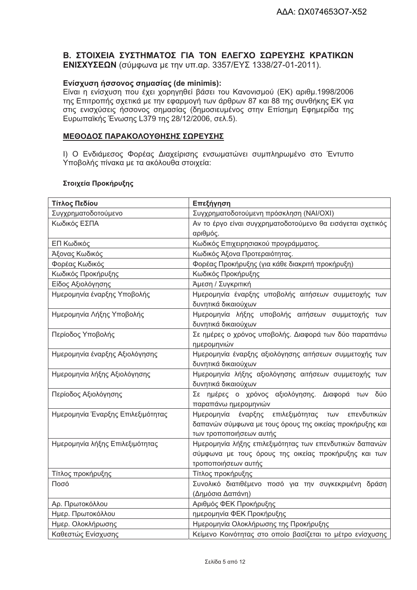# Β. ΣΤΟΙΧΕΙΑ ΣΥΣΤΗΜΑΤΟΣ ΓΙΑ ΤΟΝ ΕΛΕΓΧΟ ΣΩΡΕΥΣΗΣ ΚΡΑΤΙΚΩΝ ΕΝΙΣΧΥΣΕΩΝ (σύμφωνα με την υπ.αρ. 3357/ΕΥΣ 1338/27-01-2011).

# Ενίσχυση ήσσονος σημασίας (de minimis):

Είναι η ενίσχυση που έχει χορηγηθεί βάσει του Κανονισμού (ΕΚ) αριθμ.1998/2006 της Επιτροπής σχετικά με την εφαρμογή των άρθρων 87 και 88 της συνθήκης ΕΚ για στις ενισχύσεις ήσσονος σημασίας (δημοσιευμένος στην Επίσημη Εφημερίδα της Ευρωπαϊκής Ένωσης L379 της 28/12/2006, σελ.5).

# <u>ΜΕΘΟΔΟΣ ΠΑΡΑΚΟΛΟΥΘΗΣΗΣ ΣΩΡΕΥΣΗΣ</u>

Ι) Ο Ενδιάμεσος Φορέας Διαχείρισης ενσωματώνει συμπληρωμένο στο Έντυπο Υποβολής πίνακα με τα ακόλουθα στοιχεία:

## Στοιχεία Προκήρυξης

| Τίτλος Πεδίου                     | Επεξήγηση                                                  |  |  |
|-----------------------------------|------------------------------------------------------------|--|--|
| Συγχρηματοδοτούμενο               | Συγχρηματοδοτούμενη πρόσκληση (ΝΑΙ/ΟΧΙ)                    |  |  |
| Κωδικός ΕΣΠΑ                      | Αν το έργο είναι συγχρηματοδοτούμενο θα εισάγεται σχετικός |  |  |
|                                   | αριθμός.                                                   |  |  |
| ΕΠ Κωδικός                        | Κωδικός Επιχειρησιακού προγράμματος.                       |  |  |
| Άξονας Κωδικός                    | Κωδικός Άξονα Προτεραιότητας.                              |  |  |
| Φορέας Κωδικός                    | Φορέας Προκήρυξης (για κάθε διακριτή προκήρυξη)            |  |  |
| Κωδικός Προκήρυξης                | Κωδικός Προκήρυξης                                         |  |  |
| Είδος Αξιολόγησης                 | Άμεση / Συγκριτική                                         |  |  |
| Ημερομηνία έναρξης Υποβολής       | Ημερομηνία έναρξης υποβολής αιτήσεων συμμετοχής των        |  |  |
|                                   | δυνητικά δικαιούχων                                        |  |  |
| Ημερομηνία Λήξης Υποβολής         | Ημερομηνία λήξης υποβολής αιτήσεων συμμετοχής των          |  |  |
|                                   | δυνητικά δικαιούχων                                        |  |  |
| Περίοδος Υποβολής                 | Σε ημέρες ο χρόνος υποβολής. Διαφορά των δύο παραπάνω      |  |  |
|                                   | ημερομηνιών                                                |  |  |
| Ημερομηνία έναρξης Αξιολόγησης    | Ημερομηνία έναρξης αξιολόγησης αιτήσεων συμμετοχής των     |  |  |
|                                   | δυνητικά δικαιούχων                                        |  |  |
| Ημερομηνία λήξης Αξιολόγησης      | Ημερομηνία λήξης αξιολόγησης αιτήσεων συμμετοχής των       |  |  |
|                                   | δυνητικά δικαιούχων                                        |  |  |
| Περίοδος Αξιολόγησης              | Σε ημέρες ο χρόνος αξιολόγησης. Διαφορά των δύο            |  |  |
|                                   | παραπάνω ημερομηνιών                                       |  |  |
| Ημερομηνία Έναρξης Επιλεξιμότητας | Ημερομηνία έναρξης επιλεξιμότητας των<br>επενδυτικών       |  |  |
|                                   | δαπανών σύμφωνα με τους όρους της οικείας προκήρυξης και   |  |  |
|                                   | των τροποποιήσεων αυτής                                    |  |  |
| Ημερομηνία λήξης Επιλεξιμότητας   | Ημερομηνία λήξης επιλεξιμότητας των επενδυτικών δαπανών    |  |  |
|                                   | σύμφωνα με τους όρους της οικείας προκήρυξης και των       |  |  |
|                                   | τροποποιήσεων αυτής                                        |  |  |
| Τίτλος προκήρυξης                 | Τίτλος προκήρυξης                                          |  |  |
| Ποσό                              | Συνολικό διατιθέμενο ποσό για την συγκεκριμένη δράση       |  |  |
|                                   | (Δημόσια Δαπάνη)                                           |  |  |
| Αρ. Πρωτοκόλλου                   | Αριθμός ΦΕΚ Προκήρυξης                                     |  |  |
| Ημερ. Πρωτοκόλλου                 | ημερομηνία ΦΕΚ Προκήρυξης                                  |  |  |
| Ημερ. Ολοκλήρωσης                 | Ημερομηνία Ολοκλήρωσης της Προκήρυξης                      |  |  |
| Καθεστώς Ενίσχυσης                | Κείμενο Κοινότητας στο οποίο βασίζεται το μέτρο ενίσχυσης  |  |  |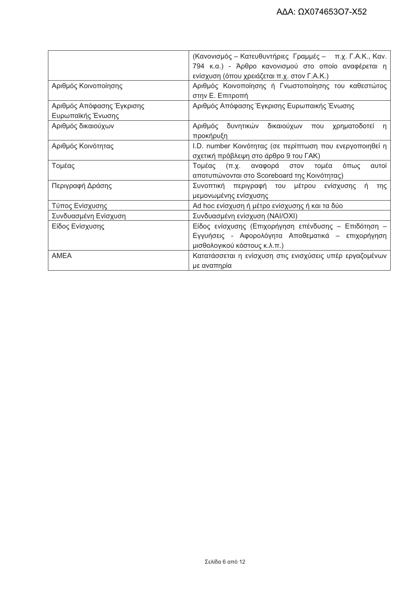|                           | (Κανονισμός – Κατευθυντήριες Γραμμές – π.χ. Γ.Α.Κ., Καν.                  |
|---------------------------|---------------------------------------------------------------------------|
|                           |                                                                           |
|                           | 794 κ.α.) - Άρθρο κανονισμού στο οποίο αναφέρεται η                       |
|                           | ενίσχυση (όπου χρειάζεται π.χ. στον Γ.Α.Κ.)                               |
| Αριθμός Κοινοποίησης      | Αριθμός Κοινοποίησης ή Γνωστοποίησης του καθεστώτος                       |
|                           | στην Ε. Επιτροπή                                                          |
| Αριθμός Απόφασης Έγκρισης | Αριθμός Απόφασης Έγκρισης Ευρωπαικής Ένωσης                               |
| Ευρωπαϊκής Ένωσης         |                                                                           |
| Αριθμός δικαιούχων        | δικαιούχων που<br>δυνητικών<br>Αριθμός<br>χρηματοδοτεί<br>n.<br>προκήρυξη |
| Αριθμός Κοινότητας        | I.D. number Κοινότητας (σε περίπτωση που ενεργοποιηθεί η                  |
|                           | σχετική πρόβλεψη στο άρθρο 9 του ΓΑΚ)                                     |
| Τομέας                    | (π.χ. αναφορά στον<br>Τομέας<br>τομέα<br>όπως<br>αυτοί                    |
|                           | αποτυπώνονται στο Scoreboard της Κοινότητας)                              |
| Περιγραφή Δράσης          | Συνοπτική περιγραφή του μέτρου<br>ενίσχυσης<br>'n<br>της                  |
|                           | μεμονωμένης ενίσχυσης                                                     |
| Τύπος Ενίσχυσης           | Ad hoc ενίσχυση ή μέτρο ενίσχυσης ή και τα δύο                            |
| Συνδυασμένη Ενίσχυση      | Συνδυασμένη ενίσχυση (ΝΑΙ/ΟΧΙ)                                            |
| Είδος Ενίσχυσης           | Είδος ενίσχυσης (Επιχορήγηση επένδυσης - Επιδότηση -                      |
|                           | Εγγυήσεις - Αφορολόγητα Αποθεματικά – επιχορήγηση                         |
|                           | μισθολογικού κόστους κ.λ.π.)                                              |
| <b>AMEA</b>               | Κατατάσσεται η ενίσχυση στις ενισχύσεις υπέρ εργαζομένων                  |
|                           | με αναπηρία                                                               |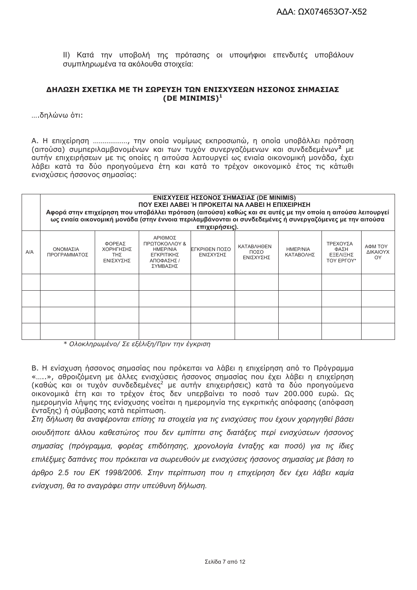ΙΙ) Κατά την υποβολή της πρότασης οι υποψήφιοι επενδυτές υποβάλουν συμπληρωμένα τα ακόλουθα στοιχεία:

#### ΔΗΛΩΣΗ ΣΧΕΤΙΚΑ ΜΕ ΤΗ ΣΩΡΕΥΣΗ ΤΩΝ ΕΝΙΣΧΥΣΕΩΝ ΗΣΣΟΝΟΣ ΣΗΜΑΣΙΑΣ (DE MINIMIS) $<sup>1</sup>$ </sup>

....δηλώνω ότι:

Α. Η επιχείρηση .................., την οποία νομίμως εκπροσωπώ, η οποία υποβάλλει πρόταση (αιτούσα) συμπεριλαμβανομένων και των τυχόν συνεργαζόμενων και συνδεδεμένων<sup>2</sup> με αυτήν επιχειρήσεων με τις οποίες η αιτούσα λειτουργεί ως ενιαία οικονομική μονάδα, έχει λάβει κατά τα δύο προηγούμενα έτη και κατά το τρέχον οικονομικό έτος τις κάτωθι ενισχύσεις ήσσονος σημασίας:

|     | ΕΝΙΣΧΥΣΕΙΣ ΗΣΣΟΝΟΣ ΣΗΜΑΣΙΑΣ (DE MINIMIS)<br>ΠΟΥ ΕΧΕΙ ΛΑΒΕΙ Ή ΠΡΟΚΕΙΤΑΙ ΝΑ ΛΑΒΕΙ Η ΕΠΙΧΕΙΡΗΣΗ<br>Αφορά στην επιχείρηση που υποβάλλει πρόταση (αιτούσα) καθώς και σε αυτές με την οποία η αιτούσα λειτουργεί<br>ως ενιαία οικονομική μονάδα (στην έννοια περιλαμβάνονται οι συνδεδεμένες ή συνεργαζόμενες με την αιτούσα<br>επιχειρήσεις). |                                         |                                                                                     |                             |                                        |                              |                                                   |                           |
|-----|------------------------------------------------------------------------------------------------------------------------------------------------------------------------------------------------------------------------------------------------------------------------------------------------------------------------------------------|-----------------------------------------|-------------------------------------------------------------------------------------|-----------------------------|----------------------------------------|------------------------------|---------------------------------------------------|---------------------------|
| A/A | ΟΝΟΜΑΣΙΑ<br>ΠΡΟΓΡΑΜΜΑΤΟΣ                                                                                                                                                                                                                                                                                                                 | ΦΟΡΕΑΣ<br>ΧΟΡΗΓΗΣΗΣ<br>TΗΣ<br>ΕΝΙΣΧΥΣΗΣ | ΑΡΙΘΜΟΣ<br>ΠΡΩΤΟΚΟΛΛΟΥ &<br><b>HMEP/NIA</b><br>ΕΓΚΡΙΤΙΚΗΣ<br>ΑΠΟΦΑΣΗΣ /<br>ΣΥΜΒΑΣΗΣ | ΙΕΓΚΡΙΘΕΝ ΠΟΣΟ<br>ΕΝΙΣΧΥΣΗΣ | <b>KATABAHOEN</b><br>ΠΟΣΟ<br>ΕΝΙΣΧΥΣΗΣ | <b>HMEP/NIA</b><br>ΚΑΤΑΒΟΛΗΣ | ΤΡΕΧΟΥΣΑ<br>ΦΑΣΗ<br><b>EEEAIEHX</b><br>TOY EPFOY* | ΑΦΜ ΤΟΥ<br>ΔΙΚΑΙΟΥΧ<br>OY |
|     |                                                                                                                                                                                                                                                                                                                                          |                                         |                                                                                     |                             |                                        |                              |                                                   |                           |
|     |                                                                                                                                                                                                                                                                                                                                          |                                         |                                                                                     |                             |                                        |                              |                                                   |                           |
|     |                                                                                                                                                                                                                                                                                                                                          |                                         |                                                                                     |                             |                                        |                              |                                                   |                           |
|     |                                                                                                                                                                                                                                                                                                                                          |                                         |                                                                                     |                             |                                        |                              |                                                   |                           |

\* Ολοκληρωμένο/ Σε εξέλιξη/Πριν την έγκριση

Β. Η ενίσχυση ήσσονος σημασίας που πρόκειται να λάβει η επιχείρηση από το Πρόγραμμα «…..», αθροιζόμενη με άλλες ενισχύσεις ήσσονος σημασίας που έχει λάβει η επιχείρηση (καθώς και οι τυχόν συνδεδεμένες<sup>2</sup> με αυτήν επιχειρήσεις) κατά τα δύο προηγούμενα<br>οικονομικά έτη και το τρέχον έτος δεν υπερβαίνει το ποσό των 200.000 ευρώ. Ως ημερομηνία λήψης της ενίσχυσης νοείται η ημερομηνία της εγκριτικής απόφασης (απόφαση ένταξης) η σύμβασης κατά περίπτωση.

Στη δήλωση θα αναφέρονται επίσης τα στοιχεία για τις ενισχύσεις που έχουν χορηνηθεί βάσει οιουδήποτε άλλου καθεστώτος που δεν εμπίπτει στις διατάξεις περί ενισχύσεων ήσσονος σημασίας (πρόγραμμα, φορέας επιδότησης, χρονολογία ένταξης και ποσό) για τις ίδιες επιλέξιμες δαπάνες που πρόκειται να σωρευθούν με ενισχύσεις ήσσονος σημασίας με βάση το άρθρο 2.5 του ΕΚ 1998/2006. Στην περίπτωση που η επιχείρηση δεν έχει λάβει καμία ενίσχυση, θα το αναγράφει στην υπεύθυνη δήλωση.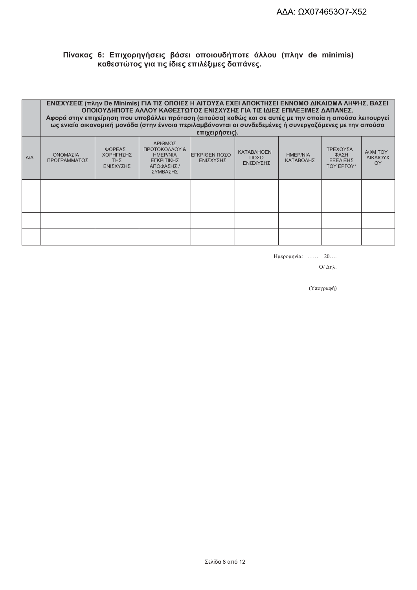# Πίνακας 6: Επιχορηγήσεις βάσει οποιουδήποτε άλλου (πλην de minimis)<br>καθεστώτος για τις ίδιες επιλέξιμες δαπάνες.

|     | ΕΝΙΣΧΥΣΕΙΣ (πλην De Minimis) ΓΙΑ ΤΙΣ ΟΠΟΙΕΣ Η ΑΙΤΟΥΣΑ ΕΧΕΙ ΑΠΟΚΤΗΣΕΙ ΕΝΝΟΜΟ ΔΙΚΑΙΩΜΑ ΛΗΨΗΣ, ΒΑΣΕΙ<br>ΟΠΟΙΟΥΔΗΠΟΤΕ ΑΛΛΟΥ ΚΑΘΕΣΤΩΤΟΣ ΕΝΙΣΧΥΣΗΣ ΓΙΑ ΤΙΣ ΙΔΙΕΣ ΕΠΙΛΕΞΙΜΕΣ ΔΑΠΑΝΕΣ.<br>Αφορά στην επιχείρηση που υποβάλλει πρόταση (αιτούσα) καθώς και σε αυτές με την οποία η αιτούσα λειτουργεί<br>ως ενιαία οικονομική μονάδα (στην έννοια περιλαμβάνονται οι συνδεδεμένες ή συνεργαζόμενες με την αιτούσα<br>επιχειρήσεις). |                                                |                                                                                     |                            |                                               |                              |                                                   |                           |
|-----|----------------------------------------------------------------------------------------------------------------------------------------------------------------------------------------------------------------------------------------------------------------------------------------------------------------------------------------------------------------------------------------------------------------------------|------------------------------------------------|-------------------------------------------------------------------------------------|----------------------------|-----------------------------------------------|------------------------------|---------------------------------------------------|---------------------------|
| A/A | ΟΝΟΜΑΣΙΑ<br>ΠΡΟΓΡΑΜΜΑΤΟΣ                                                                                                                                                                                                                                                                                                                                                                                                   | ΦΟΡΕΑΣ<br>ΧΟΡΗΓΗΣΗΣ<br><b>THE</b><br>ΕΝΙΣΧΥΣΗΣ | ΑΡΙΘΜΟΣ<br>ΠΡΩΤΟΚΟΛΛΟΥ &<br><b>HMEP/NIA</b><br>ΕΓΚΡΙΤΙΚΗΣ<br>ΑΠΟΦΑΣΗΣ /<br>ΣΥΜΒΑΣΗΣ | ΕΓΚΡΙΘΕΝ ΠΟΣΟ<br>ΕΝΙΣΧΥΣΗΣ | <b>KATABAHOEN</b><br>ΠΟΣΟ<br><b>FNISXYSHS</b> | <b>HMEP/NIA</b><br>ΚΑΤΑΒΟΛΗΣ | ΤΡΕΧΟΥΣΑ<br>ΦΑΣΗ<br>ΕΞΕΛΙΞΗΣ<br><b>TOY EPFOY*</b> | АФМ ТОҮ<br>ΔΙΚΑΙΟΥΧ<br>OY |
|     |                                                                                                                                                                                                                                                                                                                                                                                                                            |                                                |                                                                                     |                            |                                               |                              |                                                   |                           |
|     |                                                                                                                                                                                                                                                                                                                                                                                                                            |                                                |                                                                                     |                            |                                               |                              |                                                   |                           |
|     |                                                                                                                                                                                                                                                                                                                                                                                                                            |                                                |                                                                                     |                            |                                               |                              |                                                   |                           |
|     |                                                                                                                                                                                                                                                                                                                                                                                                                            |                                                |                                                                                     |                            |                                               |                              |                                                   |                           |

Ημερομηνία: ...... 20....

 $O/$  Δηλ.

(Υπογραφή)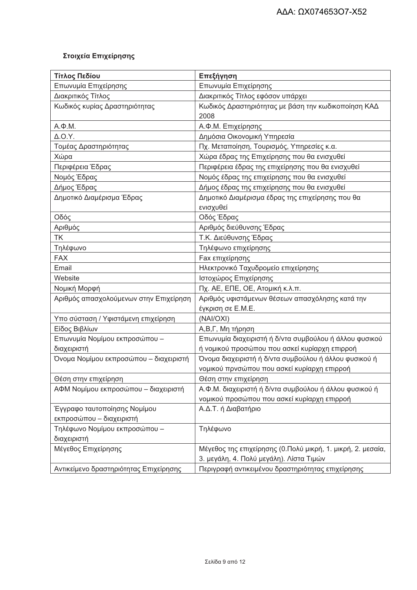# Στοιχεία Επιχείρησης

| Τίτλος Πεδίου                          | Επεξήγηση                                                   |  |  |
|----------------------------------------|-------------------------------------------------------------|--|--|
| Επωνυμία Επιχείρησης                   | Επωνυμία Επιχείρησης                                        |  |  |
| Διακριτικός Τίτλος                     | Διακριτικός Τίτλος εφόσον υπάρχει                           |  |  |
| Κωδικός κυρίας Δραστηριότητας          | Κωδικός Δραστηριότητας με βάση την κωδικοποίηση ΚΑΔ         |  |  |
|                                        | 2008                                                        |  |  |
| $A.\Phi.M.$                            | Α.Φ.Μ. Επιχείρησης                                          |  |  |
| $\Delta$ .O.Y.                         | Δημόσια Οικονομική Υπηρεσία                                 |  |  |
| Τομέας Δραστηριότητας                  | Πχ. Μεταποίηση, Τουρισμός, Υπηρεσίες κ.α.                   |  |  |
| Χώρα                                   | Χώρα έδρας της Επιχείρησης που θα ενισχυθεί                 |  |  |
| Περιφέρεια Έδρας                       | Περιφέρεια έδρας της επιχείρησης που θα ενισχυθεί           |  |  |
| Νομός Έδρας                            | Νομός έδρας της επιχείρησης που θα ενισχυθεί                |  |  |
| Δήμος Έδρας                            | Δήμος έδρας της επιχείρησης που θα ενισχυθεί                |  |  |
| Δημοτικό Διαμέρισμα Έδρας              | Δημοτικό Διαμέρισμα έδρας της επιχείρησης που θα            |  |  |
|                                        | ενισχυθεί                                                   |  |  |
| Οδός                                   | Οδός Έδρας                                                  |  |  |
| Αριθμός                                | Αριθμός διεύθυνσης Έδρας                                    |  |  |
| <b>TK</b>                              | Τ.Κ. Διεύθυνσης Έδρας                                       |  |  |
| Τηλέφωνο                               | Τηλέφωνο επιχείρησης                                        |  |  |
| <b>FAX</b>                             | <b>Fax επιχείρησης</b>                                      |  |  |
| Email                                  | Ηλεκτρονικό Ταχυδρομείο επιχείρησης                         |  |  |
| Website                                | Ιστοχώρος Επιχείρησης                                       |  |  |
| Νομική Μορφή                           | Пх. АЕ, ЕПЕ, ОЕ, Атоµкή к.                                  |  |  |
| Αριθμός απασχολούμενων στην Επιχείρηση | Αριθμός υφιστάμενων θέσεων απασχόλησης κατά την             |  |  |
|                                        | έγκριση σε Ε.Μ.Ε.                                           |  |  |
| Υπο σύσταση / Υφιστάμενη επιχείρηση    | (NAI/OXI)                                                   |  |  |
| Είδος Βιβλίων                          | Α,Β,Γ, Μη τήρηση                                            |  |  |
| Επωνυμία Νομίμου εκπροσώπου -          | Επωνυμία διαχειριστή ή δ/ντα συμβούλου ή άλλου φυσικού      |  |  |
| διαχειριστή                            | ή νομικού προσώπου που ασκεί κυρίαρχη επιρροή               |  |  |
| Όνομα Νομίμου εκπροσώπου - διαχειριστή | Όνομα διαχειριστή ή δ/ντα συμβούλου ή άλλου φυσικού ή       |  |  |
|                                        | νομικού πρνσώπου που ασκεί κυρίαρχη επιρροή                 |  |  |
| Θέση στην επιχείρηση                   | Θέση στην επιχείρηση                                        |  |  |
| ΑΦΜ Νομίμου εκπροσώπου - διαχειριστή   | Α.Φ.Μ. διαχειριστή ή δ/ντα συμβούλου ή άλλου φυσικού ή      |  |  |
|                                        | νομικού προσώπου που ασκεί κυρίαρχη επιρροή                 |  |  |
| Έγγραφο ταυτοποίησης Νομίμου           | Α.Δ.Τ. ή Διαβατήριο                                         |  |  |
| εκπροσώπου - διαχειριστή               |                                                             |  |  |
| Τηλέφωνο Νομίμου εκπροσώπου -          | Τηλέφωνο                                                    |  |  |
| διαχειριστή                            |                                                             |  |  |
| Μέγεθος Επιχείρησης                    | Μέγεθος της επιχείρησης (0.Πολύ μικρή, 1. μικρή, 2. μεσαία, |  |  |
|                                        | 3. μεγάλη, 4. Πολύ μεγάλη). Λίστα Τιμών                     |  |  |
| Αντικείμενο δραστηριότητας Επιχείρησης | Περιγραφή αντικειμένου δραστηριότητας επιχείρησης           |  |  |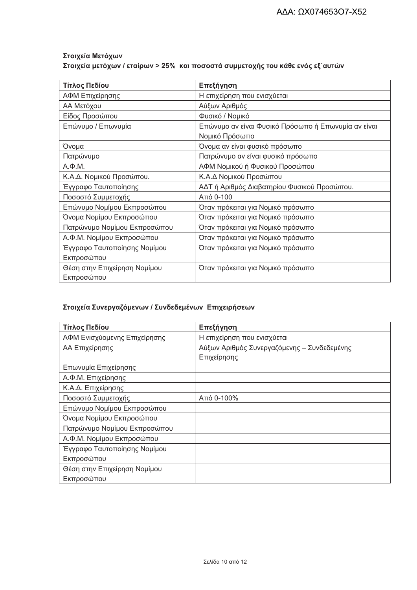# Στοιχεία Μετόχων Στοιχεία μετόχων / εταίρων > 25% και ποσοστά συμμετοχής του κάθε ενός εξ΄ αυτών

| Τίτλος Πεδίου                | Επεξήγηση                                           |  |  |  |
|------------------------------|-----------------------------------------------------|--|--|--|
| ΑΦΜ Επιχείρησης              | Η επιχείρηση που ενισχύεται                         |  |  |  |
| ΑΑ Μετόχου                   | Αύξων Αριθμός                                       |  |  |  |
| Είδος Προσώπου               | Φυσικό / Νομικό                                     |  |  |  |
| Επώνυμο / Επωνυμία           | Επώνυμο αν είναι Φυσικό Πρόσωπο ή Επωνυμία αν είναι |  |  |  |
|                              | Νομικό Πρόσωπο                                      |  |  |  |
| Όνομα                        | Όνομα αν είναι φυσικό πρόσωπο                       |  |  |  |
| Πατρώνυμο                    | Πατρώνυμο αν είναι φυσικό πρόσωπο                   |  |  |  |
| $A.\Phi.M.$                  | ΑΦΜ Νομικού ή Φυσικού Προσώπου                      |  |  |  |
| Κ.Α.Δ. Νομικού Προσώπου.     | Κ.Α.Δ Νομικού Προσώπου                              |  |  |  |
| Έγγραφο Ταυτοποίησης         | ΑΔΤ ή Αριθμός Διαβατηρίου Φυσικού Προσώπου.         |  |  |  |
| Ποσοστό Συμμετοχής           | Από 0-100                                           |  |  |  |
| Επώνυμο Νομίμου Εκπροσώπου   | Όταν πρόκειται για Νομικό πρόσωπο                   |  |  |  |
| Όνομα Νομίμου Εκπροσώπου     | Όταν πρόκειται για Νομικό πρόσωπο                   |  |  |  |
| Πατρώνυμο Νομίμου Εκπροσώπου | Όταν πρόκειται για Νομικό πρόσωπο                   |  |  |  |
| Α.Φ.Μ. Νομίμου Εκπροσώπου    | Όταν πρόκειται για Νομικό πρόσωπο                   |  |  |  |
| Έγγραφο Ταυτοποίησης Νομίμου | Όταν πρόκειται για Νομικό πρόσωπο                   |  |  |  |
| Εκπροσώπου                   |                                                     |  |  |  |
| Θέση στην Επιχείρηση Νομίμου | Όταν πρόκειται για Νομικό πρόσωπο                   |  |  |  |
| Εκπροσώπου                   |                                                     |  |  |  |

# Στοιχεία Συνεργαζόμενων / Συνδεδεμένων Επιχειρήσεων

| Τίτλος Πεδίου                | Επεξήγηση                                   |  |  |
|------------------------------|---------------------------------------------|--|--|
| ΑΦΜ Ενισχύομενης Επιχείρησης | Η επιχείρηση που ενισχύεται                 |  |  |
| ΑΑ Επιχείρησης               | Αύξων Αριθμός Συνεργαζόμενης - Συνδεδεμένης |  |  |
|                              | Επιχείρησης                                 |  |  |
| Επωνυμία Επιχείρησης         |                                             |  |  |
| Α.Φ.Μ. Επιχείρησης           |                                             |  |  |
| Κ.Α.Δ. Επιχείρησης           |                                             |  |  |
| Ποσοστό Συμμετοχής           | Από 0-100%                                  |  |  |
| Επώνυμο Νομίμου Εκπροσώπου   |                                             |  |  |
| Όνομα Νομίμου Εκπροσώπου     |                                             |  |  |
| Πατρώνυμο Νομίμου Εκπροσώπου |                                             |  |  |
| Α.Φ.Μ. Νομίμου Εκπροσώπου    |                                             |  |  |
| Έγγραφο Ταυτοποίησης Νομίμου |                                             |  |  |
| Εκπροσώπου                   |                                             |  |  |
| Θέση στην Επιχείρηση Νομίμου |                                             |  |  |
| Εκπροσώπου                   |                                             |  |  |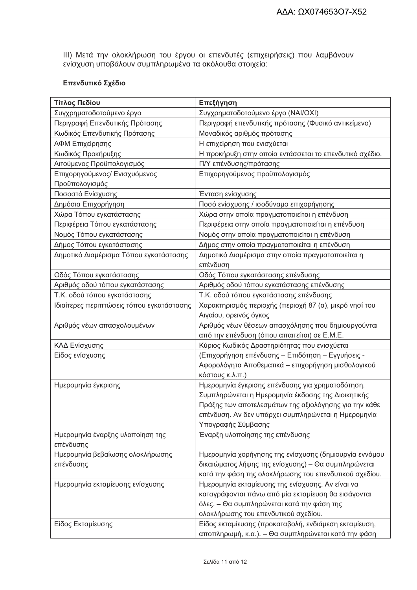ΙΙΙ) Μετά την ολοκλήρωση του έργου οι επενδυτές (επιχειρήσεις) που λαμβάνουν<br>ενίσχυση υποβάλουν συμπληρωμένα τα ακόλουθα στοιχεία:

### Επενδυτικό Σχέδιο

| Τίτλος Πεδίου                             | Επεξήγηση                                                                                                    |
|-------------------------------------------|--------------------------------------------------------------------------------------------------------------|
| Συγχρηματοδοτούμενο έργο                  | Συγχρηματοδοτούμενο έργο (ΝΑΙ/ΟΧΙ)                                                                           |
| Περιγραφή Επενδυτικής Πρότασης            | Περιγραφή επενδυτικής πρότασης (Φυσικό αντικείμενο)                                                          |
| Κωδικός Επενδυτικής Πρότασης              | Μοναδικός αριθμός πρότασης                                                                                   |
| ΑΦΜ Επιχείρησης                           | Η επιχείρηση που ενισχύεται                                                                                  |
| Κωδικός Προκήρυξης                        | Η προκήρυξη στην οποία εντάσσεται το επενδυτικό σχέδιο.                                                      |
| Αιτούμενος Προϋπολογισμός                 | Π/Υ επένδυσης/πρότασης                                                                                       |
| Επιχορηγούμενος/ Ενισχυόμενος             | Επιχορηγούμενος προϋπολογισμός                                                                               |
| Προϋπολογισμός                            |                                                                                                              |
| Ποσοστό Ενίσχυσης                         | Ένταση ενίσχυσης                                                                                             |
| Δημόσια Επιχορήγηση                       | Ποσό ενίσχυσης / ισοδύναμο επιχορήγησης                                                                      |
| Χώρα Τόπου εγκατάστασης                   | Χώρα στην οποία πραγματοποιείται η επένδυση                                                                  |
| Περιφέρεια Τόπου εγκατάστασης             | Περιφέρεια στην οποία πραγματοποιείται η επένδυση                                                            |
| Νομός Τόπου εγκατάστασης                  | Νομός στην οποία πραγματοποιείται η επένδυση                                                                 |
| Δήμος Τόπου εγκατάστασης                  | Δήμος στην οποία πραγματοποιείται η επένδυση                                                                 |
| Δημοτικό Διαμέρισμα Τόπου εγκατάστασης    | Δημοτικό Διαμέρισμα στην οποία πραγματοποιείται η                                                            |
|                                           | επένδυση                                                                                                     |
| Οδός Τόπου εγκατάστασης                   | Οδός Τόπου εγκατάστασης επένδυσης                                                                            |
| Αριθμός οδού τόπου εγκατάστασης           | Αριθμός οδού τόπου εγκατάστασης επένδυσης                                                                    |
| Τ.Κ. οδού τόπου εγκατάστασης              | Τ.Κ. οδού τόπου εγκατάστασης επένδυσης                                                                       |
| Ιδιαίτερες περιπτώσεις τόπου εγκατάστασης | Χαρακτηρισμός περιοχής (περιοχή 87 (α), μικρό νησί του                                                       |
|                                           | Αιγαίου, ορεινός όγκος                                                                                       |
| Αριθμός νέων απασχολουμένων               | Αριθμός νέων θέσεων απασχόλησης που δημιουργούνται                                                           |
|                                           | από την επένδυση (όπου απαιτείται) σε Ε.Μ.Ε.                                                                 |
| ΚΑΔ Ενίσχυσης                             | Κύριος Κωδικός Δραστηριότητας που ενισχύεται                                                                 |
| Είδος ενίσχυσης                           | (Επιχορήγηση επένδυσης - Επιδότηση - Εγγυήσεις -                                                             |
|                                           | Αφορολόγητα Αποθεματικά – επιχορήγηση μισθολογικού                                                           |
|                                           | κόστους κ.λ.π.)                                                                                              |
| Ημερομηνία έγκρισης                       | Ημερομηνία έγκρισης επένδυσης για χρηματοδότηση.                                                             |
|                                           | Συμπληρώνεται η Ημερομηνία έκδοσης της Διοικητικής                                                           |
|                                           | Πράξης των αποτελεσμάτων της αξιολόγησης για την κάθε                                                        |
|                                           | επένδυση. Αν δεν υπάρχει συμπληρώνεται η Ημερομηνία                                                          |
|                                           | Υπογραφής Σύμβασης                                                                                           |
| Ημερομηνία έναρξης υλοποίηση της          | Έναρξη υλοποίησης της επένδυσης                                                                              |
| επένδυσης                                 |                                                                                                              |
| Ημερομηνία βεβαίωσης ολοκλήρωσης          | Ημερομηνία χορήγησης της ενίσχυσης (δημιουργία εννόμου                                                       |
| επένδυσης                                 | δικαιώματος λήψης της ενίσχυσης) – Θα συμπληρώνεται                                                          |
|                                           | κατά την φάση της ολοκλήρωσης του επενδυτικού σχεδίου.                                                       |
| Ημερομηνία εκταμίευσης ενίσχυσης          | Ημερομηνία εκταμίευσης της ενίσχυσης. Αν είναι να                                                            |
|                                           | καταγράφονται πάνω από μία εκταμίευση θα εισάγονται                                                          |
|                                           | όλες. – Θα συμπληρώνεται κατά την φάση της                                                                   |
|                                           | ολοκλήρωσης του επενδυτικού σχεδίου.                                                                         |
| Είδος Εκταμίευσης                         | Είδος εκταμίευσης (προκαταβολή, ενδιάμεση εκταμίευση,<br>αποπληρωμή, κ.α.). – Θα συμπληρώνεται κατά την φάση |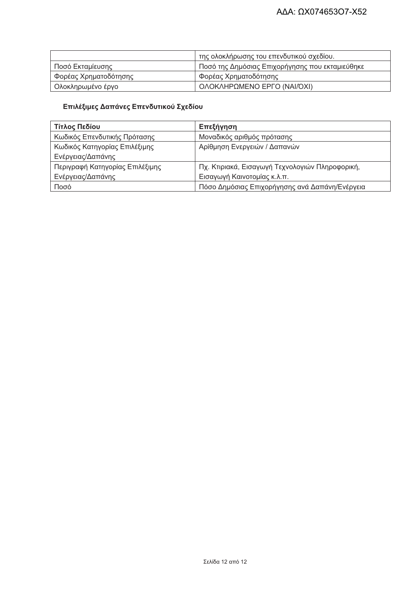|                       | της ολοκλήρωσης του επενδυτικού σχεδίου.        |
|-----------------------|-------------------------------------------------|
| Ποσό Εκταμίευσης      | Ποσό της Δημόσιας Επιχορήγησης που εκταμιεύθηκε |
| φορέας Χρηματοδότησης | Φορέας Χρηματοδότησης                           |
| Ολοκληρωμένο έργο     | ΟΛΟΚΛΗΡΩΜΕΝΟ ΕΡΓΟ (ΝΑΙ/ΌΧΙ)                     |

### Επιλέξιμες Δαπάνες Επενδυτικού Σχεδίου

| Τίτλος Πεδίου                   | Επεξήγηση                                       |
|---------------------------------|-------------------------------------------------|
| Κωδικός Επενδυτικής Πρότασης    | Μοναδικός αριθμός πρότασης                      |
| Κωδικός Κατηγορίας Επιλέξιμης   | Αρίθμηση Ενεργειών / Δαπανών                    |
| Ενέργειας/Δαπάνης               |                                                 |
| Περιγραφή Κατηγορίας Επιλέξιμης | Πχ. Κτιριακά, Εισαγωγή Τεχνολογιών Πληροφορική, |
| Ενέργειας/Δαπάνης               | Εισαγωγή Καινοτομίας κ.λ.π.                     |
| Ποσό                            | Πόσο Δημόσιας Επιχορήγησης ανά Δαπάνη/Ενέργεια  |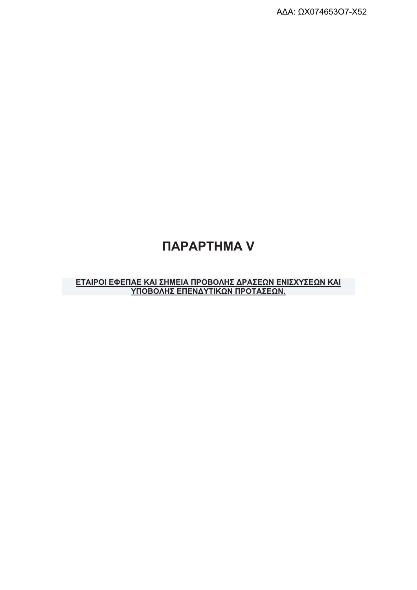## *<u>ITAPAPTHMA V</u>*

# <u>ΕΤΑΙΡΟΙ ΕΦΕΠΑΕ ΚΑΙ ΣΗΜΕΙΑ ΠΡΟΒΟΛΗΣ ΔΡΑΣΕΩΝ ΕΝΙΣΧΥΣΕΩΝ ΚΑΙ</u><br>ΥΠΟΒΟΛΗΣ ΕΠΕΝΔΥΤΙΚΩΝ ΠΡΟΤΑΣΕΩΝ.